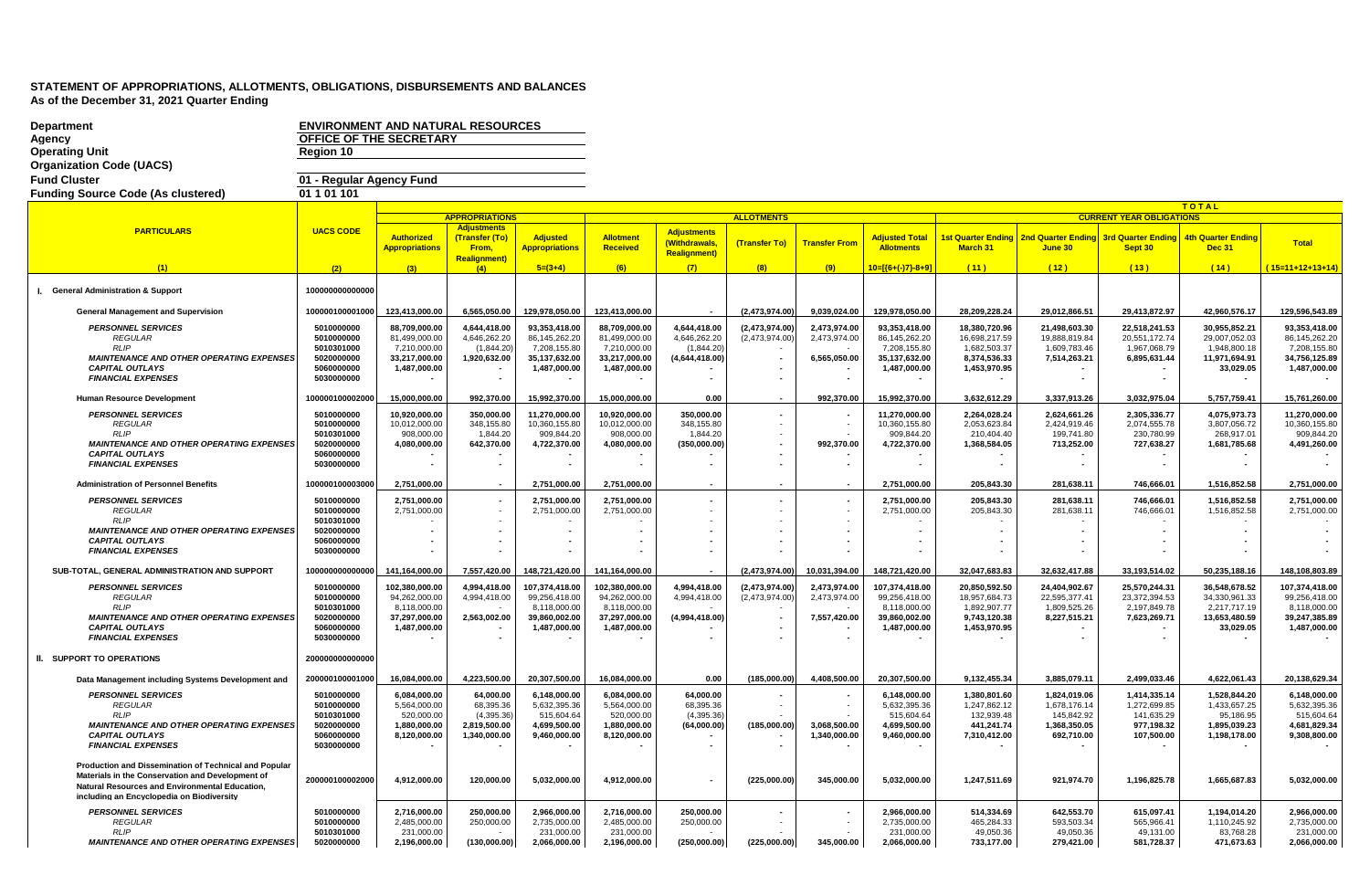| <b>Department</b>                                                         | <b>ENVIRONMENT AND NATURAL RESOURCES</b> |                               |                                      |                               |                               |                            |                   |                      |                               |                              |                              |                                              |                               |                               |
|---------------------------------------------------------------------------|------------------------------------------|-------------------------------|--------------------------------------|-------------------------------|-------------------------------|----------------------------|-------------------|----------------------|-------------------------------|------------------------------|------------------------------|----------------------------------------------|-------------------------------|-------------------------------|
| Agency                                                                    | OFFICE OF THE SECRETARY                  |                               |                                      |                               |                               |                            |                   |                      |                               |                              |                              |                                              |                               |                               |
| <b>Operating Unit</b><br><b>Organization Code (UACS)</b>                  | Region 10                                |                               |                                      |                               |                               |                            |                   |                      |                               |                              |                              |                                              |                               |                               |
| <b>Fund Cluster</b>                                                       | 01 - Regular Agency Fund                 |                               |                                      |                               |                               |                            |                   |                      |                               |                              |                              |                                              |                               |                               |
| <b>Funding Source Code (As clustered)</b>                                 | 01 1 01 1 01                             |                               |                                      |                               |                               |                            |                   |                      |                               |                              |                              |                                              |                               |                               |
|                                                                           |                                          |                               |                                      |                               |                               |                            |                   |                      |                               |                              |                              |                                              | <b>TOTAL</b>                  |                               |
|                                                                           |                                          |                               | <b>APPROPRIATIONS</b>                |                               |                               |                            | <b>ALLOTMENTS</b> |                      |                               |                              |                              | <b>CURRENT YEAR OBLIGATIONS</b>              |                               |                               |
| <b>PARTICULARS</b>                                                        | <b>UACS CODE</b>                         | Authorized                    | <b>Adjustments</b><br>(Transfer (To) | <b>Adjusted</b>               | <b>Allotment</b>              | <b>Adjustments</b>         |                   |                      | <b>Adjusted Total</b>         | 1st Quarter Ending           |                              | <b>2nd Quarter Ending 3rd Quarter Ending</b> | <b>4th Quarter Ending</b>     |                               |
|                                                                           |                                          | <b>Appropriations</b>         | From,                                | <b>Appropriations</b>         | Received                      | (Withdrawals,              | (Transfer To)     | <b>Transfer From</b> | <b>Allotments</b>             | March 31                     | June 30                      | Sept 30                                      | <b>Dec 31</b>                 | Total                         |
| (1)                                                                       | (2)                                      |                               | <b>Realignment)</b><br>(4)           | $5=(3+4)$                     | (6)                           | <b>Realignment)</b><br>(7) | (8)               | (9)                  | 10=[{6+(-)7}-8+9]             | (11)                         | (12)                         | (13)                                         | (14)                          | $(15=11+12+13+14)$            |
|                                                                           |                                          |                               |                                      |                               |                               |                            |                   |                      |                               |                              |                              |                                              |                               |                               |
| I. General Administration & Support                                       | 100000000000000                          |                               |                                      |                               |                               |                            |                   |                      |                               |                              |                              |                                              |                               |                               |
| <b>General Management and Supervision</b>                                 | 100000100001000                          | 123,413,000.00                | 6,565,050.00                         | 129,978,050.00                | 123,413,000.00                |                            | (2,473,974.00)    | 9,039,024.00         | 129,978,050.00                | 28,209,228.24                | 29,012,866.51                | 29,413,872.97                                | 42,960,576.17                 | 129,596,543.89                |
| <b>PERSONNEL SERVICES</b>                                                 | 5010000000                               | 88.709.000.00                 | 4.644.418.00                         | 93.353.418.00                 | 88,709,000.00                 | 4.644.418.00               | (2,473,974.00)    | 2.473.974.00         | 93,353,418.00                 | 18.380.720.96                | 21,498,603.30                | 22.518.241.53                                | 30.955.852.21                 | 93.353.418.00                 |
| <b>REGULAR</b>                                                            | 5010000000                               | 81,499,000.00                 | 4,646,262.20                         | 86,145,262.20                 | 81,499,000.00                 | 4,646,262.20               | (2,473,974.00)    | 2,473,974.00         | 86,145,262.20                 | 16,698,217.59                | 19,888,819.84                | 20,551,172.74                                | 29,007,052.03                 | 86,145,262.20                 |
| <b>RLIP</b>                                                               | 5010301000                               | 7,210,000.00                  | (1,844.20)                           | 7,208,155.80                  | 7,210,000.00                  | (1,844.20)                 |                   |                      | 7,208,155.80                  | 1,682,503.37                 | 1,609,783.46                 | 1,967,068.79                                 | 1,948,800.18                  | 7,208,155.80                  |
| <b>MAINTENANCE AND OTHER OPERATING EXPENSES</b><br><b>CAPITAL OUTLAYS</b> | 5020000000<br>5060000000                 | 33,217,000.00<br>1,487,000.00 | 1,920,632.00                         | 35,137,632.00<br>1,487,000.00 | 33,217,000.00<br>1,487,000.00 | (4,644,418.00)             |                   | 6,565,050.00         | 35,137,632.00<br>1,487,000.00 | 8,374,536.33<br>1,453,970.95 | 7,514,263.21                 | 6,895,631.44                                 | 11,971,694.91<br>33,029.05    | 34,756,125.89<br>1,487,000.00 |
| <b>FINANCIAL EXPENSES</b>                                                 | 5030000000                               |                               |                                      |                               |                               |                            |                   |                      |                               |                              |                              |                                              |                               |                               |
| Human Resource Development                                                | 100000100002000                          | 15.000.000.00                 | 992,370.00                           | 15,992,370.00                 | 15.000.000.00                 | 0.00                       |                   | 992,370.00           | 15,992,370.00                 | 3,632,612.29                 | 3,337,913.26                 | 3,032,975.04                                 | 5,757,759.41                  | 15,761,260.00                 |
| <b>PERSONNEL SERVICES</b>                                                 | 5010000000                               | 10,920,000.00                 | 350,000.00                           | 11,270,000.00                 | 10,920,000.00                 | 350,000.00                 |                   |                      | 11,270,000.00                 | 2,264,028.24                 | 2,624,661.26                 | 2,305,336.77                                 | 4,075,973.73                  | 11,270,000.00                 |
| <b>REGULAR</b>                                                            | 5010000000                               | 10,012,000.00                 | 348,155.80                           | 10,360,155.80                 | 10,012,000.00                 | 348,155.80                 |                   |                      | 10,360,155.80                 | 2,053,623.84                 | 2,424,919.46                 | 2,074,555.78                                 | 3,807,056.72                  | 10,360,155.80                 |
| <b>RLIP</b>                                                               | 5010301000                               | 908.000.00                    | 1.844.20                             | 909.844.20                    | 908,000,00                    | 1.844.20                   |                   |                      | 909.844.20                    | 210.404.40                   | 199.741.80                   | 230.780.99                                   | 268,917.01                    | 909.844.20                    |
| <b>MAINTENANCE AND OTHER OPERATING EXPENSES</b><br><b>CAPITAL OUTLAYS</b> | 5020000000<br>5060000000                 | 4,080,000.00                  | 642,370.00                           | 4,722,370.00                  | 4,080,000.00                  | (350,000.00)               |                   | 992,370.00           | 4,722,370.00                  | 1,368,584.05                 | 713,252.00                   | 727,638.27                                   | 1,681,785.68                  | 4,491,260.00                  |
| <b>FINANCIAL EXPENSES</b>                                                 | 5030000000                               | $\sim$                        | $\sim$                               |                               |                               |                            |                   |                      |                               |                              |                              |                                              |                               |                               |
| <b>Administration of Personnel Benefits</b>                               | 100000100003000                          | 2,751,000.00                  |                                      | 2,751,000.00                  | 2,751,000.00                  |                            |                   |                      | 2,751,000.00                  | 205,843.30                   | 281,638.11                   | 746,666.01                                   | 1,516,852.58                  | 2,751,000.00                  |
| <b>PERSONNEL SERVICES</b>                                                 | 5010000000                               | 2.751.000.00                  |                                      | 2.751.000.00                  | 2.751.000.00                  |                            |                   |                      | 2.751.000.00                  | 205.843.30                   | 281.638.11                   | 746.666.01                                   | 1.516.852.58                  | 2,751,000.00                  |
| <b>REGULAR</b>                                                            | 5010000000                               | 2,751,000.00                  |                                      | 2,751,000.00                  | 2,751,000.00                  |                            |                   |                      | 2,751,000.00                  | 205,843.30                   | 281,638.11                   | 746,666.01                                   | 1,516,852.58                  | 2,751,000.00                  |
| <b>RLIP</b>                                                               | 5010301000                               |                               |                                      |                               |                               |                            |                   |                      |                               |                              |                              |                                              |                               |                               |
| <b>MAINTENANCE AND OTHER OPERATING EXPENSES</b><br><b>CAPITAL OUTLAYS</b> | 5020000000<br>5060000000                 |                               |                                      |                               |                               |                            |                   | $\blacksquare$       |                               |                              |                              |                                              |                               |                               |
| <b>FINANCIAL EXPENSES</b>                                                 | 5030000000                               |                               |                                      |                               |                               |                            |                   |                      |                               |                              |                              |                                              |                               |                               |
| SUB-TOTAL, GENERAL ADMINISTRATION AND SUPPORT                             | 100000000000000                          | 141,164,000.00                | 7,557,420.00                         | 148,721,420.00                | 141.164.000.00                |                            | (2.473.974.00)    | 10,031,394.00        | 148.721.420.00                | 32,047,683.83                | 32.632.417.88                | 33.193.514.02                                | 50,235,188.16                 | 148,108,803.89                |
| <b>PERSONNEL SERVICES</b>                                                 | 5010000000                               | 102,380,000.00                | 4,994,418.00                         | 107,374,418.00                | 102,380,000.00                | 4,994,418.00               | (2,473,974.00)    | 2,473,974.00         | 107,374,418.00                | 20,850,592.50                | 24,404,902.67                | 25,570,244.31                                | 36,548,678.52                 | 107,374,418.00                |
| <b>REGULAR</b>                                                            | 5010000000                               | 94,262,000.00                 | 4,994,418.00                         | 99,256,418.00                 | 94,262,000.00                 | 4,994,418.00               | (2,473,974.00)    | 2,473,974.00         | 99,256,418.00                 | 18,957,684.73                | 22,595,377.41                | 23,372,394.53                                | 34,330,961.33                 | 99,256,418.00                 |
| RLIP<br><b>MAINTENANCE AND OTHER OPERATING EXPENSES</b>                   | 5010301000<br>5020000000                 | 8,118,000.00<br>37.297.000.00 | 2.563.002.00                         | 8,118,000.00<br>39.860.002.00 | 8,118,000.00<br>37.297.000.00 | (4.994.418.00)             |                   | 7,557,420.00         | 8,118,000.00<br>39.860.002.00 | 1,892,907.77<br>9.743.120.38 | 1,809,525.26<br>8,227,515.21 | 2,197,849.78<br>7,623,269.71                 | 2,217,717.19<br>13.653.480.59 | 8,118,000.00<br>39.247.385.89 |
| <b>CAPITAL OUTLAYS</b>                                                    | 5060000000                               | 1,487,000.00                  |                                      | 1,487,000.00                  | 1,487,000.00                  |                            |                   |                      | 1,487,000.00                  | 1,453,970.95                 |                              |                                              | 33,029.05                     | 1,487,000.00                  |
| <b>FINANCIAL EXPENSES</b>                                                 | 5030000000                               |                               |                                      |                               |                               |                            |                   |                      |                               |                              |                              |                                              |                               |                               |
| II. SUPPORT TO OPERATIONS                                                 | 200000000000000                          |                               |                                      |                               |                               |                            |                   |                      |                               |                              |                              |                                              |                               |                               |
| Data Management including Systems Development and                         | 200000100001000                          | 16,084,000.00                 | 4,223,500.00                         | 20,307,500.00                 | 16,084,000.00                 | 0.00                       | (185,000.00)      | 4,408,500.00         | 20,307,500.00                 | 9,132,455.34                 | 3,885,079.11                 | 2,499,033.46                                 | 4,622,061.43                  | 20,138,629.34                 |
| <b>PERSONNEL SERVICES</b>                                                 | 5010000000                               | 6,084,000.00                  | 64,000.00                            | 6,148,000.00                  | 6,084,000.00                  | 64,000.00                  |                   |                      | 6,148,000.00                  | 1,380,801.60                 | 1,824,019.06                 | 1,414,335.14                                 | 1,528,844.20                  | 6,148,000.00                  |
| <b>REGULAR</b>                                                            | 5010000000                               | 5,564,000.00                  | 68,395.36                            | 5,632,395.36                  | 5,564,000.00                  | 68,395.36                  |                   |                      | 5,632,395.36                  | 1,247,862.12                 | 1,678,176.14                 | 1,272,699.85                                 | 1,433,657.25                  | 5,632,395.36                  |
| RLIP<br><b>MAINTENANCE AND OTHER OPERATING EXPENSES</b>                   | 5010301000<br>5020000000                 | 520,000.00                    | (4,395.36)                           | 515,604.64                    | 520,000.00                    | (4,395.36)                 | (185,000.00)      | 3,068,500.00         | 515,604.64                    | 132,939.48                   | 145,842.92<br>1,368,350.05   | 141,635.29<br>977,198.32                     | 95,186.95                     | 515,604.64<br>4,681,829.34    |
| <b>CAPITAL OUTLAYS</b>                                                    | 5060000000                               | 1,880,000.00<br>8,120,000.00  | 2,819,500.00<br>1,340,000.00         | 4,699,500.00<br>9,460,000.00  | 1,880,000.00<br>8,120,000.00  | (64,000.00)                |                   | 1,340,000.00         | 4,699,500.00<br>9,460,000.00  | 441,241.74<br>7,310,412.00   | 692,710.00                   | 107,500.00                                   | 1,895,039.23<br>1,198,178.00  | 9,308,800.00                  |
| <b>FINANCIAL EXPENSES</b>                                                 | 5030000000                               |                               |                                      |                               |                               |                            |                   |                      |                               |                              |                              |                                              |                               |                               |
| Production and Dissemination of Technical and Popular                     |                                          |                               |                                      |                               |                               |                            |                   |                      |                               |                              |                              |                                              |                               |                               |
| Materials in the Conservation and Development of                          | 200000100002000                          | 4,912,000.00                  | 120,000.00                           | 5,032,000.00                  | 4,912,000.00                  |                            | (225,000.00)      | 345,000.00           | 5,032,000.00                  | 1,247,511.69                 | 921,974.70                   | 1,196,825.78                                 | 1,665,687.83                  | 5,032,000.00                  |
| Natural Resources and Environmental Education,                            |                                          |                               |                                      |                               |                               |                            |                   |                      |                               |                              |                              |                                              |                               |                               |
| including an Encyclopedia on Biodiversity                                 |                                          |                               |                                      |                               |                               |                            |                   |                      |                               |                              |                              |                                              |                               |                               |
| <b>PERSONNEL SERVICES</b><br><b>REGULAR</b>                               | 5010000000<br>5010000000                 | 2,716,000.00<br>2.485.000.00  | 250,000.00<br>250.000.00             | 2,966,000.00<br>2.735.000.00  | 2,716,000.00<br>2.485.000.00  | 250.000.00<br>250.000.00   |                   |                      | 2.966.000.00<br>2.735.000.00  | 514.334.69<br>465.284.33     | 642.553.70<br>593.503.34     | 615,097.41<br>565.966.41                     | 1.194.014.20<br>1.110.245.92  | 2,966,000.00<br>2.735.000.00  |
| <b>RLIP</b>                                                               | 5010301000                               | 231.000.00                    |                                      | 231.000.00                    | 231.000.00                    |                            |                   |                      | 231.000.00                    | 49,050.36                    | 49,050.36                    | 49.131.00                                    | 83.768.28                     | 231,000.00                    |
| <b>MAINTENANCE AND OTHER OPERATING EXPENSES</b>                           | 5020000000                               | 2,196,000.00                  | (130,000.00)                         | 2,066,000.00                  | 2,196,000.00                  | (250.000.00)               | (225,000.00)      | 345,000.00           | 2,066,000.00                  | 733,177.00                   | 279,421.00                   | 581,728.37                                   | 471,673.63                    | 2,066,000.00                  |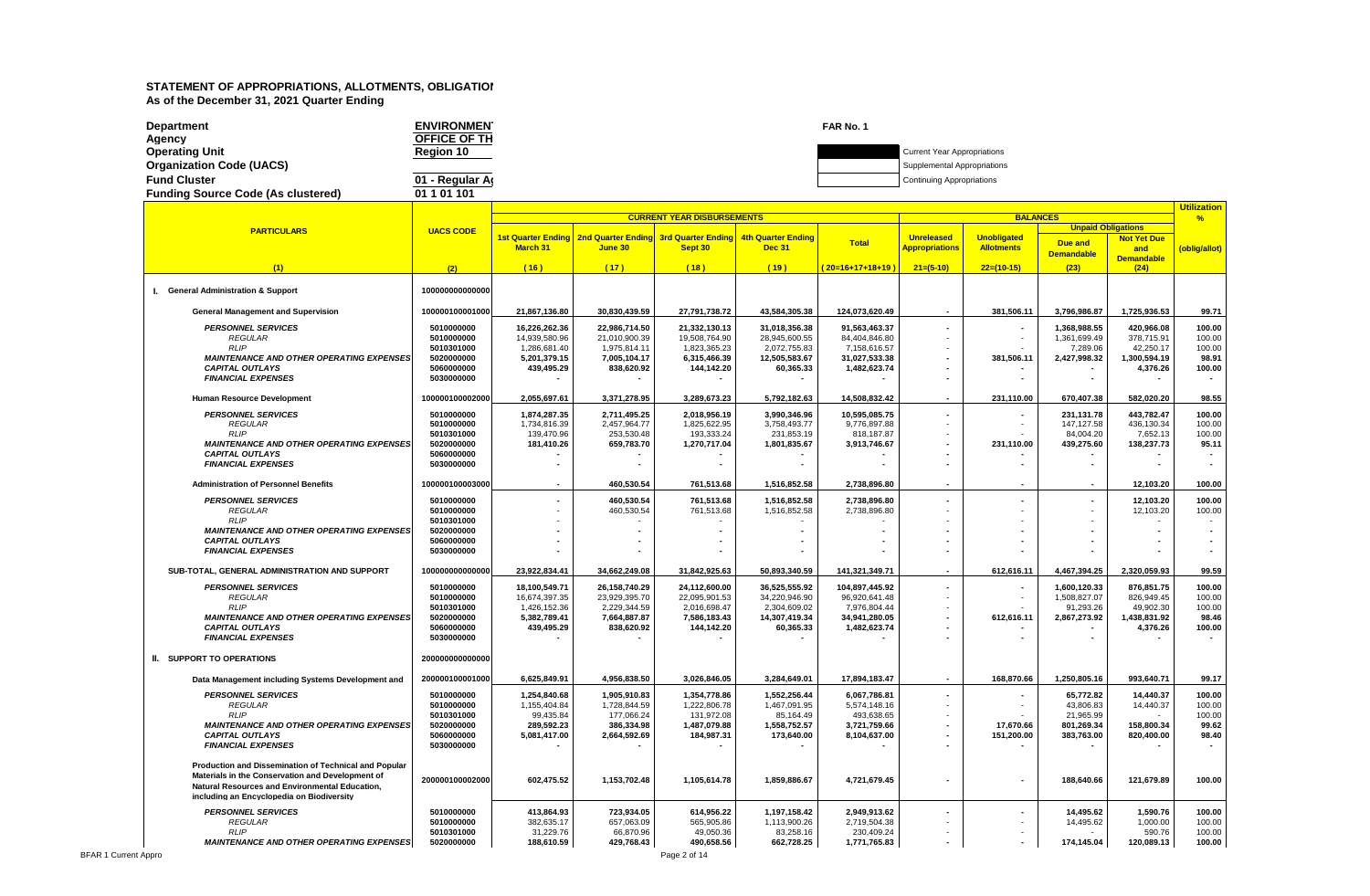| <b>Department</b>                         | <b>ENVIRONMEN</b> | FAR No. 1 |                                    |
|-------------------------------------------|-------------------|-----------|------------------------------------|
| Agency                                    | OFFICE OF TH      |           |                                    |
| Operating Unit                            | <b>Region 10</b>  |           | <b>Current Year Appropriations</b> |
| Organization Code (UACS)                  |                   |           | Supplemental Appropriations        |
| <b>Fund Cluster</b>                       | 01 - Regular Ar   |           | <b>Continuing Appropriations</b>   |
| <b>Funding Source Code (As clustered)</b> | 01 1 01 1 01      |           |                                    |

|                                                       |                          |                              |                                                |                                   |                              |                               |                          |                    |                           |                           | <b>Utilization</b> |
|-------------------------------------------------------|--------------------------|------------------------------|------------------------------------------------|-----------------------------------|------------------------------|-------------------------------|--------------------------|--------------------|---------------------------|---------------------------|--------------------|
|                                                       |                          |                              |                                                | <b>CURRENT YEAR DISBURSEMENTS</b> |                              |                               |                          | <b>BALANCES</b>    |                           |                           | $\frac{9}{6}$      |
| <b>PARTICULARS</b>                                    | <b>UACS CODE</b>         |                              | <u>1st Quarter Ending I 2nd Quarter Ending</u> | <b>3rd Quarter Ending</b>         | 4th Quarter Ending           |                               | <b>Unreleased</b>        | <b>Unobligated</b> | <b>Unpaid Obligations</b> |                           |                    |
|                                                       |                          | <b>March 31</b>              | June 30                                        | Sept 30                           | <b>Dec 31</b>                | <b>Total</b>                  | <b>Appropriations</b>    | <b>Allotments</b>  | Due and                   | <b>Not Yet Due</b><br>and | (oblig/allot)      |
|                                                       |                          |                              |                                                |                                   |                              |                               |                          |                    | <b>Demandable</b>         | <b>Demandable</b>         |                    |
| (1)                                                   | (2)                      | (16)                         | (17)                                           | (18)                              | (19)                         | $(20=16+17+18+19)$            | $21=(5-10)$              | $22=(10-15)$       | (23)                      | (24)                      |                    |
|                                                       |                          |                              |                                                |                                   |                              |                               |                          |                    |                           |                           |                    |
| I. General Administration & Support                   | 100000000000000          |                              |                                                |                                   |                              |                               |                          |                    |                           |                           |                    |
|                                                       |                          |                              |                                                |                                   |                              |                               |                          |                    |                           |                           |                    |
| <b>General Management and Supervision</b>             | 100000100001000          | 21,867,136.80                | 30,830,439.59                                  | 27,791,738.72                     | 43,584,305.38                | 124,073,620.49                | $\overline{\phantom{a}}$ | 381,506.11         | 3,796,986.87              | 1,725,936.53              | 99.71              |
| <b>PERSONNEL SERVICES</b>                             | 5010000000               | 16,226,262.36                | 22,986,714.50                                  | 21,332,130.13                     | 31,018,356.38                | 91,563,463.37                 |                          |                    | 1,368,988.55              | 420,966.08                | 100.00             |
| <b>REGULAR</b>                                        | 5010000000               | 14,939,580.96                | 21,010,900.39                                  | 19,508,764.90                     | 28,945,600.55                | 84,404,846.80                 |                          |                    | 1,361,699.49              | 378,715.91                | 100.00             |
| RLIP                                                  | 5010301000               | 1,286,681.40                 | 1,975,814.11                                   | 1,823,365.23                      | 2,072,755.83                 | 7,158,616.57                  |                          |                    | 7,289.06                  | 42,250.17                 | 100.00             |
| <b>MAINTENANCE AND OTHER OPERATING EXPENSES</b>       | 5020000000               | 5,201,379.15                 | 7,005,104.17                                   | 6,315,466.39                      | 12,505,583.67                | 31,027,533.38                 |                          | 381,506.11         | 2,427,998.32              | 1,300,594.19              | 98.91              |
| <b>CAPITAL OUTLAYS</b>                                | 5060000000               | 439,495.29                   | 838,620.92                                     | 144,142.20                        | 60,365.33                    | 1,482,623.74                  |                          |                    |                           | 4,376.26                  | 100.00             |
| <b>FINANCIAL EXPENSES</b>                             | 5030000000               |                              |                                                |                                   |                              |                               |                          |                    |                           |                           |                    |
| <b>Human Resource Development</b>                     | 100000100002000          | 2,055,697.61                 | 3,371,278.95                                   | 3,289,673.23                      | 5,792,182.63                 | 14,508,832.42                 |                          | 231,110.00         | 670,407.38                | 582,020.20                | 98.55              |
|                                                       |                          |                              |                                                |                                   |                              |                               |                          |                    |                           |                           |                    |
| <b>PERSONNEL SERVICES</b><br><b>REGULAR</b>           | 5010000000<br>5010000000 | 1,874,287.35<br>1,734,816.39 | 2,711,495.25<br>2,457,964.77                   | 2,018,956.19<br>1,825,622.95      | 3,990,346.96<br>3,758,493.77 | 10,595,085.75<br>9,776,897.88 |                          |                    | 231,131.78<br>147.127.58  | 443,782.47<br>436,130.34  | 100.00<br>100.00   |
| <b>RLIP</b>                                           | 5010301000               | 139,470.96                   | 253,530.48                                     | 193,333.24                        | 231,853.19                   | 818,187.87                    |                          |                    | 84,004.20                 | 7,652.13                  | 100.00             |
| <b>MAINTENANCE AND OTHER OPERATING EXPENSES</b>       | 5020000000               | 181,410.26                   | 659,783.70                                     | 1,270,717.04                      | 1,801,835.67                 | 3,913,746.67                  |                          | 231,110.00         | 439,275.60                | 138,237.73                | 95.11              |
| <b>CAPITAL OUTLAYS</b>                                | 5060000000               |                              |                                                |                                   |                              |                               |                          |                    |                           |                           |                    |
| <b>FINANCIAL EXPENSES</b>                             | 5030000000               |                              |                                                |                                   |                              |                               |                          |                    |                           |                           |                    |
|                                                       |                          |                              |                                                |                                   |                              |                               |                          |                    |                           |                           |                    |
| <b>Administration of Personnel Benefits</b>           | 100000100003000          |                              | 460,530.54                                     | 761,513.68                        | 1,516,852.58                 | 2,738,896.80                  | $\blacksquare$           |                    |                           | 12,103.20                 | 100.00             |
| <b>PERSONNEL SERVICES</b>                             | 5010000000               |                              | 460,530.54                                     | 761,513.68                        | 1,516,852.58                 | 2,738,896.80                  | $\blacksquare$           |                    |                           | 12,103.20                 | 100.00             |
| <b>REGULAR</b>                                        | 5010000000               |                              | 460,530.54                                     | 761,513.68                        | 1,516,852.58                 | 2,738,896.80                  |                          |                    |                           | 12,103.20                 | 100.00             |
| <b>RLIP</b>                                           | 5010301000               |                              |                                                |                                   |                              |                               |                          |                    |                           |                           |                    |
| <b>MAINTENANCE AND OTHER OPERATING EXPENSES</b>       | 5020000000               |                              |                                                |                                   |                              |                               |                          |                    |                           |                           |                    |
| <b>CAPITAL OUTLAYS</b>                                | 5060000000               |                              |                                                |                                   |                              |                               |                          |                    |                           |                           |                    |
| <b>FINANCIAL EXPENSES</b>                             | 5030000000               |                              |                                                |                                   |                              |                               |                          |                    |                           |                           |                    |
| SUB-TOTAL, GENERAL ADMINISTRATION AND SUPPORT         | 100000000000000          | 23,922,834.41                | 34,662,249.08                                  | 31,842,925.63                     | 50,893,340.59                | 141,321,349.71                |                          | 612,616.11         | 4,467,394.25              | 2,320,059.93              | 99.59              |
| <b>PERSONNEL SERVICES</b>                             | 5010000000               | 18,100,549.71                | 26,158,740.29                                  | 24,112,600.00                     | 36,525,555.92                | 104,897,445.92                | $\overline{\phantom{a}}$ |                    | 1,600,120.33              | 876,851.75                | 100.00             |
| <b>REGULAR</b>                                        | 5010000000               | 16,674,397.35                | 23,929,395.70                                  | 22,095,901.53                     | 34,220,946.90                | 96,920,641.48                 |                          |                    | 1,508,827.07              | 826,949.45                | 100.00             |
| <b>RLIP</b>                                           | 5010301000               | 1,426,152.36                 | 2,229,344.59                                   | 2,016,698.47                      | 2,304,609.02                 | 7,976,804.44                  |                          |                    | 91,293.26                 | 49,902.30                 | 100.00             |
| <b>MAINTENANCE AND OTHER OPERATING EXPENSES</b>       | 5020000000               | 5,382,789.41                 | 7,664,887.87                                   | 7,586,183.43                      | 14,307,419.34                | 34,941,280.05                 |                          | 612,616.11         | 2,867,273.92              | 1,438,831.92              | 98.46              |
| <b>CAPITAL OUTLAYS</b>                                | 5060000000               | 439,495.29                   | 838,620.92                                     | 144,142.20                        | 60,365.33                    | 1,482,623.74                  |                          |                    |                           | 4,376.26                  | 100.00             |
| <b>FINANCIAL EXPENSES</b>                             | 5030000000               |                              |                                                |                                   |                              |                               |                          |                    |                           |                           |                    |
|                                                       |                          |                              |                                                |                                   |                              |                               |                          |                    |                           |                           |                    |
| <b>II. SUPPORT TO OPERATIONS</b>                      | 200000000000000          |                              |                                                |                                   |                              |                               |                          |                    |                           |                           |                    |
| Data Management including Systems Development and     | 200000100001000          | 6,625,849.91                 | 4,956,838.50                                   | 3,026,846.05                      | 3,284,649.01                 | 17,894,183.47                 | $\sim$                   | 168,870.66         | 1,250,805.16              | 993,640.71                | 99.17              |
|                                                       |                          |                              |                                                |                                   |                              |                               |                          |                    |                           |                           |                    |
| <b>PERSONNEL SERVICES</b>                             | 5010000000               | 1,254,840.68                 | 1,905,910.83                                   | 1,354,778.86                      | 1,552,256.44                 | 6.067.786.81                  |                          |                    | 65,772.82                 | 14.440.37                 | 100.00             |
| <b>REGULAR</b><br><b>RLIP</b>                         | 5010000000<br>5010301000 | 1,155,404.84<br>99,435.84    | 1,728,844.59<br>177,066.24                     | 1,222,806.78<br>131,972.08        | 1,467,091.95<br>85,164.49    | 5,574,148.16<br>493,638.65    |                          |                    | 43,806.83<br>21,965.99    | 14,440.37                 | 100.00<br>100.00   |
| <b>MAINTENANCE AND OTHER OPERATING EXPENSES</b>       | 5020000000               | 289,592.23                   | 386,334.98                                     | 1,487,079.88                      | 1,558,752.57                 | 3,721,759.66                  |                          | 17,670.66          | 801,269.34                | 158,800.34                | 99.62              |
| <b>CAPITAL OUTLAYS</b>                                | 5060000000               | 5,081,417.00                 | 2,664,592.69                                   | 184,987.31                        | 173,640.00                   | 8,104,637.00                  |                          | 151,200.00         | 383,763.00                | 820,400.00                | 98.40              |
| <b>FINANCIAL EXPENSES</b>                             | 5030000000               |                              |                                                |                                   |                              |                               |                          |                    |                           |                           |                    |
|                                                       |                          |                              |                                                |                                   |                              |                               |                          |                    |                           |                           |                    |
| Production and Dissemination of Technical and Popular |                          |                              |                                                |                                   |                              |                               |                          |                    |                           |                           |                    |
| Materials in the Conservation and Development of      | 200000100002000          | 602,475.52                   | 1,153,702.48                                   | 1,105,614.78                      | 1,859,886.67                 | 4,721,679.45                  |                          |                    | 188,640.66                | 121,679.89                | 100.00             |
| Natural Resources and Environmental Education,        |                          |                              |                                                |                                   |                              |                               |                          |                    |                           |                           |                    |
| including an Encyclopedia on Biodiversity             |                          |                              |                                                |                                   |                              |                               |                          |                    |                           |                           |                    |
| <b>PERSONNEL SERVICES</b>                             | 5010000000               | 413,864.93                   | 723,934.05                                     | 614,956.22                        | 1,197,158.42                 | 2,949,913.62                  |                          |                    | 14,495.62                 | 1,590.76                  | 100.00             |
| <b>REGULAR</b>                                        | 5010000000               | 382,635.17                   | 657,063.09                                     | 565,905.86                        | 1,113,900.26                 | 2,719,504.38                  |                          |                    | 14,495.62                 | 1,000.00                  | 100.00             |
| RLIP                                                  | 5010301000               | 31,229.76                    | 66,870.96                                      | 49,050.36                         | 83,258.16                    | 230,409.24                    |                          |                    |                           | 590.76                    | 100.00             |
| <b>MAINTENANCE AND OTHER OPERATING EXPENSES</b>       | 5020000000               | 188,610.59                   | 429,768.43                                     | 490,658.56                        | 662,728.25                   | 1,771,765.83                  | $\blacksquare$           |                    | 174,145.04                | 120,089.13                | 100.00             |

BFAR 1 Current Appro Page 2 of 14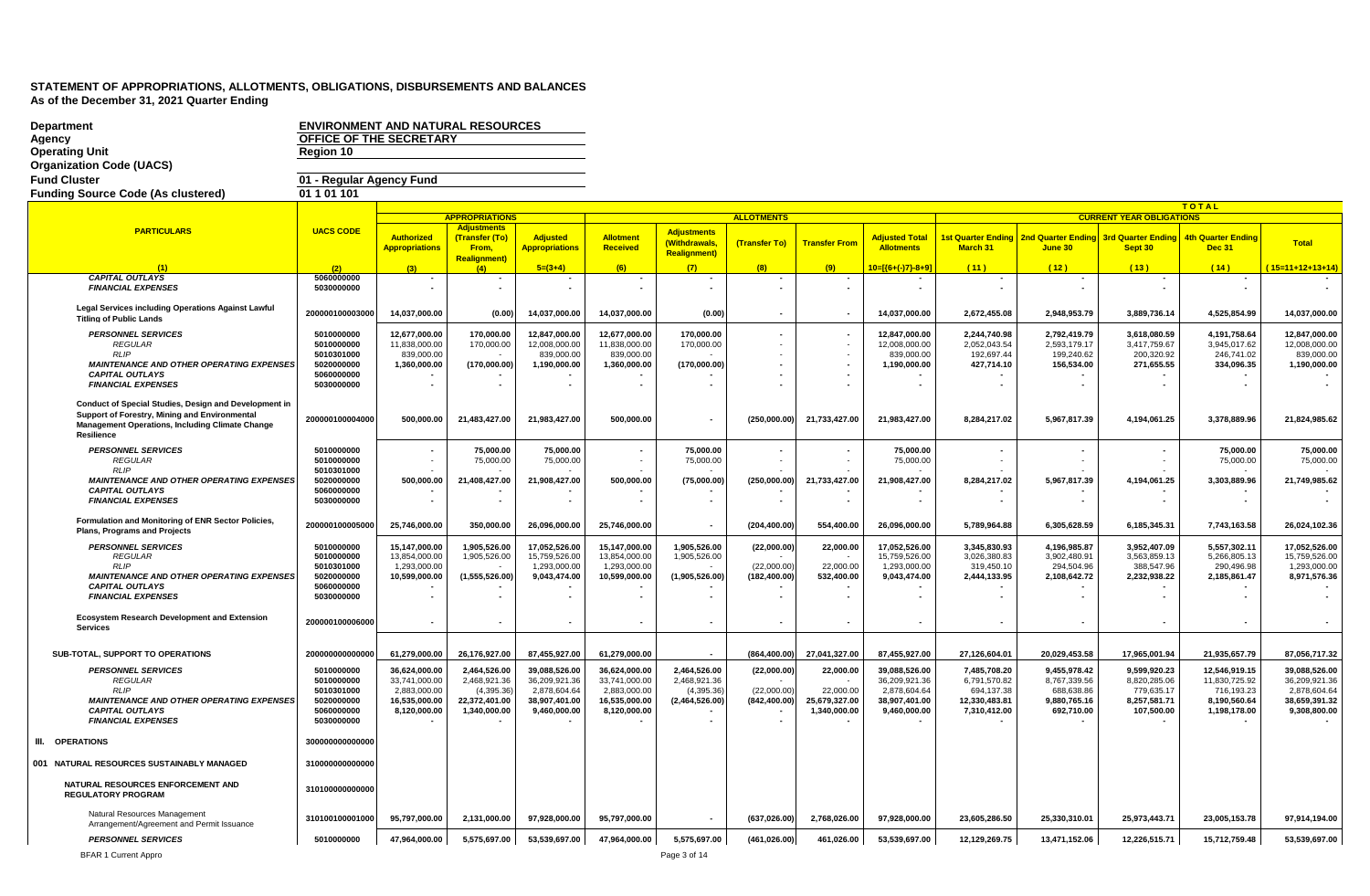| <b>Department</b>                                                                                      | <b>ENVIRONMENT AND NATURAL RESOURCES</b> |                                |                                      |                                |                                |                                     |                          |                               |                                |                               |                              |                                 |                              |                                |
|--------------------------------------------------------------------------------------------------------|------------------------------------------|--------------------------------|--------------------------------------|--------------------------------|--------------------------------|-------------------------------------|--------------------------|-------------------------------|--------------------------------|-------------------------------|------------------------------|---------------------------------|------------------------------|--------------------------------|
| Agency<br><b>Operating Unit</b>                                                                        | OFFICE OF THE SECRETARY<br>Region 10     |                                |                                      |                                |                                |                                     |                          |                               |                                |                               |                              |                                 |                              |                                |
| <b>Organization Code (UACS)</b>                                                                        |                                          |                                |                                      |                                |                                |                                     |                          |                               |                                |                               |                              |                                 |                              |                                |
| <b>Fund Cluster</b>                                                                                    | 01 - Regular Agency Fund                 |                                |                                      |                                |                                |                                     |                          |                               |                                |                               |                              |                                 |                              |                                |
| <b>Funding Source Code (As clustered)</b>                                                              | 01 1 01 1 01                             |                                |                                      |                                |                                |                                     |                          |                               |                                |                               |                              |                                 |                              |                                |
|                                                                                                        |                                          |                                |                                      |                                |                                |                                     |                          |                               |                                |                               |                              |                                 | <b>TOTAL</b>                 |                                |
|                                                                                                        |                                          |                                | <b>APPROPRIATIONS</b>                |                                |                                |                                     | <b>ALLOTMENTS</b>        |                               |                                |                               |                              | <b>CURRENT YEAR OBLIGATIONS</b> |                              |                                |
| <b>PARTICULARS</b>                                                                                     | <b>UACS CODE</b>                         | <b>Authorized</b>              | <b>Adjustments</b><br>(Transfer (To) | <b>Adjusted</b>                | <b>Allotment</b>               | <b>Adjustments</b><br>(Withdrawals. | (Transfer To)            | <b>Transfer From</b>          | <b>Adjusted Total</b>          | <b>Ist Quarter Ending</b>     | <b>2nd Quarter Ending</b>    | <b>3rd Quarter Ending</b>       | 4th Quarter Ending           | <b>Total</b>                   |
|                                                                                                        |                                          | <b>Appropriations</b>          | From,<br><b>Realignment)</b>         | <b>Appropriations</b>          | <b>Received</b>                | <b>Realignment)</b>                 |                          |                               | <b>Allotments</b>              | March 31                      | June 30                      | Sept 30                         | <b>Dec 31</b>                |                                |
|                                                                                                        | (2)                                      |                                | (4)                                  | $5=(3+4)$                      | (6)                            | (7)                                 | (8)                      | (9)                           | 10=[{6+(-)7}-8+9]              | (11)                          | (12)                         | (13)                            | (14)                         | $15=11+12+13+14$               |
| <b>CAPITAL OUTLAYS</b><br><b>FINANCIAL EXPENSES</b>                                                    | 5060000000<br>5030000000                 | $\overline{\phantom{a}}$       | $\blacksquare$                       |                                | $\overline{\phantom{a}}$       | $\sim$                              | $\blacksquare$           |                               | $\blacksquare$                 |                               | $\blacksquare$               |                                 |                              |                                |
| Legal Services including Operations Against Lawful                                                     | 200000100003000                          | 14,037,000.00                  | (0.00)                               | 14,037,000.00                  | 14,037,000.00                  | (0.00)                              | $\overline{\phantom{a}}$ |                               | 14,037,000.00                  | 2,672,455.08                  | 2,948,953.79                 | 3,889,736.14                    | 4,525,854.99                 | 14,037,000.00                  |
| <b>Titling of Public Lands</b>                                                                         |                                          |                                |                                      |                                |                                |                                     |                          |                               |                                |                               |                              |                                 |                              |                                |
| <b>PERSONNEL SERVICES</b><br><b>REGULAR</b>                                                            | 5010000000<br>5010000000                 | 12.677.000.00<br>11.838.000.00 | 170.000.00<br>170,000.00             | 12.847.000.00<br>12,008,000.00 | 12.677.000.00<br>11,838,000.00 | 170.000.00<br>170.000.00            |                          |                               | 12.847.000.00<br>12.008.000.00 | 2.244.740.98<br>2,052,043.54  | 2,792,419.79<br>2,593,179.17 | 3.618.080.59<br>3,417,759.67    | 4.191.758.64<br>3,945,017.62 | 12.847.000.00<br>12.008.000.00 |
| RLIP                                                                                                   | 5010301000                               | 839,000.00                     |                                      | 839,000.00                     | 839,000.00                     |                                     |                          |                               | 839,000.00                     | 192,697.44                    | 199,240.62                   | 200,320.92                      | 246,741.02                   | 839,000.00                     |
| <b>MAINTENANCE AND OTHER OPERATING EXPENSES</b><br><b>CAPITAL OUTLAYS</b>                              | 5020000000<br>5060000000                 | 1,360,000.00                   | (170,000.00)                         | 1,190,000.00                   | 1,360,000.00                   | (170,000.00)                        |                          | $\sim$                        | 1,190,000.00                   | 427,714.10                    | 156,534.00                   | 271,655.55                      | 334,096.35                   | 1,190,000.00                   |
| <b>FINANCIAL EXPENSES</b>                                                                              | 5030000000                               |                                |                                      |                                |                                |                                     |                          |                               |                                |                               |                              |                                 |                              |                                |
| Conduct of Special Studies, Design and Development in<br>Support of Forestry, Mining and Environmental | 200000100004000                          | 500,000.00                     | 21,483,427.00                        | 21,983,427.00                  | 500,000.00                     |                                     | (250,000.00)             | 21,733,427.00                 | 21,983,427.00                  | 8,284,217.02                  | 5,967,817.39                 | 4,194,061.25                    | 3,378,889.96                 | 21,824,985.62                  |
| <b>Management Operations, Including Climate Change</b><br>Resilience                                   |                                          |                                |                                      |                                |                                | $\overline{\phantom{a}}$            |                          |                               |                                |                               |                              |                                 |                              |                                |
| <b>PERSONNEL SERVICES</b><br><b>REGULAR</b>                                                            | 5010000000<br>5010000000                 |                                | 75.000.00<br>75,000.00               | 75.000.00<br>75,000.00         |                                | 75.000.00<br>75,000.00              |                          |                               | 75.000.00<br>75,000.00         |                               |                              |                                 | 75.000.00<br>75,000.00       | 75.000.00<br>75,000.00         |
| RLIP                                                                                                   | 5010301000                               |                                |                                      |                                |                                |                                     |                          |                               |                                |                               |                              |                                 |                              |                                |
| <b>MAINTENANCE AND OTHER OPERATING EXPENSES</b><br><b>CAPITAL OUTLAYS</b>                              | 5020000000<br>5060000000                 | 500,000.00                     | 21,408,427.00                        | 21,908,427.00                  | 500,000.00                     | (75,000.00)                         | (250,000.00)             | 21,733,427.00                 | 21,908,427.00                  | 8,284,217.02                  | 5,967,817.39                 | 4,194,061.25                    | 3,303,889.96                 | 21,749,985.62                  |
| <b>FINANCIAL EXPENSES</b>                                                                              | 5030000000                               |                                |                                      |                                |                                | $\sim$                              |                          |                               |                                |                               |                              |                                 | $\sim$                       |                                |
|                                                                                                        |                                          |                                |                                      |                                |                                |                                     |                          |                               |                                |                               |                              |                                 |                              |                                |
| Formulation and Monitoring of ENR Sector Policies,<br>Plans, Programs and Projects                     | 200000100005000                          | 25,746,000.00                  | 350,000.00                           | 26,096,000.00                  | 25,746,000.00                  | $\sim$                              | (204, 400.00)            | 554,400.00                    | 26,096,000.00                  | 5,789,964.88                  | 6,305,628.59                 | 6,185,345.31                    | 7,743,163.58                 | 26,024,102.36                  |
| <b>PERSONNEL SERVICES</b>                                                                              | 5010000000                               | 15,147,000.00                  | 1,905,526.00                         | 17,052,526.00                  | 15.147.000.00                  | 1,905,526.00                        | (22,000.00)              | 22,000.00                     | 17,052,526.00                  | 3.345.830.93                  | 4,196,985.87                 | 3,952,407.09                    | 5,557,302.11                 | 17,052,526.00                  |
| <b>REGULAR</b><br><b>RLIP</b>                                                                          | 5010000000<br>5010301000                 | 13,854,000.00<br>1,293,000.00  | 1,905,526.00                         | 15,759,526.00<br>1,293,000.00  | 13,854,000.00<br>1.293.000.00  | 1,905,526.00                        | (22,000.00)              | 22,000.00                     | 15,759,526.00<br>1,293,000.00  | 3.026.380.83<br>319,450.10    | 3,902,480.91<br>294.504.96   | 3,563,859.13<br>388,547.96      | 5,266,805.13<br>290,496.98   | 15,759,526.00<br>1,293,000.00  |
| <b>MAINTENANCE AND OTHER OPERATING EXPENSES</b>                                                        | 5020000000                               | 10,599,000.00                  | (1,555,526.00)                       | 9,043,474.00                   | 10,599,000.00                  | (1,905,526.00)                      | (182, 400.00)            | 532,400.00                    | 9,043,474.00                   | 2,444,133.95                  | 2,108,642.72                 | 2,232,938.22                    | 2,185,861.47                 | 8,971,576.36                   |
| <b>CAPITAL OUTLAYS</b><br><b>FINANCIAL EXPENSES</b>                                                    | 5060000000<br>5030000000                 |                                |                                      |                                |                                |                                     |                          | $\blacksquare$                |                                |                               |                              |                                 |                              |                                |
|                                                                                                        |                                          |                                |                                      |                                |                                |                                     |                          |                               |                                |                               |                              |                                 |                              |                                |
| <b>Ecosystem Research Development and Extension</b><br><b>Services</b>                                 | 200000100006000                          |                                |                                      |                                |                                |                                     |                          |                               |                                |                               |                              |                                 |                              |                                |
|                                                                                                        |                                          |                                |                                      |                                |                                |                                     |                          |                               |                                |                               |                              |                                 |                              |                                |
| SUB-TOTAL, SUPPORT TO OPERATIONS                                                                       | 200000000000000                          | 61,279,000.00                  | 26,176,927.00                        | 87,455,927.00                  | 61,279,000.00                  |                                     | (864, 400.00)            | 27,041,327.00                 | 87,455,927.00                  | 27,126,604.01                 | 20,029,453.58                | 17,965,001.94                   | 21,935,657.79                | 87,056,717.32                  |
| <b>PERSONNEL SERVICES</b>                                                                              | 5010000000                               | 36.624.000.00                  | 2.464.526.00                         | 39.088.526.00                  | 36.624.000.00                  | 2.464.526.00                        | (22,000.00)              | 22,000.00                     | 39.088.526.00                  | 7.485.708.20                  | 9,455,978.42                 | 9.599.920.23                    | 12.546.919.15                | 39.088.526.00                  |
| <b>REGULAR</b><br>RLIP                                                                                 | 5010000000<br>5010301000                 | 33,741,000.00<br>2.883.000.00  | 2,468,921.36<br>(4,395.36)           | 36,209,921.36<br>2.878.604.64  | 33,741,000.00<br>2,883,000.00  | 2.468.921.36<br>(4.395.36)          | (22.000.00)              | 22,000.00                     | 36,209,921.36<br>2.878.604.64  | 6,791,570.82<br>694,137.38    | 8,767,339.56<br>688.638.86   | 8,820,285.06<br>779,635.17      | 11,830,725.92<br>716.193.23  | 36,209,921.36<br>2.878.604.64  |
| <b>MAINTENANCE AND OTHER OPERATING EXPENSES</b><br><b>CAPITAL OUTLAYS</b><br><b>FINANCIAL EXPENSES</b> | 5020000000<br>5060000000<br>5030000000   | 16.535.000.00<br>8,120,000.00  | 22.372.401.00<br>1,340,000.00        | 38.907.401.00<br>9,460,000.00  | 16,535,000.00<br>8,120,000.00  | (2,464,526.00)                      | (842.400.00)             | 25,679,327.00<br>1,340,000.00 | 38.907.401.00<br>9,460,000.00  | 12,330,483.81<br>7,310,412.00 | 9,880,765.16<br>692,710.00   | 8,257,581.71<br>107,500.00      | 8.190.560.64<br>1,198,178.00 | 38,659,391.32<br>9,308,800.00  |
| III. OPERATIONS                                                                                        | 300000000000000                          |                                |                                      |                                |                                |                                     |                          |                               |                                |                               |                              |                                 |                              |                                |
| 001 NATURAL RESOURCES SUSTAINABLY MANAGED                                                              | 310000000000000                          |                                |                                      |                                |                                |                                     |                          |                               |                                |                               |                              |                                 |                              |                                |
|                                                                                                        |                                          |                                |                                      |                                |                                |                                     |                          |                               |                                |                               |                              |                                 |                              |                                |
| NATURAL RESOURCES ENFORCEMENT AND<br><b>REGULATORY PROGRAM</b>                                         | 310100000000000                          |                                |                                      |                                |                                |                                     |                          |                               |                                |                               |                              |                                 |                              |                                |
| Natural Resources Management<br>Arrangement/Agreement and Permit Issuance                              | 310100100001000                          | 95,797,000.00                  | 2,131,000.00                         | 97,928,000.00                  | 95,797,000.00                  |                                     | (637, 026.00)            | 2,768,026.00                  | 97,928,000.00                  | 23,605,286.50                 | 25,330,310.01                | 25,973,443.71                   | 23,005,153.78                | 97,914,194.00                  |
| <b>PERSONNEL SERVICES</b>                                                                              | 5010000000                               | 47,964,000.00                  | 5,575,697.00                         | 53,539,697.00                  | 47,964,000.00                  | 5,575,697.00                        | (461, 026.00)            | 461,026.00                    | 53,539,697.00                  | 12,129,269.75                 | 13,471,152.06                | 12,226,515.71                   | 15,712,759.48                | 53,539,697.00                  |
| <b>BFAR 1 Current Appro</b>                                                                            |                                          |                                |                                      |                                |                                | Page 3 of 14                        |                          |                               |                                |                               |                              |                                 |                              |                                |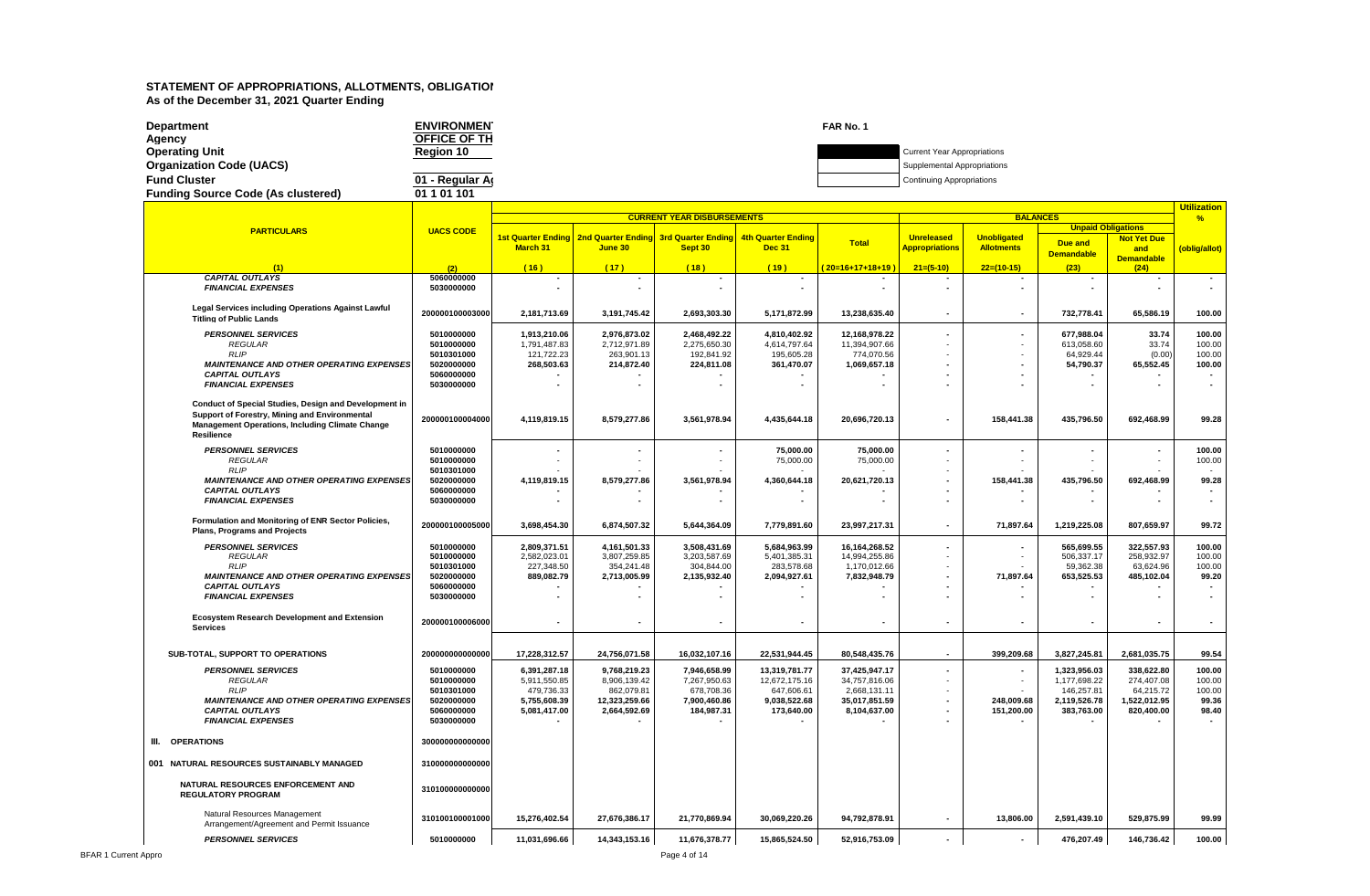| Department                                | <b>ENVIRONMEN</b>   | FAR No. 1 |                                    |
|-------------------------------------------|---------------------|-----------|------------------------------------|
| Agency                                    | <b>OFFICE OF TH</b> |           |                                    |
| Operating Unit                            | Region 10           |           | <b>Current Year Appropriations</b> |
| <b>Organization Code (UACS)</b>           |                     |           | Supplemental Appropriations        |
| <b>Fund Cluster</b>                       | 01 - Regular Ar     |           | <b>Continuing Appropriations</b>   |
| <b>Funding Source Code (As clustered)</b> | 01 1 01 101         |           |                                    |
|                                           |                     |           |                                    |

|                                                       |                  |                 |                                                              |                                   |                           |                 |                          |                    |                           |                    | <u>Utilization</u> |
|-------------------------------------------------------|------------------|-----------------|--------------------------------------------------------------|-----------------------------------|---------------------------|-----------------|--------------------------|--------------------|---------------------------|--------------------|--------------------|
|                                                       |                  |                 |                                                              | <b>CURRENT YEAR DISBURSEMENTS</b> |                           |                 |                          | <b>BALANCES</b>    |                           |                    | $\frac{9}{6}$      |
| <b>PARTICULARS</b>                                    | <b>UACS CODE</b> |                 |                                                              |                                   |                           |                 |                          |                    | <b>Unpaid Obligations</b> |                    |                    |
|                                                       |                  |                 | 1st Quarter Ending   2nd Quarter Ending   3rd Quarter Ending |                                   | <b>4th Quarter Ending</b> | <b>Total</b>    | <b>Unreleased</b>        | <b>Unobligated</b> |                           | <b>Not Yet Due</b> |                    |
|                                                       |                  | <b>March 31</b> | June 30                                                      | Sept 30                           | <b>Dec 31</b>             |                 | <b>Appropriations</b>    | <b>Allotments</b>  | Due and                   | and                | (oblig/allot)      |
|                                                       |                  |                 |                                                              |                                   |                           |                 |                          |                    | <b>Demandable</b>         | <b>Demandable</b>  |                    |
| (1)                                                   | (2)              | (16)            | (17)                                                         | (18)                              | (19)                      | 20=16+17+18+19) | $21=(5-10)$              | $22=(10-15)$       | (23)                      | (24)               |                    |
| <b>CAPITAL OUTLAYS</b>                                | 5060000000       |                 |                                                              |                                   |                           |                 |                          |                    |                           |                    | $\sim$             |
| <b>FINANCIAL EXPENSES</b>                             | 5030000000       |                 |                                                              |                                   |                           |                 | $\blacksquare$           |                    |                           |                    |                    |
|                                                       |                  |                 |                                                              |                                   |                           |                 |                          |                    |                           |                    |                    |
|                                                       |                  |                 |                                                              |                                   |                           |                 |                          |                    |                           |                    |                    |
| Legal Services including Operations Against Lawful    | 200000100003000  | 2,181,713.69    | 3,191,745.42                                                 | 2,693,303.30                      | 5,171,872.99              | 13,238,635.40   | $\blacksquare$           |                    | 732,778.41                | 65,586.19          | 100.00             |
| <b>Titling of Public Lands</b>                        |                  |                 |                                                              |                                   |                           |                 |                          |                    |                           |                    |                    |
| <b>PERSONNEL SERVICES</b>                             | 5010000000       | 1,913,210.06    | 2,976,873.02                                                 | 2.468.492.22                      | 4,810,402.92              | 12,168,978.22   |                          |                    | 677.988.04                | 33.74              | 100.00             |
|                                                       |                  |                 |                                                              |                                   |                           |                 |                          |                    |                           |                    |                    |
| <b>REGULAR</b>                                        | 5010000000       | 1,791,487.83    | 2,712,971.89                                                 | 2,275,650.30                      | 4,614,797.64              | 11,394,907.66   |                          |                    | 613,058.60                | 33.74              | 100.00             |
| <b>RLIP</b>                                           | 5010301000       | 121,722.23      | 263,901.13                                                   | 192,841.92                        | 195,605.28                | 774,070.56      |                          |                    | 64,929.44                 | (0.00)             | 100.00             |
| <b>MAINTENANCE AND OTHER OPERATING EXPENSES</b>       | 5020000000       | 268,503.63      | 214,872.40                                                   | 224,811.08                        | 361,470.07                | 1,069,657.18    |                          |                    | 54,790.37                 | 65,552.45          | 100.00             |
| <b>CAPITAL OUTLAYS</b>                                | 5060000000       |                 |                                                              |                                   |                           |                 |                          |                    |                           |                    |                    |
| <b>FINANCIAL EXPENSES</b>                             | 5030000000       |                 |                                                              |                                   |                           |                 |                          |                    |                           |                    |                    |
|                                                       |                  |                 |                                                              |                                   |                           |                 |                          |                    |                           |                    |                    |
| Conduct of Special Studies, Design and Development in |                  |                 |                                                              |                                   |                           |                 |                          |                    |                           |                    |                    |
| Support of Forestry, Mining and Environmental         |                  |                 |                                                              |                                   |                           |                 |                          |                    |                           |                    |                    |
| Management Operations, Including Climate Change       | 200000100004000  | 4,119,819.15    | 8,579,277.86                                                 | 3,561,978.94                      | 4,435,644.18              | 20,696,720.13   | $\overline{\phantom{a}}$ | 158,441.38         | 435,796.50                | 692,468.99         | 99.28              |
| Resilience                                            |                  |                 |                                                              |                                   |                           |                 |                          |                    |                           |                    |                    |
|                                                       |                  |                 |                                                              |                                   |                           |                 |                          |                    |                           |                    |                    |
| <b>PERSONNEL SERVICES</b>                             | 5010000000       |                 |                                                              |                                   | 75,000.00                 | 75,000.00       |                          |                    |                           |                    | 100.00             |
| <b>REGULAR</b>                                        | 5010000000       |                 |                                                              |                                   | 75,000.00                 | 75,000.00       |                          |                    |                           |                    | 100.00             |
| <b>RLIP</b>                                           | 5010301000       |                 |                                                              |                                   |                           |                 |                          |                    |                           |                    |                    |
| <b>MAINTENANCE AND OTHER OPERATING EXPENSES</b>       | 5020000000       | 4,119,819.15    | 8,579,277.86                                                 | 3,561,978.94                      | 4,360,644.18              | 20,621,720.13   |                          | 158,441.38         | 435,796.50                | 692,468.99         | 99.28              |
| <b>CAPITAL OUTLAYS</b>                                | 5060000000       |                 |                                                              |                                   |                           |                 |                          |                    |                           |                    |                    |
|                                                       |                  |                 |                                                              |                                   |                           |                 |                          |                    |                           |                    |                    |
| <b>FINANCIAL EXPENSES</b>                             | 5030000000       |                 |                                                              |                                   |                           |                 |                          |                    |                           |                    |                    |
|                                                       |                  |                 |                                                              |                                   |                           |                 |                          |                    |                           |                    |                    |
| Formulation and Monitoring of ENR Sector Policies,    | 200000100005000  | 3,698,454.30    | 6,874,507.32                                                 | 5,644,364.09                      | 7,779,891.60              | 23,997,217.31   | $\blacksquare$           | 71,897.64          | 1,219,225.08              | 807,659.97         | 99.72              |
| Plans, Programs and Projects                          |                  |                 |                                                              |                                   |                           |                 |                          |                    |                           |                    |                    |
|                                                       |                  |                 |                                                              |                                   |                           |                 | ٠                        |                    |                           | 322,557.93         |                    |
| <b>PERSONNEL SERVICES</b>                             | 5010000000       | 2,809,371.51    | 4,161,501.33                                                 | 3,508,431.69                      | 5,684,963.99              | 16, 164, 268.52 |                          |                    | 565,699.55                |                    | 100.00             |
| <b>REGULAR</b>                                        | 5010000000       | 2,582,023.01    | 3,807,259.85                                                 | 3,203,587.69                      | 5,401,385.31              | 14,994,255.86   |                          |                    | 506,337.17                | 258,932.97         | 100.00             |
| <b>RLIP</b>                                           | 5010301000       | 227,348.50      | 354,241.48                                                   | 304,844.00                        | 283,578.68                | 1,170,012.66    |                          |                    | 59,362.38                 | 63,624.96          | 100.00             |
| <b>MAINTENANCE AND OTHER OPERATING EXPENSES</b>       | 5020000000       | 889,082.79      | 2,713,005.99                                                 | 2,135,932.40                      | 2,094,927.61              | 7,832,948.79    |                          | 71,897.64          | 653,525.53                | 485,102.04         | 99.20              |
| <b>CAPITAL OUTLAYS</b>                                | 5060000000       |                 |                                                              |                                   |                           |                 |                          |                    |                           |                    |                    |
| <b>FINANCIAL EXPENSES</b>                             | 5030000000       |                 |                                                              |                                   |                           |                 |                          |                    |                           |                    |                    |
|                                                       |                  |                 |                                                              |                                   |                           |                 |                          |                    |                           |                    |                    |
| <b>Ecosystem Research Development and Extension</b>   |                  |                 |                                                              |                                   |                           |                 |                          |                    |                           |                    |                    |
| <b>Services</b>                                       | 200000100006000  |                 |                                                              |                                   | $\blacksquare$            |                 | $\blacksquare$           |                    | $\sim$                    |                    |                    |
|                                                       |                  |                 |                                                              |                                   |                           |                 |                          |                    |                           |                    |                    |
|                                                       |                  |                 |                                                              |                                   |                           |                 |                          |                    |                           |                    |                    |
| SUB-TOTAL, SUPPORT TO OPERATIONS                      | 200000000000000  | 17,228,312.57   | 24,756,071.58                                                | 16,032,107.16                     | 22,531,944.45             | 80,548,435.76   |                          | 399,209.68         | 3,827,245.81              | 2,681,035.75       | 99.54              |
| <b>PERSONNEL SERVICES</b>                             | 5010000000       | 6,391,287.18    | 9,768,219.23                                                 | 7,946,658.99                      | 13,319,781.77             | 37,425,947.17   |                          |                    | 1,323,956.03              | 338,622.80         | 100.00             |
| <b>REGULAR</b>                                        | 5010000000       | 5,911,550.85    | 8,906,139.42                                                 | 7,267,950.63                      | 12,672,175.16             | 34,757,816.06   | ٠                        |                    | 1,177,698.22              | 274,407.08         | 100.00             |
| RLIP                                                  |                  |                 |                                                              |                                   |                           |                 |                          |                    |                           |                    |                    |
|                                                       | 5010301000       | 479,736.33      | 862,079.81                                                   | 678,708.36                        | 647,606.61                | 2,668,131.11    |                          |                    | 146,257.81                | 64,215.72          | 100.00             |
| <b>MAINTENANCE AND OTHER OPERATING EXPENSES</b>       | 5020000000       | 5,755,608.39    | 12,323,259.66                                                | 7.900.460.86                      | 9.038.522.68              | 35,017,851.59   |                          | 248,009.68         | 2.119.526.78              | 1,522,012.95       | 99.36              |
| <b>CAPITAL OUTLAYS</b>                                | 5060000000       | 5,081,417.00    | 2,664,592.69                                                 | 184,987.31                        | 173,640.00                | 8,104,637.00    |                          | 151,200.00         | 383,763.00                | 820,400.00         | 98.40              |
| <b>FINANCIAL EXPENSES</b>                             | 5030000000       |                 |                                                              |                                   |                           |                 |                          |                    |                           |                    |                    |
|                                                       |                  |                 |                                                              |                                   |                           |                 |                          |                    |                           |                    |                    |
| III. OPERATIONS                                       | 300000000000000  |                 |                                                              |                                   |                           |                 |                          |                    |                           |                    |                    |
|                                                       |                  |                 |                                                              |                                   |                           |                 |                          |                    |                           |                    |                    |
| 001 NATURAL RESOURCES SUSTAINABLY MANAGED             | 310000000000000  |                 |                                                              |                                   |                           |                 |                          |                    |                           |                    |                    |
|                                                       |                  |                 |                                                              |                                   |                           |                 |                          |                    |                           |                    |                    |
| NATURAL RESOURCES ENFORCEMENT AND                     |                  |                 |                                                              |                                   |                           |                 |                          |                    |                           |                    |                    |
| <b>REGULATORY PROGRAM</b>                             | 310100000000000  |                 |                                                              |                                   |                           |                 |                          |                    |                           |                    |                    |
|                                                       |                  |                 |                                                              |                                   |                           |                 |                          |                    |                           |                    |                    |
|                                                       |                  |                 |                                                              |                                   |                           |                 |                          |                    |                           |                    |                    |
| Natural Resources Management                          | 310100100001000  | 15,276,402.54   | 27,676,386.17                                                | 21,770,869.94                     | 30,069,220.26             | 94,792,878.91   |                          | 13,806.00          | 2,591,439.10              | 529,875.99         | 99.99              |
| Arrangement/Agreement and Permit Issuance             |                  |                 |                                                              |                                   |                           |                 |                          |                    |                           |                    |                    |
| <b>PERSONNEL SERVICES</b>                             | 5010000000       | 11,031,696.66   | 14,343,153.16                                                | 11,676,378.77                     | 15,865,524.50             | 52,916,753.09   |                          |                    | 476,207.49                | 146,736.42         | 100.00             |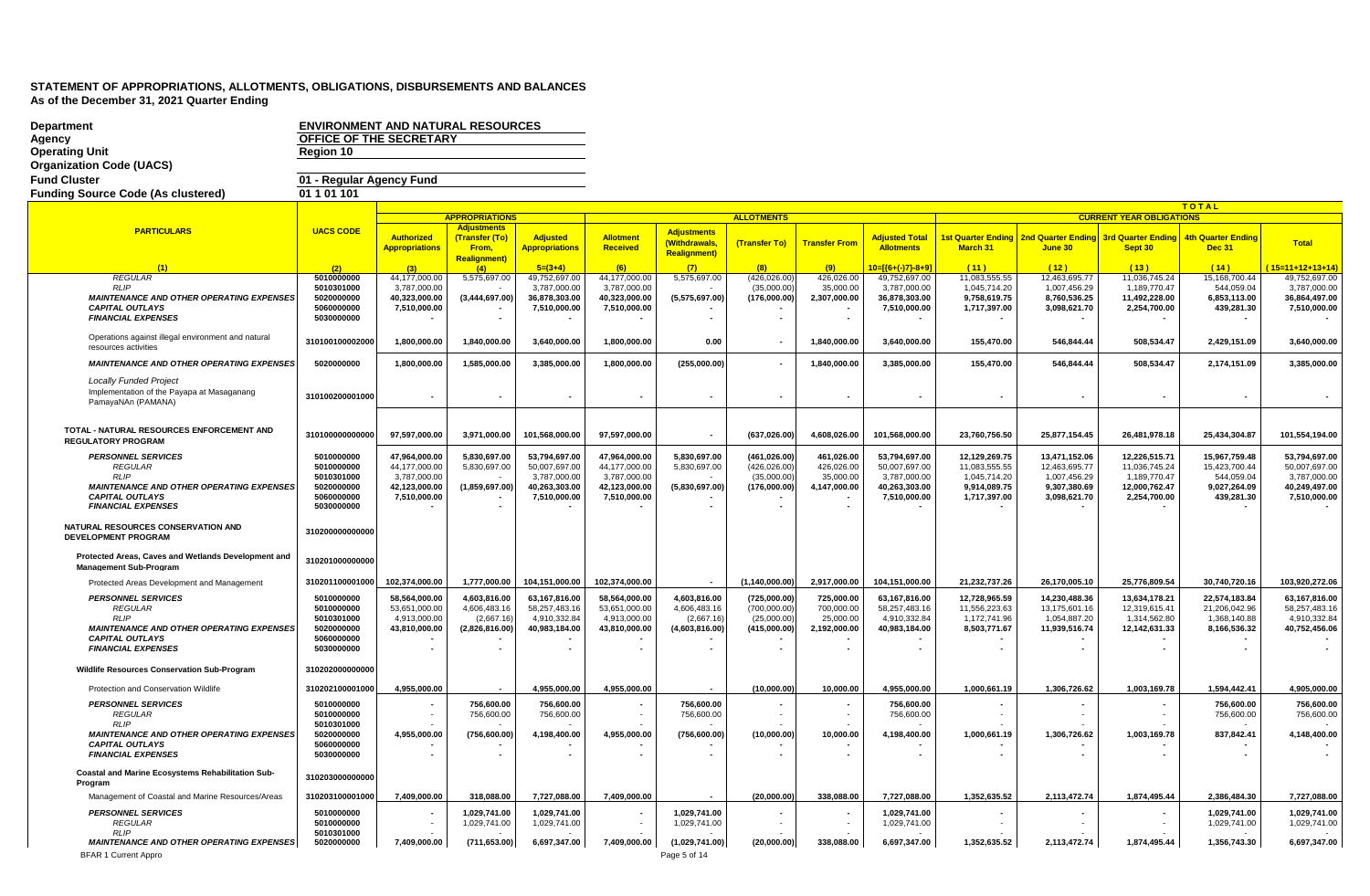| <b>Department</b>                                                                    | <b>ENVIRONMENT AND NATURAL RESOURCES</b> |                       |                              |                              |                      |                                     |                      |                      |                                                     |                                                          |                       |                                 |                              |                                  |
|--------------------------------------------------------------------------------------|------------------------------------------|-----------------------|------------------------------|------------------------------|----------------------|-------------------------------------|----------------------|----------------------|-----------------------------------------------------|----------------------------------------------------------|-----------------------|---------------------------------|------------------------------|----------------------------------|
| Agency                                                                               | OFFICE OF THE SECRETARY                  |                       |                              |                              |                      |                                     |                      |                      |                                                     |                                                          |                       |                                 |                              |                                  |
| <b>Operating Unit</b>                                                                | Region 10                                |                       |                              |                              |                      |                                     |                      |                      |                                                     |                                                          |                       |                                 |                              |                                  |
| <b>Organization Code (UACS)</b>                                                      |                                          |                       |                              |                              |                      |                                     |                      |                      |                                                     |                                                          |                       |                                 |                              |                                  |
| <b>Fund Cluster</b>                                                                  | 01 - Regular Agency Fund                 |                       |                              |                              |                      |                                     |                      |                      |                                                     |                                                          |                       |                                 |                              |                                  |
|                                                                                      |                                          |                       |                              |                              |                      |                                     |                      |                      |                                                     |                                                          |                       |                                 |                              |                                  |
| <b>Funding Source Code (As clustered)</b>                                            | 01 1 01 1 01                             |                       |                              |                              |                      |                                     |                      |                      |                                                     |                                                          |                       |                                 |                              |                                  |
|                                                                                      |                                          |                       | <b>APPROPRIATIONS</b>        |                              |                      |                                     | <b>ALLOTMENTS</b>    |                      |                                                     |                                                          |                       | <b>CURRENT YEAR OBLIGATIONS</b> | <b>TOTAL</b>                 |                                  |
|                                                                                      |                                          |                       | <b>Adjustments</b>           |                              |                      |                                     |                      |                      |                                                     |                                                          |                       |                                 |                              |                                  |
| <b>PARTICULARS</b>                                                                   | <b>UACS CODE</b>                         | <b>Authorized</b>     | (Transfer (To)               | <b>Adjusted</b>              | Allotment            | <b>Adjustments</b><br>(Withdrawals, |                      | <b>Transfer From</b> | <b>Adjusted Total</b>                               | 1st Quarter Ending 2nd Quarter Ending 3rd Quarter Ending |                       |                                 | <b>4th Quarter Ending</b>    | Total                            |
|                                                                                      |                                          | <b>Appropriations</b> | From,                        | <u>Appropriations</u>        | Received             | <b>Realignment)</b>                 | (Transfer To)        |                      | <b>Allotments</b>                                   | <b>March 31</b>                                          | June 30               | Sept 30                         | <b>Dec 31</b>                |                                  |
|                                                                                      |                                          |                       | Realignment)                 |                              |                      |                                     |                      |                      |                                                     |                                                          |                       |                                 |                              |                                  |
| <b>REGULAR</b>                                                                       | (2)<br>5010000000                        | (3)<br>44,177,000.00  | (4)<br>5,575,697.00          | $5=(3+4)$<br>49,752,697.00   | (6)<br>44,177,000.00 | (7)<br>5,575,697.00                 | (8)<br>(426, 026.00) | (9)<br>426,026.00    | $10 = \frac{6 + (-17) - 8 + 9}{2}$<br>49,752,697.00 | (11)<br>11,083,555.55                                    | (12)<br>12,463,695.77 | (13)<br>11,036,745.24           | (14)<br>15,168,700.44        | 15=11+12+13+14)<br>49,752,697.00 |
| RI IF                                                                                | 5010301000                               | 3,787,000.00          |                              | 3,787,000.00                 | 3,787,000.00         |                                     | (35,000.00)          | 35,000.00            | 3,787,000.00                                        | 1,045,714.20                                             | 1,007,456.29          | 1,189,770.47                    | 544,059.04                   | 3,787,000.00                     |
| <b>MAINTENANCE AND OTHER OPERATING EXPENSES</b>                                      | 5020000000                               | 40,323,000.00         | (3,444,697.00)               | 36,878,303.00                | 40,323,000.00        | (5,575,697.00)                      | (176,000.00)         | 2,307,000.00         | 36,878,303.00                                       | 9,758,619.75                                             | 8,760,536.25          | 11,492,228.00                   | 6,853,113.00                 | 36,864,497.00                    |
| <b>CAPITAL OUTLAYS</b>                                                               | 5060000000                               | 7,510,000.00          |                              | 7,510,000.00                 | 7,510,000.00         |                                     |                      |                      | 7,510,000.00                                        | 1,717,397.00                                             | 3,098,621.70          | 2,254,700.00                    | 439,281.30                   | 7,510,000.00                     |
| <b>FINANCIAL EXPENSES</b>                                                            | 5030000000                               |                       |                              |                              |                      |                                     |                      |                      |                                                     |                                                          |                       |                                 |                              |                                  |
| Operations against illegal environment and natural                                   |                                          |                       |                              |                              |                      |                                     |                      |                      |                                                     |                                                          |                       |                                 |                              |                                  |
| resources activities                                                                 | 310100100002000                          | 1,800,000.00          | 1,840,000.00                 | 3,640,000.00                 | 1,800,000.00         | 0.00                                | $\blacksquare$       | 1,840,000.00         | 3,640,000.00                                        | 155,470.00                                               | 546,844.44            | 508,534.47                      | 2,429,151.09                 | 3,640,000.00                     |
|                                                                                      |                                          |                       |                              |                              |                      |                                     |                      |                      |                                                     |                                                          |                       |                                 |                              |                                  |
| <b>MAINTENANCE AND OTHER OPERATING EXPENSES</b>                                      | 5020000000                               | 1,800,000.00          | 1,585,000.00                 | 3,385,000.00                 | 1,800,000.00         | (255,000.00)                        |                      | 1,840,000.00         | 3,385,000.00                                        | 155,470.00                                               | 546,844.44            | 508,534.47                      | 2,174,151.09                 | 3,385,000.00                     |
| <b>Locally Funded Project</b>                                                        |                                          |                       |                              |                              |                      |                                     |                      |                      |                                                     |                                                          |                       |                                 |                              |                                  |
| Implementation of the Payapa at Masaganang                                           | 310100200001000                          |                       |                              |                              |                      |                                     |                      |                      |                                                     |                                                          |                       |                                 |                              |                                  |
| PamayaNAn (PAMANA)                                                                   |                                          |                       |                              |                              |                      |                                     |                      |                      |                                                     |                                                          |                       |                                 |                              |                                  |
|                                                                                      |                                          |                       |                              |                              |                      |                                     |                      |                      |                                                     |                                                          |                       |                                 |                              |                                  |
| TOTAL - NATURAL RESOURCES ENFORCEMENT AND                                            |                                          |                       |                              |                              |                      |                                     |                      |                      |                                                     |                                                          |                       |                                 |                              |                                  |
| <b>REGULATORY PROGRAM</b>                                                            | 310100000000000                          | 97,597,000.00         | 3,971,000.00                 | 101,568,000.00               | 97,597,000.00        |                                     | (637, 026.00)        | 4,608,026.00         | 101,568,000.00                                      | 23,760,756.50                                            | 25,877,154.45         | 26,481,978.18                   | 25,434,304.87                | 101,554,194.00                   |
| <b>PERSONNEL SERVICES</b>                                                            | 5010000000                               | 47,964,000.00         | 5,830,697.00                 | 53,794,697.00                | 47,964,000.00        | 5,830,697.00                        | (461, 026.00)        | 461,026.00           | 53,794,697.00                                       | 12,129,269.75                                            | 13,471,152.06         | 12,226,515.71                   | 15,967,759.48                | 53,794,697.00                    |
| <b>REGULAR</b>                                                                       | 5010000000                               | 44,177,000.00         | 5,830,697.00                 | 50,007,697.00                | 44,177,000.00        | 5,830,697.00                        | (426, 026.00)        | 426,026.00           | 50,007,697.00                                       | 11,083,555.55                                            | 12,463,695.77         | 11,036,745.24                   | 15,423,700.44                | 50,007,697.00                    |
| RLIP                                                                                 | 5010301000                               | 3,787,000.00          |                              | 3,787,000.00                 | 3,787,000.00         |                                     | (35,000.00)          | 35,000.00            | 3,787,000.00                                        | 1,045,714.20                                             | 1,007,456.29          | 1,189,770.47                    | 544,059.04                   | 3,787,000.00                     |
| <b>MAINTENANCE AND OTHER OPERATING EXPENSES</b>                                      | 5020000000                               | 42,123,000.00         | (1,859,697.00)               | 40,263,303.00                | 42,123,000.00        | (5,830,697.00)                      | (176,000.00)         | 4,147,000.00         | 40,263,303.00                                       | 9,914,089.75                                             | 9,307,380.69          | 12,000,762.47                   | 9,027,264.09                 | 40,249,497.00                    |
| <b>CAPITAL OUTLAYS</b><br><b>FINANCIAL EXPENSES</b>                                  | 5060000000<br>5030000000                 | 7,510,000.00          |                              | 7,510,000.00                 | 7,510,000.00         |                                     |                      |                      | 7,510,000.00                                        | 1,717,397.00                                             | 3,098,621.70          | 2,254,700.00                    | 439,281.30                   | 7,510,000.00                     |
|                                                                                      |                                          |                       |                              |                              |                      |                                     |                      |                      |                                                     |                                                          |                       |                                 |                              |                                  |
| NATURAL RESOURCES CONSERVATION AND                                                   |                                          |                       |                              |                              |                      |                                     |                      |                      |                                                     |                                                          |                       |                                 |                              |                                  |
| <b>DEVELOPMENT PROGRAM</b>                                                           | 310200000000000                          |                       |                              |                              |                      |                                     |                      |                      |                                                     |                                                          |                       |                                 |                              |                                  |
|                                                                                      |                                          |                       |                              |                              |                      |                                     |                      |                      |                                                     |                                                          |                       |                                 |                              |                                  |
| Protected Areas, Caves and Wetlands Development and<br><b>Management Sub-Program</b> | 310201000000000                          |                       |                              |                              |                      |                                     |                      |                      |                                                     |                                                          |                       |                                 |                              |                                  |
|                                                                                      |                                          |                       |                              |                              |                      |                                     |                      |                      |                                                     |                                                          |                       |                                 |                              |                                  |
| Protected Areas Development and Management                                           | 310201100001000                          | 102.374.000.00        | 1.777.000.00                 | 104.151.000.00               | 102.374.000.00       |                                     | (1.140.000.00)       | 2.917.000.00         | 104.151.000.00                                      | 21,232,737.26                                            | 26,170,005.10         | 25.776.809.54                   | 30.740.720.16                | 103,920,272.06                   |
| <b>PERSONNEL SERVICES</b>                                                            | 5010000000                               | 58,564,000.00         | 4,603,816.00                 | 63,167,816.00                | 58,564,000.00        | 4,603,816.00                        | (725,000.00)         | 725,000.00           | 63,167,816.00                                       | 12,728,965.59                                            | 14,230,488.36         | 13,634,178.21                   | 22,574,183.84                | 63,167,816.00                    |
| <b>REGULAR</b>                                                                       | 5010000000                               | 53,651,000.00         | 4,606,483.16                 | 58,257,483.16                | 53,651,000.00        | 4,606,483.16                        | (700,000.00)         | 700,000.00           | 58,257,483.16                                       | 11,556,223.63                                            | 13,175,601.16         | 12,319,615.41                   | 21,206,042.96                | 58,257,483.16                    |
| <b>RLIP</b>                                                                          | 5010301000                               | 4,913,000.00          | (2,667.16)                   | 4,910,332.84                 | 4,913,000.00         | (2,667.16)                          | (25,000.00)          | 25,000.00            | 4,910,332.84                                        | 1,172,741.96                                             | 1,054,887.20          | 1,314,562.80                    | 1,368,140.88                 | 4,910,332.84                     |
| <b>MAINTENANCE AND OTHER OPERATING EXPENSES</b><br><b>CAPITAL OUTLAYS</b>            | 5020000000<br>5060000000                 | 43,810,000.00         | (2,826,816.00)               | 40,983,184.00                | 43,810,000.00        | (4,603,816.00)                      | (415,000.00)         | 2,192,000.00         | 40,983,184.00                                       | 8,503,771.67                                             | 11,939,516.74         | 12,142,631.33                   | 8,166,536.32                 | 40,752,456.06                    |
| <b>FINANCIAL EXPENSES</b>                                                            | 5030000000                               | $\sim$                | $\blacksquare$               |                              |                      |                                     |                      |                      |                                                     |                                                          |                       |                                 | $\overline{\phantom{a}}$     |                                  |
|                                                                                      |                                          |                       |                              |                              |                      |                                     |                      |                      |                                                     |                                                          |                       |                                 |                              |                                  |
| Wildlife Resources Conservation Sub-Program                                          | 310202000000000                          |                       |                              |                              |                      |                                     |                      |                      |                                                     |                                                          |                       |                                 |                              |                                  |
| Protection and Conservation Wildlife                                                 | 310202100001000                          | 4.955.000.00          |                              | 4.955.000.00                 | 4.955.000.00         |                                     | (10.000.00)          | 10.000.00            | 4.955.000.00                                        | 1.000.661.19                                             | 1.306.726.62          | 1.003.169.78                    | 1.594.442.41                 | 4,905,000.00                     |
|                                                                                      |                                          |                       |                              |                              |                      |                                     |                      |                      |                                                     |                                                          |                       |                                 |                              |                                  |
| <b>PERSONNEL SERVICES</b>                                                            | 5010000000                               |                       | 756,600.00                   | 756,600.00                   |                      | 756,600.00                          |                      |                      | 756,600.00                                          |                                                          |                       |                                 | 756,600.00                   | 756,600.00                       |
| <b>REGULAR</b><br><b>RLIP</b>                                                        | 5010000000<br>5010301000                 |                       | 756,600.00                   | 756,600.00                   |                      | 756,600.00                          |                      |                      | 756,600.00                                          |                                                          |                       |                                 | 756,600.00                   | 756,600.00                       |
| <b>MAINTENANCE AND OTHER OPERATING EXPENSES</b>                                      | 5020000000                               | 4,955,000.00          | (756, 600.00)                | 4,198,400.00                 | 4,955,000.00         | (756, 600.00)                       | (10,000.00)          | 10,000.00            | 4,198,400.00                                        | 1,000,661.19                                             | 1,306,726.62          | 1,003,169.78                    | 837,842.41                   | 4,148,400.00                     |
| <b>CAPITAL OUTLAYS</b>                                                               | 5060000000                               |                       |                              |                              |                      |                                     |                      |                      |                                                     |                                                          |                       |                                 |                              |                                  |
| <b>FINANCIAL EXPENSES</b>                                                            | 5030000000                               |                       |                              |                              |                      |                                     |                      |                      |                                                     |                                                          |                       |                                 |                              |                                  |
| Coastal and Marine Ecosystems Rehabilitation Sub-                                    |                                          |                       |                              |                              |                      |                                     |                      |                      |                                                     |                                                          |                       |                                 |                              |                                  |
| Program                                                                              | 310203000000000                          |                       |                              |                              |                      |                                     |                      |                      |                                                     |                                                          |                       |                                 |                              |                                  |
| Management of Coastal and Marine Resources/Areas                                     | 310203100001000                          | 7,409,000.00          | 318,088.00                   | 7,727,088.00                 | 7,409,000.00         |                                     | (20,000.00)          | 338,088.00           | 7,727,088.00                                        | 1,352,635.52                                             | 2,113,472.74          | 1,874,495.44                    | 2,386,484.30                 | 7,727,088.00                     |
|                                                                                      |                                          |                       |                              |                              |                      |                                     |                      |                      |                                                     |                                                          |                       |                                 |                              |                                  |
| <b>PERSONNEL SERVICES</b><br><b>REGULAR</b>                                          | 5010000000<br>5010000000                 |                       | 1.029.741.00<br>1,029,741.00 | 1.029.741.00<br>1,029,741.00 |                      | 1.029.741.00<br>1.029.741.00        | $\sim$               |                      | 1.029.741.00<br>1,029,741.00                        |                                                          |                       |                                 | 1.029.741.00<br>1,029,741.00 | 1.029.741.00<br>1,029,741.00     |
| $RI$ IF                                                                              | 5010301000                               |                       |                              |                              |                      |                                     |                      |                      |                                                     |                                                          |                       |                                 |                              |                                  |
| <b>MAINTENANCE AND OTHER OPERATING EXPENSES</b>                                      | 5020000000                               | 7,409,000.00          | (711, 653.00)                | 6,697,347.00                 | 7,409,000.00         | (1,029,741.00)                      | (20,000.00)          | 338,088.00           | 6,697,347.00                                        | 1,352,635.52                                             | 2,113,472.74          | 1,874,495.44                    | 1,356,743.30                 | 6,697,347.00                     |
| <b>BFAR 1 Current Appro</b>                                                          |                                          |                       |                              |                              |                      | Page 5 of 14                        |                      |                      |                                                     |                                                          |                       |                                 |                              |                                  |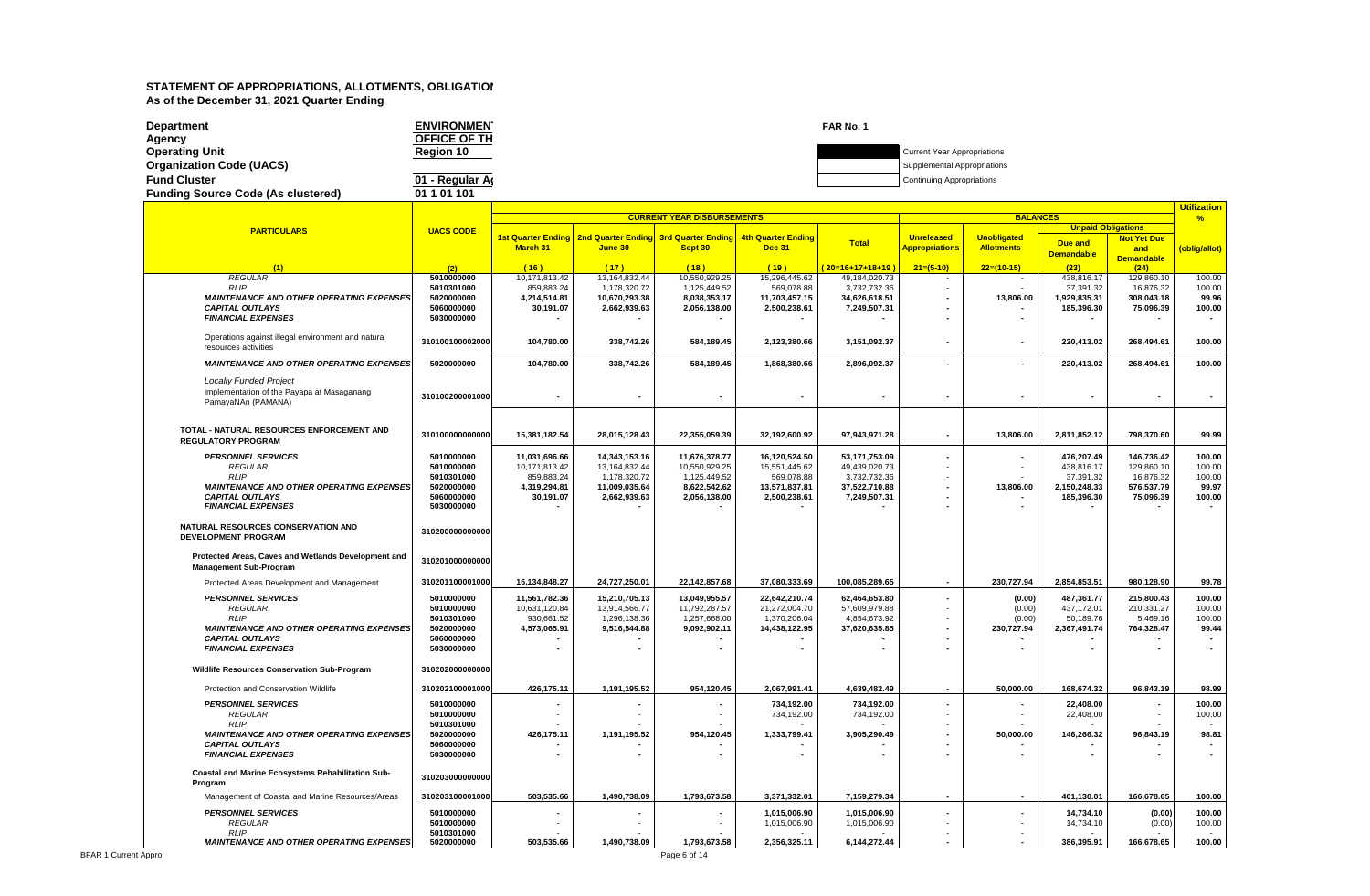| Department                                | <b>ENVIRONMEN</b>   | FAR No. 1 |                                    |
|-------------------------------------------|---------------------|-----------|------------------------------------|
| Agency                                    | <b>OFFICE OF TH</b> |           |                                    |
| <b>Operating Unit</b>                     | Region 10           |           | <b>Current Year Appropriations</b> |
| <b>Organization Code (UACS)</b>           |                     |           | Supplemental Appropriations        |
| <b>Fund Cluster</b>                       | 01 - Regular Ar     |           | <b>Continuing Appropriations</b>   |
| <b>Funding Source Code (As clustered)</b> | 01 1 01 101         |           |                                    |

|                                                                |                          | <b>CURRENT YEAR DISBURSEMENTS</b> |                               |                                       |                               |                               |                          | <b>BALANCES</b>    |                           |                         |                  |  |
|----------------------------------------------------------------|--------------------------|-----------------------------------|-------------------------------|---------------------------------------|-------------------------------|-------------------------------|--------------------------|--------------------|---------------------------|-------------------------|------------------|--|
| <b>PARTICULARS</b>                                             | <b>UACS CODE</b>         |                                   |                               |                                       |                               |                               |                          |                    | <b>Unpaid Obligations</b> |                         | %                |  |
|                                                                |                          | 1st Quarter Ending                |                               | 2nd Quarter Ending 3rd Quarter Ending | 4th Quarter Ending            | <b>Total</b>                  | <b>Unreleased</b>        | <b>Unobligated</b> | Due and                   | <b>Not Yet Due</b>      |                  |  |
|                                                                |                          | <b>March 31</b>                   | June 30                       | Sept 30                               | <b>Dec 31</b>                 |                               | <b>Appropriations</b>    | <b>Allotments</b>  | <b>Demandable</b>         | and                     | (oblig/allot)    |  |
| (1)                                                            | (2)                      | (16)                              | (17)                          | (18)                                  | (19)                          | $20=16+17+18+19$              | $21=(5-10)$              | $22=(10-15)$       | (23)                      | <b>Demandable</b>       |                  |  |
| <b>REGULAR</b>                                                 | 5010000000               | 10,171,813.42                     | 13, 164, 832.44               | 10,550,929.25                         | 15,296,445.62                 | 49,184,020.73                 |                          |                    | 438,816.17                | (24)<br>129,860.10      | 100.00           |  |
| <b>RLIP</b>                                                    | 5010301000               | 859,883.24                        | 1,178,320.72                  | 1,125,449.52                          | 569,078.88                    | 3,732,732.36                  | $\sim$                   |                    | 37,391.32                 | 16,876.32               | 100.00           |  |
| <b>MAINTENANCE AND OTHER OPERATING EXPENSES</b>                | 5020000000               | 4,214,514.81                      | 10,670,293.38                 | 8,038,353.17                          | 11,703,457.15                 | 34,626,618.51                 |                          | 13,806.00          | 1,929,835.31              | 308,043.18              | 99.96            |  |
| <b>CAPITAL OUTLAYS</b>                                         | 5060000000               | 30,191.07                         | 2,662,939.63                  | 2,056,138.00                          | 2,500,238.61                  | 7,249,507.31                  |                          |                    | 185,396.30                | 75,096.39               | 100.00           |  |
| <b>FINANCIAL EXPENSES</b>                                      | 5030000000               |                                   |                               |                                       |                               |                               |                          | $\blacksquare$     |                           |                         | $\sim$           |  |
| Operations against illegal environment and natural             | 310100100002000          | 104,780.00                        | 338,742.26                    | 584,189.45                            | 2,123,380.66                  | 3,151,092.37                  | $\blacksquare$           |                    | 220,413.02                | 268,494.61              | 100.00           |  |
| resources activities                                           |                          |                                   |                               |                                       |                               |                               |                          |                    |                           |                         |                  |  |
| <b>MAINTENANCE AND OTHER OPERATING EXPENSES</b>                | 5020000000               | 104,780.00                        | 338,742.26                    | 584,189.45                            | 1,868,380.66                  | 2,896,092.37                  |                          |                    | 220,413.02                | 268,494.61              | 100.00           |  |
| <b>Locally Funded Project</b>                                  |                          |                                   |                               |                                       |                               |                               |                          |                    |                           |                         |                  |  |
| Implementation of the Payapa at Masaganang                     |                          |                                   |                               |                                       |                               |                               |                          |                    | $\blacksquare$            |                         |                  |  |
| PamayaNAn (PAMANA)                                             | 310100200001000          |                                   |                               |                                       |                               |                               |                          |                    |                           |                         | $\sim$           |  |
|                                                                |                          |                                   |                               |                                       |                               |                               |                          |                    |                           |                         |                  |  |
| TOTAL - NATURAL RESOURCES ENFORCEMENT AND                      | 310100000000000          |                                   |                               |                                       |                               |                               |                          |                    |                           |                         |                  |  |
| <b>REGULATORY PROGRAM</b>                                      |                          | 15,381,182.54                     | 28,015,128.43                 | 22,355,059.39                         | 32,192,600.92                 | 97,943,971.28                 | $\sim$                   | 13,806.00          | 2,811,852.12              | 798,370.60              | 99.99            |  |
| <b>PERSONNEL SERVICES</b>                                      | 5010000000               | 11.031.696.66                     | 14,343,153.16                 | 11,676,378.77                         | 16,120,524.50                 | 53,171,753.09                 |                          |                    | 476.207.49                | 146,736.42              | 100.00           |  |
| <b>REGULAR</b>                                                 | 5010000000               | 10,171,813.42                     | 13,164,832.44                 | 10,550,929.25                         | 15,551,445.62                 | 49,439,020.73                 |                          |                    | 438,816.17                | 129,860.10              | 100.00           |  |
| <b>RLIP</b><br><b>MAINTENANCE AND OTHER OPERATING EXPENSES</b> | 5010301000<br>5020000000 | 859,883.24<br>4,319,294.81        | 1,178,320.72<br>11,009,035.64 | 1,125,449.52<br>8,622,542.62          | 569,078.88<br>13,571,837.81   | 3,732,732.36<br>37,522,710.88 |                          | 13,806.00          | 37,391.32<br>2,150,248.33 | 16,876.32<br>576,537.79 | 100.00<br>99.97  |  |
| <b>CAPITAL OUTLAYS</b>                                         | 5060000000               | 30,191.07                         | 2,662,939.63                  | 2,056,138.00                          | 2,500,238.61                  | 7,249,507.31                  |                          |                    | 185,396.30                | 75,096.39               | 100.00           |  |
| <b>FINANCIAL EXPENSES</b>                                      | 5030000000               |                                   |                               |                                       |                               |                               |                          | $\sim$             |                           |                         |                  |  |
| NATURAL RESOURCES CONSERVATION AND                             |                          |                                   |                               |                                       |                               |                               |                          |                    |                           |                         |                  |  |
| <b>DEVELOPMENT PROGRAM</b>                                     | 310200000000000          |                                   |                               |                                       |                               |                               |                          |                    |                           |                         |                  |  |
|                                                                |                          |                                   |                               |                                       |                               |                               |                          |                    |                           |                         |                  |  |
| Protected Areas, Caves and Wetlands Development and            | 310201000000000          |                                   |                               |                                       |                               |                               |                          |                    |                           |                         |                  |  |
| <b>Management Sub-Program</b>                                  |                          |                                   |                               |                                       |                               |                               |                          |                    |                           |                         |                  |  |
| Protected Areas Development and Management                     | 310201100001000          | 16,134,848.27                     | 24,727,250.01                 | 22,142,857.68                         | 37,080,333.69                 | 100,085,289.65                | $\overline{\phantom{a}}$ | 230,727.94         | 2,854,853.51              | 980,128.90              | 99.78            |  |
| <b>PERSONNEL SERVICES</b>                                      | 5010000000               | 11,561,782.36                     | 15,210,705.13                 | 13,049,955.57                         | 22,642,210.74                 | 62,464,653.80                 |                          | (0.00)             | 487,361.77                | 215,800.43              | 100.00           |  |
| <b>REGULAR</b><br><b>RLIP</b>                                  | 5010000000<br>5010301000 | 10,631,120.84<br>930,661.52       | 13,914,566.77<br>1,296,138.36 | 11,792,287.57<br>1,257,668.00         | 21,272,004.70<br>1,370,206.04 | 57,609,979.88<br>4,854,673.92 |                          | (0.00)<br>(0.00)   | 437,172.01<br>50,189.76   | 210,331.27<br>5,469.16  | 100.00<br>100.00 |  |
| <b>MAINTENANCE AND OTHER OPERATING EXPENSES</b>                | 5020000000               | 4,573,065.91                      | 9,516,544.88                  | 9,092,902.11                          | 14,438,122.95                 | 37,620,635.85                 |                          | 230,727.94         | 2,367,491.74              | 764,328.47              | 99.44            |  |
| <b>CAPITAL OUTLAYS</b>                                         | 5060000000               |                                   |                               |                                       |                               |                               |                          |                    |                           |                         |                  |  |
| <b>FINANCIAL EXPENSES</b>                                      | 5030000000               |                                   |                               |                                       |                               |                               |                          |                    |                           |                         |                  |  |
| Wildlife Resources Conservation Sub-Program                    | 310202000000000          |                                   |                               |                                       |                               |                               |                          |                    |                           |                         |                  |  |
|                                                                |                          |                                   |                               |                                       |                               |                               |                          |                    |                           |                         |                  |  |
| Protection and Conservation Wildlife                           | 310202100001000          | 426,175.11                        | 1,191,195.52                  | 954,120.45                            | 2,067,991.41                  | 4,639,482.49                  |                          | 50,000.00          | 168,674.32                | 96,843.19               | 98.99            |  |
| <b>PERSONNEL SERVICES</b>                                      | 5010000000               |                                   |                               |                                       | 734,192.00                    | 734,192.00                    | $\blacksquare$           |                    | 22,408.00                 |                         | 100.00           |  |
| <b>REGULAR</b><br><b>RLIP</b>                                  | 5010000000<br>5010301000 |                                   |                               |                                       | 734,192.00                    | 734,192.00                    |                          |                    | 22,408.00                 | $\sim$                  | 100.00           |  |
| <b>MAINTENANCE AND OTHER OPERATING EXPENSES</b>                | 5020000000               | 426,175.11                        | 1,191,195.52                  | 954,120.45                            | 1,333,799.41                  | 3,905,290.49                  |                          | 50,000.00          | 146,266.32                | 96,843.19               | 98.81            |  |
| <b>CAPITAL OUTLAYS</b>                                         | 5060000000               |                                   |                               |                                       |                               |                               |                          |                    |                           |                         |                  |  |
| <b>FINANCIAL EXPENSES</b>                                      | 5030000000               |                                   |                               |                                       |                               |                               |                          |                    |                           |                         |                  |  |
| Coastal and Marine Ecosystems Rehabilitation Sub-              | 310203000000000          |                                   |                               |                                       |                               |                               |                          |                    |                           |                         |                  |  |
| Program                                                        |                          |                                   |                               |                                       |                               |                               |                          |                    |                           |                         |                  |  |
| Management of Coastal and Marine Resources/Areas               | 310203100001000          | 503,535.66                        | 1,490,738.09                  | 1,793,673.58                          | 3,371,332.01                  | 7,159,279.34                  |                          | $\blacksquare$     | 401,130.01                | 166,678.65              | 100.00           |  |
| <b>PERSONNEL SERVICES</b>                                      | 5010000000               |                                   |                               |                                       | 1,015,006.90                  | 1,015,006.90                  |                          |                    | 14,734.10                 | (0.00)                  | 100.00           |  |
| <b>REGULAR</b><br>RLIP                                         | 5010000000<br>5010301000 |                                   |                               |                                       | 1,015,006.90                  | 1,015,006.90                  |                          |                    | 14,734.10                 | (0.00)                  | 100.00           |  |
| <b>MAINTENANCE AND OTHER OPERATING EXPENSES</b>                | 5020000000               | 503,535.66                        | 1,490,738.09                  | 1,793,673.58                          | 2,356,325.11                  | 6,144,272.44                  |                          |                    | 386,395.91                | 166,678.65              | 100.00           |  |
|                                                                |                          |                                   |                               |                                       |                               |                               |                          |                    |                           |                         |                  |  |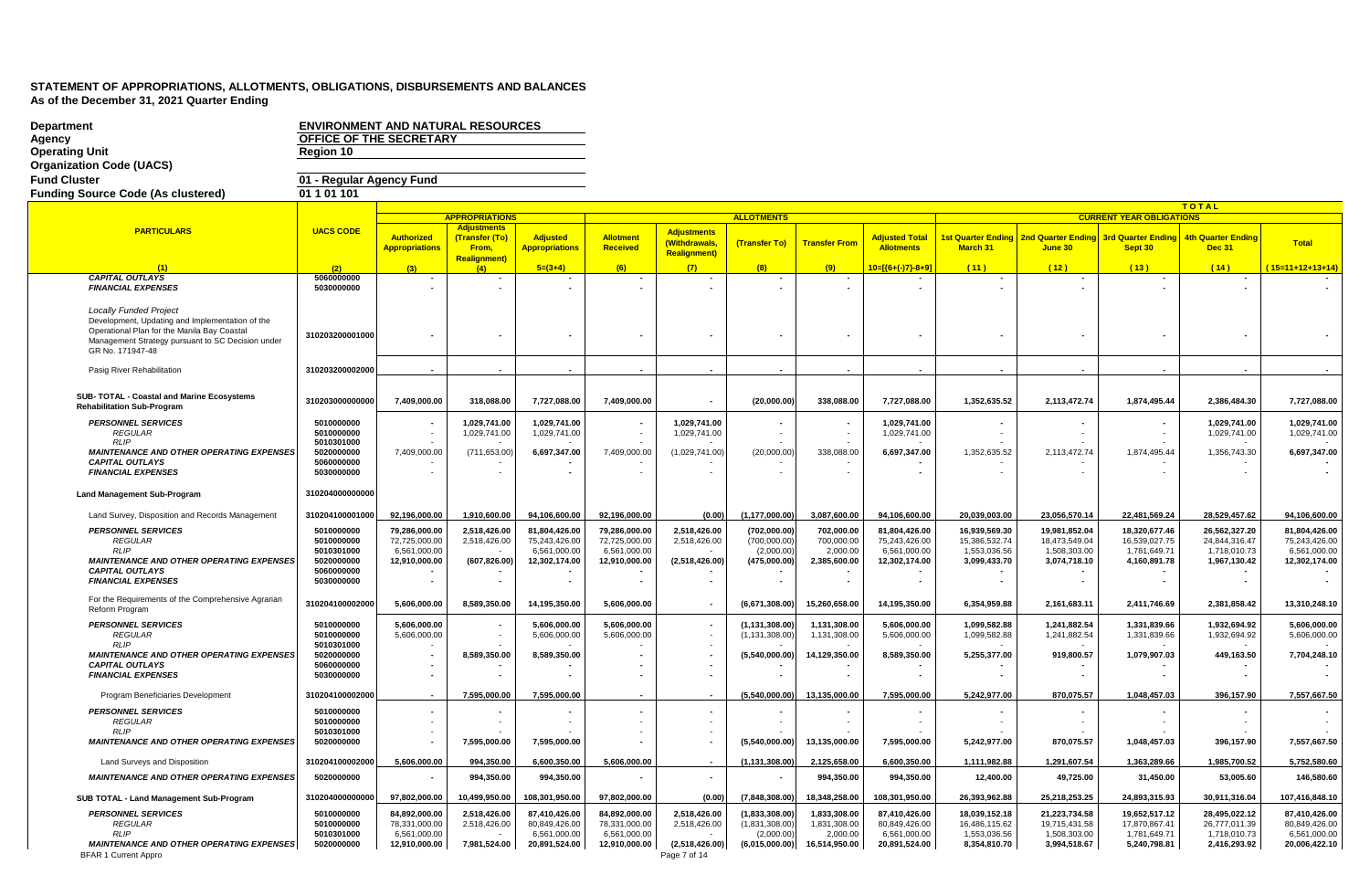| <b>Department</b>                                                                                                                                                                                        | <b>ENVIRONMENT AND NATURAL RESOURCES</b><br>OFFICE OF THE SECRETARY |                                            |                                               |                                          |                               |                                                            |                              |                          |                                            |                               |                               |                                 |                                            |                               |
|----------------------------------------------------------------------------------------------------------------------------------------------------------------------------------------------------------|---------------------------------------------------------------------|--------------------------------------------|-----------------------------------------------|------------------------------------------|-------------------------------|------------------------------------------------------------|------------------------------|--------------------------|--------------------------------------------|-------------------------------|-------------------------------|---------------------------------|--------------------------------------------|-------------------------------|
| Agency<br><b>Operating Unit</b>                                                                                                                                                                          | Region 10                                                           |                                            |                                               |                                          |                               |                                                            |                              |                          |                                            |                               |                               |                                 |                                            |                               |
| <b>Organization Code (UACS)</b>                                                                                                                                                                          |                                                                     |                                            |                                               |                                          |                               |                                                            |                              |                          |                                            |                               |                               |                                 |                                            |                               |
| <b>Fund Cluster</b>                                                                                                                                                                                      | 01 - Regular Agency Fund                                            |                                            |                                               |                                          |                               |                                                            |                              |                          |                                            |                               |                               |                                 |                                            |                               |
| <b>Funding Source Code (As clustered)</b>                                                                                                                                                                | 01 1 01 1 01                                                        |                                            |                                               |                                          |                               |                                                            |                              |                          |                                            |                               |                               |                                 |                                            |                               |
|                                                                                                                                                                                                          |                                                                     |                                            |                                               |                                          |                               |                                                            |                              |                          |                                            |                               |                               |                                 | <b>TOTAL</b>                               |                               |
|                                                                                                                                                                                                          |                                                                     |                                            | <b>APPROPRIATIONS</b>                         |                                          |                               |                                                            | <b>ALLOTMENTS</b>            |                          |                                            |                               |                               | <b>CURRENT YEAR OBLIGATIONS</b> |                                            |                               |
| <b>PARTICULARS</b>                                                                                                                                                                                       | <b>UACS CODE</b>                                                    | <b>Authorized</b><br><b>Appropriations</b> | <b>Adjustments</b><br>(Transfer (To)<br>From, | <b>Adjusted</b><br><b>Appropriations</b> | Allotment<br><b>Received</b>  | <b>Adjustments</b><br>(Withdrawals,<br><b>Realignment)</b> | (Transfer To)                | <b>Transfer From</b>     | <b>Adjusted Total</b><br><b>Allotments</b> | March 31                      | June 30                       | Sept 30                         | <b>4th Quarter Ending</b><br><b>Dec 31</b> | Total                         |
|                                                                                                                                                                                                          | (2)                                                                 |                                            | <b>Realignment)</b><br>(4)                    | $5=(3+4)$                                | (6)                           | (7)                                                        | (8)                          | (9)                      | 10=[{6+(-)7}-8+9]                          | (11)                          | (12)                          | (13)                            | (14)                                       | 15=11+12+13+14)               |
| <b>CAPITAL OUTLAYS</b>                                                                                                                                                                                   | 5060000000                                                          |                                            | $\sim$                                        |                                          |                               |                                                            |                              |                          |                                            |                               | $\overline{\phantom{a}}$      |                                 |                                            |                               |
| <b>FINANCIAL EXPENSES</b>                                                                                                                                                                                | 5030000000                                                          |                                            |                                               |                                          |                               |                                                            |                              |                          |                                            |                               |                               |                                 |                                            |                               |
| <b>Locally Funded Project</b><br>Development, Updating and Implementation of the<br>Operational Plan for the Manila Bay Coastal<br>Management Strategy pursuant to SC Decision under<br>GR No. 171947-48 | 310203200001000                                                     |                                            |                                               |                                          |                               |                                                            |                              |                          |                                            |                               |                               |                                 |                                            |                               |
| Pasig River Rehabilitation                                                                                                                                                                               | 310203200002000                                                     |                                            |                                               |                                          |                               |                                                            |                              |                          |                                            |                               |                               |                                 |                                            |                               |
| SUB- TOTAL - Coastal and Marine Ecosystems<br><b>Rehabilitation Sub-Program</b>                                                                                                                          | 310203000000000                                                     | 7,409,000.00                               | 318,088.00                                    | 7,727,088.00                             | 7,409,000.00                  |                                                            | (20,000.00)                  | 338,088.00               | 7,727,088.00                               | 1,352,635.52                  | 2,113,472.74                  | 1,874,495.44                    | 2,386,484.30                               | 7,727,088.00                  |
| <b>PERSONNEL SERVICES</b>                                                                                                                                                                                | 5010000000                                                          |                                            | 1.029.741.00                                  | 1.029.741.00                             |                               | 1.029.741.00                                               |                              |                          | 1.029.741.00                               |                               |                               |                                 | 1.029.741.00                               | 1.029.741.00                  |
| <b>REGULAR</b><br><b>RLIP</b>                                                                                                                                                                            | 5010000000<br>5010301000                                            |                                            | 1.029.741.00                                  | 1.029.741.00                             |                               | 1.029.741.00                                               |                              |                          | 1,029,741.00                               |                               |                               |                                 | 1,029,741.00                               | 1,029,741.00                  |
| <b>MAINTENANCE AND OTHER OPERATING EXPENSES</b>                                                                                                                                                          | 5020000000                                                          | 7.409.000.00                               | (711.653.00)                                  | 6.697.347.00                             | 7.409.000.00                  | (1.029.741.00)                                             | (20.000.00)                  | 338.088.00               | 6.697.347.00                               | 1.352.635.52                  | 2.113.472.74                  | 1.874.495.44                    | 1.356.743.30                               | 6,697,347.00                  |
| <b>CAPITAL OUTLAYS</b><br><b>FINANCIAL EXPENSES</b>                                                                                                                                                      | 5060000000<br>5030000000                                            |                                            |                                               |                                          |                               |                                                            |                              |                          |                                            |                               |                               |                                 |                                            |                               |
| <b>Land Management Sub-Program</b>                                                                                                                                                                       | 310204000000000                                                     |                                            |                                               |                                          |                               |                                                            |                              |                          |                                            |                               |                               |                                 |                                            |                               |
| Land Survey, Disposition and Records Management                                                                                                                                                          | 310204100001000                                                     | 92,196,000.00                              | 1,910,600.00                                  | 94,106,600.00                            | 92,196,000.00                 | (0.00)                                                     | (1, 177, 000.00)             | 3,087,600.00             | 94,106,600.00                              | 20,039,003.00                 | 23,056,570.14                 | 22,481,569.24                   | 28,529,457.62                              | 94,106,600.00                 |
| <b>PERSONNEL SERVICES</b>                                                                                                                                                                                | 5010000000                                                          | 79,286,000.00                              | 2,518,426.00                                  | 81,804,426.00                            | 79,286,000.00                 | 2,518,426.00                                               | (702,000.00)                 | 702,000.00               | 81,804,426.00                              | 16,939,569.30                 | 19,981,852.04                 | 18,320,677.46                   | 26,562,327.20                              | 81,804,426.00                 |
| <b>REGULAR</b><br><b>RLIP</b>                                                                                                                                                                            | 5010000000<br>5010301000                                            | 72,725,000.00<br>6,561,000.00              | 2,518,426.00                                  | 75,243,426.00<br>6,561,000.00            | 72,725,000.00<br>6,561,000.00 | 2,518,426.00                                               | (700,000.00)<br>(2,000.00)   | 700,000.00<br>2,000.00   | 75,243,426.00<br>6,561,000.00              | 15,386,532.74<br>1,553,036.56 | 18,473,549.04<br>1,508,303.00 | 16,539,027.75<br>1,781,649.71   | 24,844,316.47<br>1,718,010.73              | 75,243,426.00<br>6,561,000.00 |
| <b>MAINTENANCE AND OTHER OPERATING EXPENSES</b>                                                                                                                                                          | 5020000000                                                          | 12,910,000.00                              | (607, 826.00)                                 | 12,302,174.00                            | 12,910,000.00                 | (2,518,426.00)                                             | (475,000.00)                 | 2,385,600.00             | 12,302,174.00                              | 3,099,433.70                  | 3,074,718.10                  | 4,160,891.78                    | 1,967,130.42                               | 12,302,174.00                 |
| <b>CAPITAL OUTLAYS</b><br><b>FINANCIAL EXPENSES</b>                                                                                                                                                      | 5060000000<br>5030000000                                            |                                            |                                               |                                          |                               |                                                            |                              |                          |                                            |                               |                               |                                 |                                            |                               |
| For the Requirements of the Comprehensive Agrarian<br>Reform Program                                                                                                                                     | 310204100002000                                                     | 5,606,000.00                               | 8,589,350.00                                  | 14,195,350.00                            | 5,606,000.00                  |                                                            | (6,671,308.00)               | 15,260,658.00            | 14,195,350.00                              | 6,354,959.88                  | 2,161,683.11                  | 2,411,746.69                    | 2,381,858.42                               | 13,310,248.10                 |
| <b>PERSONNEL SERVICES</b>                                                                                                                                                                                | 5010000000                                                          | 5,606,000.00                               |                                               | 5,606,000.00                             | 5,606,000.00                  |                                                            | (1, 131, 308.00)             | 1,131,308.00             | 5,606,000.00                               | 1,099,582.88                  | 1,241,882.54                  | 1,331,839.66                    | 1,932,694.92                               | 5,606,000.00                  |
| <b>REGULAR</b>                                                                                                                                                                                           | 5010000000                                                          | 5,606,000.00                               |                                               | 5,606,000.00                             | 5,606,000.00                  |                                                            | (1, 131, 308.00)             | 1,131,308.00             | 5,606,000.00                               | 1,099,582.88                  | 1,241,882.54                  | 1,331,839.66                    | 1,932,694.92                               | 5,606,000.00                  |
| <b>RLIP</b><br><b>MAINTENANCE AND OTHER OPERATING EXPENSES</b>                                                                                                                                           | 5010301000<br>5020000000                                            |                                            | 8,589,350.00                                  | 8,589,350.00                             |                               |                                                            | (5,540,000.00)               | 14,129,350.00            | 8,589,350.00                               | 5,255,377.00                  | 919,800.57                    | 1,079,907.03                    | 449,163.50                                 | 7,704,248.10                  |
| <b>CAPITAL OUTLAYS</b>                                                                                                                                                                                   | 5060000000                                                          |                                            |                                               |                                          |                               |                                                            |                              |                          |                                            |                               |                               |                                 |                                            |                               |
| <b>FINANCIAL EXPENSES</b>                                                                                                                                                                                | 5030000000                                                          |                                            |                                               |                                          |                               |                                                            |                              |                          |                                            |                               |                               |                                 |                                            |                               |
| Program Beneficiaries Development                                                                                                                                                                        | 310204100002000                                                     |                                            | 7.595.000.00                                  | 7,595,000.00                             |                               |                                                            | (5.540.000.00)               | 13.135.000.00            | 7.595.000.00                               | 5,242,977.00                  | 870,075.57                    | 1,048,457.03                    | 396,157.90                                 | 7,557,667.50                  |
| <b>PERSONNEL SERVICES</b>                                                                                                                                                                                | 5010000000                                                          |                                            |                                               |                                          |                               |                                                            |                              |                          |                                            |                               |                               |                                 |                                            |                               |
| <b>REGULAR</b><br><b>RLIP</b>                                                                                                                                                                            | 5010000000<br>5010301000                                            |                                            | $\sim$                                        |                                          |                               |                                                            |                              |                          |                                            |                               |                               |                                 |                                            |                               |
| <b>MAINTENANCE AND OTHER OPERATING EXPENSES</b>                                                                                                                                                          | 5020000000                                                          |                                            | 7,595,000.00                                  | 7,595,000.00                             |                               |                                                            | (5,540,000.00)               | 13,135,000.00            | 7,595,000.00                               | 5,242,977.00                  | 870,075.57                    | 1,048,457.03                    | 396,157.90                                 | 7,557,667.50                  |
| Land Surveys and Disposition                                                                                                                                                                             | 310204100002000                                                     | 5,606,000.00                               | 994,350.00                                    | 6,600,350.00                             | 5,606,000.00                  |                                                            | (1, 131, 308.00)             | 2,125,658.00             | 6,600,350.00                               | 1,111,982.88                  | 1,291,607.54                  | 1,363,289.66                    | 1,985,700.52                               | 5,752,580.60                  |
| <b>MAINTENANCE AND OTHER OPERATING EXPENSES</b>                                                                                                                                                          | 5020000000                                                          |                                            | 994,350.00                                    | 994,350.00                               |                               | $\sim$                                                     |                              | 994,350.00               | 994,350.00                                 | 12,400.00                     | 49,725.00                     | 31,450.00                       | 53,005.60                                  | 146,580.60                    |
| SUB TOTAL - Land Management Sub-Program                                                                                                                                                                  | 310204000000000                                                     | 97,802,000.00                              | 10,499,950.00                                 | 108,301,950.00                           | 97,802,000.00                 | (0.00)                                                     | (7.848.308.00)               | 18,348,258.00            | 108,301,950.00                             | 26,393,962.88                 | 25,218,253.25                 | 24,893,315.93                   | 30,911,316.04                              | 107,416,848.10                |
| <b>PERSONNEL SERVICES</b>                                                                                                                                                                                | 5010000000                                                          | 84,892,000.00                              | 2,518,426.00                                  | 87,410,426.00                            | 84,892,000.00                 | 2,518,426.00                                               | (1,833,308.00)               | 1,833,308.00             | 87,410,426.00                              | 18,039,152.18                 | 21,223,734.58                 | 19,652,517.12                   | 28,495,022.12                              | 87,410,426.00                 |
| <b>REGULAR</b><br><b>RLIP</b>                                                                                                                                                                            | 5010000000<br>5010301000                                            | 78,331,000.00<br>6,561,000.00              | 2,518,426.00                                  | 80,849,426.00<br>6,561,000.00            | 78,331,000.00<br>6,561,000.00 | 2,518,426.00                                               | (1,831,308.00)<br>(2.000.00) | 1,831,308.00<br>2,000.00 | 80,849,426.00<br>6,561,000.00              | 16,486,115.62<br>1,553,036.56 | 19,715,431.58<br>1,508,303.00 | 17,870,867.41<br>1,781,649.71   | 26,777,011.39<br>1,718,010.73              | 80,849,426.00<br>6,561,000.00 |
| <b>MAINTENANCE AND OTHER OPERATING EXPENSES</b><br><b>BFAR 1 Current Appro</b>                                                                                                                           | 5020000000                                                          | 12,910,000.00                              | 7,981,524.00                                  | 20,891,524.00                            | 12,910,000.00                 | (2,518,426.00)<br>Page 7 of 14                             | (6,015,000.00)               | 16,514,950.00            | 20,891,524.00                              | 8,354,810.70                  | 3,994,518.67                  | 5,240,798.81                    | 2,416,293.92                               | 20,006,422.10                 |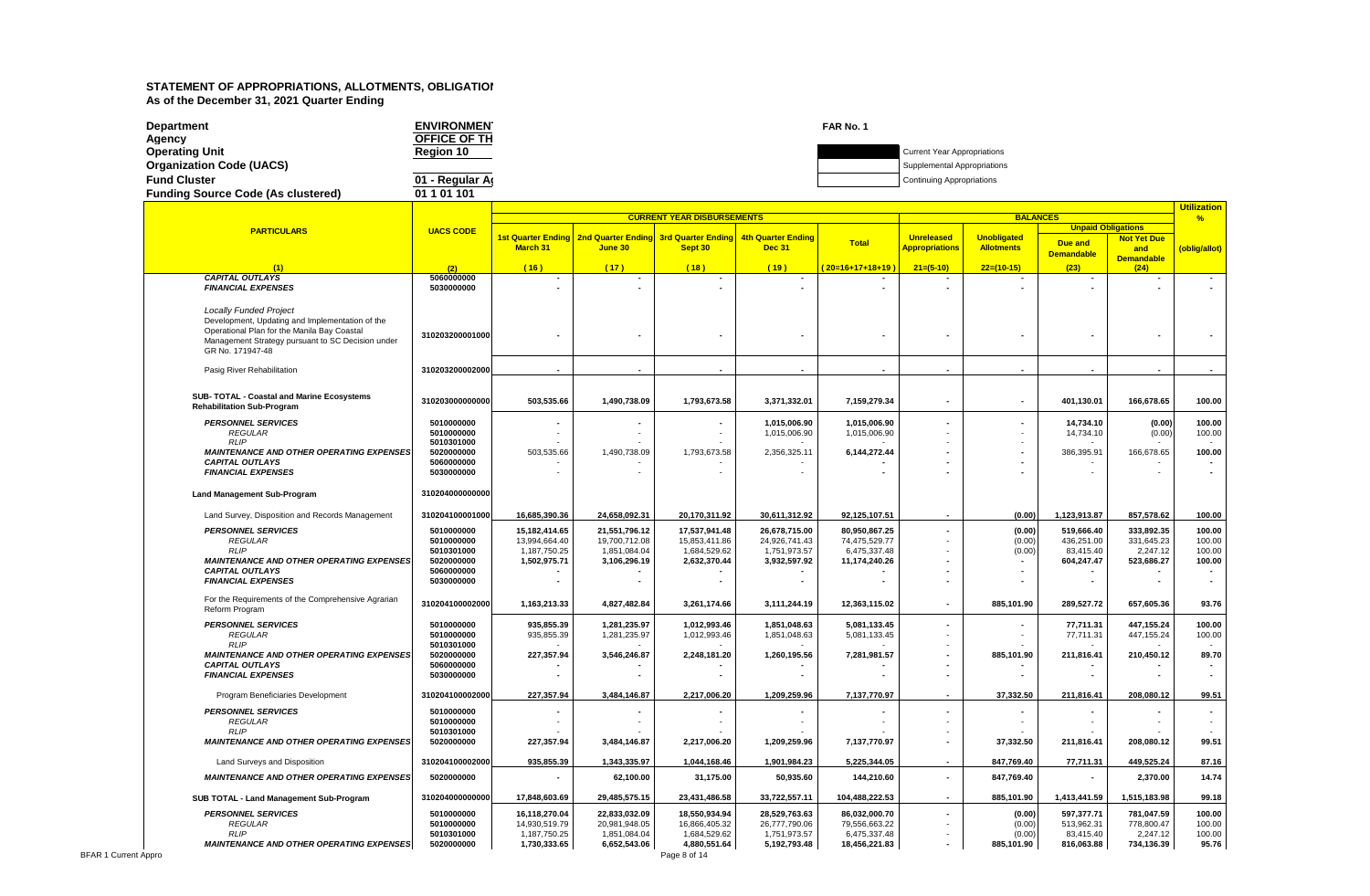| Department                                | <b>ENVIRONMEN</b>   | FAR No. 1 |                                    |
|-------------------------------------------|---------------------|-----------|------------------------------------|
| Agency                                    | <b>OFFICE OF TH</b> |           |                                    |
| <b>Operating Unit</b>                     | <b>Region 10</b>    |           | <b>Current Year Appropriations</b> |
| <b>Organization Code (UACS)</b>           |                     |           | Supplemental Appropriations        |
| <b>Fund Cluster</b>                       | 01 - Regular Ar     |           | <b>Continuing Appropriations</b>   |
| <b>Funding Source Code (As clustered)</b> | 01 1 01 101         |           |                                    |

|                                                                           |                          |                               |                                                              | <b>CURRENT YEAR DISBURSEMENTS</b> |                               |                               | uunzauur<br>$\frac{9}{6}$ |                          |                           |                        |                  |
|---------------------------------------------------------------------------|--------------------------|-------------------------------|--------------------------------------------------------------|-----------------------------------|-------------------------------|-------------------------------|---------------------------|--------------------------|---------------------------|------------------------|------------------|
|                                                                           |                          |                               |                                                              |                                   |                               |                               |                           | <b>BALANCES</b>          | <b>Unpaid Obligations</b> |                        |                  |
| <b>PARTICULARS</b>                                                        | <b>UACS CODE</b>         |                               | 1st Quarter Ending   2nd Quarter Ending   3rd Quarter Ending |                                   | <b>4th Quarter Ending</b>     |                               | <b>Unreleased</b>         | <b>Unobligated</b>       |                           | <b>Not Yet Due</b>     |                  |
|                                                                           |                          | <b>March 31</b>               | June 30                                                      | Sept 30                           | <b>Dec 31</b>                 | <b>Total</b>                  | <b>Appropriations</b>     | <b>Allotments</b>        | <b>Due and</b>            | and                    | (oblig/allot)    |
|                                                                           |                          |                               |                                                              |                                   |                               |                               |                           |                          | <b>Demandable</b>         | <b>Demandable</b>      |                  |
| (1)                                                                       | (2)                      | (16)                          | (17)                                                         | (18)                              | (19)                          | (20=16+17+18+19               | $21=(5-10)$               | $22=(10-15)$             | (23)                      | (24)                   |                  |
| <b>CAPITAL OUTLAYS</b><br><b>FINANCIAL EXPENSES</b>                       | 5060000000<br>5030000000 |                               |                                                              |                                   |                               |                               |                           |                          |                           |                        |                  |
|                                                                           |                          |                               |                                                              |                                   |                               |                               |                           |                          |                           |                        |                  |
| <b>Locally Funded Project</b>                                             |                          |                               |                                                              |                                   |                               |                               |                           |                          |                           |                        |                  |
| Development, Updating and Implementation of the                           |                          |                               |                                                              |                                   |                               |                               |                           |                          |                           |                        |                  |
| Operational Plan for the Manila Bay Coastal                               | 310203200001000          |                               |                                                              |                                   |                               |                               |                           |                          |                           |                        |                  |
| Management Strategy pursuant to SC Decision under                         |                          |                               |                                                              |                                   |                               |                               |                           |                          |                           |                        |                  |
| GR No. 171947-48                                                          |                          |                               |                                                              |                                   |                               |                               |                           |                          |                           |                        |                  |
| Pasig River Rehabilitation                                                | 310203200002000          |                               |                                                              |                                   |                               |                               |                           |                          |                           |                        |                  |
|                                                                           |                          |                               |                                                              |                                   |                               |                               |                           |                          |                           |                        |                  |
| SUB- TOTAL - Coastal and Marine Ecosystems                                |                          |                               |                                                              |                                   |                               |                               |                           |                          |                           |                        |                  |
| <b>Rehabilitation Sub-Program</b>                                         | 310203000000000          | 503,535.66                    | 1,490,738.09                                                 | 1,793,673.58                      | 3,371,332.01                  | 7,159,279.34                  |                           | $\overline{\phantom{a}}$ | 401,130.01                | 166,678.65             | 100.00           |
| <b>PERSONNEL SERVICES</b>                                                 | 5010000000               |                               |                                                              |                                   | 1,015,006.90                  | 1.015.006.90                  |                           | $\blacksquare$           | 14.734.10                 | (0.00)                 | 100.00           |
| <b>REGULAR</b>                                                            | 5010000000               |                               |                                                              |                                   | 1,015,006.90                  | 1,015,006.90                  |                           |                          | 14,734.10                 | (0.00)                 | 100.00           |
| <b>RLIP</b>                                                               | 5010301000               |                               |                                                              |                                   |                               |                               |                           |                          |                           |                        |                  |
| <b>MAINTENANCE AND OTHER OPERATING EXPENSES</b><br><b>CAPITAL OUTLAYS</b> | 5020000000<br>5060000000 | 503,535.66                    | 1,490,738.09                                                 | 1,793,673.58                      | 2,356,325.11                  | 6,144,272.44                  |                           |                          | 386,395.91                | 166,678.65             | 100.00           |
| <b>FINANCIAL EXPENSES</b>                                                 | 5030000000               |                               |                                                              |                                   |                               |                               |                           |                          |                           |                        |                  |
|                                                                           |                          |                               |                                                              |                                   |                               |                               |                           |                          |                           |                        |                  |
| <b>Land Management Sub-Program</b>                                        | 310204000000000          |                               |                                                              |                                   |                               |                               |                           |                          |                           |                        |                  |
| Land Survey, Disposition and Records Management                           | 310204100001000          | 16,685,390.36                 | 24,658,092.31                                                | 20,170,311.92                     | 30,611,312.92                 | 92,125,107.51                 |                           | (0.00)                   | 1,123,913.87              | 857,578.62             | 100.00           |
| <b>PERSONNEL SERVICES</b>                                                 | 5010000000               | 15,182,414.65                 | 21,551,796.12                                                | 17,537,941.48                     | 26,678,715.00                 | 80,950,867.25                 |                           | (0.00)                   | 519,666.40                | 333,892.35             | 100.00           |
| <b>REGULAR</b>                                                            | 5010000000               | 13,994,664.40                 | 19,700,712.08                                                | 15,853,411.86                     | 24,926,741.43                 | 74,475,529.77                 |                           | (0.00)                   | 436,251.00                | 331,645.23             | 100.00           |
| <b>RLIP</b><br><b>MAINTENANCE AND OTHER OPERATING EXPENSES</b>            | 5010301000<br>5020000000 | 1,187,750.25<br>1,502,975.71  | 1,851,084.04<br>3,106,296.19                                 | 1,684,529.62<br>2,632,370.44      | 1,751,973.57<br>3,932,597.92  | 6,475,337.48<br>11,174,240.26 |                           | (0.00)                   | 83,415.40<br>604,247.47   | 2,247.12<br>523,686.27 | 100.00<br>100.00 |
| <b>CAPITAL OUTLAYS</b>                                                    | 5060000000               |                               |                                                              |                                   |                               |                               |                           |                          |                           |                        |                  |
| <b>FINANCIAL EXPENSES</b>                                                 | 5030000000               |                               |                                                              |                                   |                               |                               |                           |                          |                           |                        |                  |
| For the Requirements of the Comprehensive Agrarian                        |                          |                               |                                                              |                                   |                               |                               |                           |                          |                           |                        |                  |
| Reform Program                                                            | 310204100002000          | 1,163,213.33                  | 4,827,482.84                                                 | 3,261,174.66                      | 3,111,244.19                  | 12,363,115.02                 | $\blacksquare$            | 885,101.90               | 289,527.72                | 657,605.36             | 93.76            |
| <b>PERSONNEL SERVICES</b>                                                 | 5010000000               | 935,855.39                    | 1,281,235.97                                                 | 1,012,993.46                      | 1,851,048.63                  | 5,081,133.45                  |                           |                          | 77,711.31                 | 447,155.24             | 100.00           |
| <b>REGULAR</b>                                                            | 5010000000               | 935,855.39                    | 1,281,235.97                                                 | 1,012,993.46                      | 1,851,048.63                  | 5,081,133.45                  |                           |                          | 77,711.31                 | 447,155.24             | 100.00           |
| <b>RLIP</b><br><b>MAINTENANCE AND OTHER OPERATING EXPENSES</b>            | 5010301000<br>5020000000 | 227,357.94                    | 3,546,246.87                                                 | 2,248,181.20                      | 1,260,195.56                  | 7,281,981.57                  |                           | 885,101.90               | 211,816.41                | 210,450.12             | 89.70            |
| <b>CAPITAL OUTLAYS</b>                                                    | 5060000000               |                               |                                                              |                                   |                               |                               |                           |                          |                           |                        |                  |
| <b>FINANCIAL EXPENSES</b>                                                 | 5030000000               |                               |                                                              |                                   |                               |                               |                           |                          |                           |                        |                  |
| Program Beneficiaries Development                                         | 310204100002000          | 227,357.94                    | 3,484,146.87                                                 | 2,217,006.20                      | 1,209,259.96                  | 7,137,770.97                  |                           | 37,332.50                | 211,816.41                | 208,080.12             | 99.51            |
| <b>PERSONNEL SERVICES</b>                                                 | 5010000000               |                               |                                                              |                                   |                               |                               |                           |                          |                           |                        |                  |
| <b>REGULAR</b>                                                            | 5010000000               |                               |                                                              |                                   |                               |                               |                           |                          |                           |                        |                  |
| <b>RLIP</b>                                                               | 5010301000               |                               |                                                              |                                   |                               |                               |                           |                          |                           |                        | 99.51            |
| <b>MAINTENANCE AND OTHER OPERATING EXPENSES</b>                           | 5020000000               | 227,357.94                    | 3,484,146.87                                                 | 2,217,006.20                      | 1,209,259.96                  | 7,137,770.97                  |                           | 37,332.50                | 211,816.41                | 208,080.12             |                  |
| Land Surveys and Disposition                                              | 310204100002000          | 935,855.39                    | 1,343,335.97                                                 | 1,044,168.46                      | 1,901,984.23                  | 5,225,344.05                  | $\sim$                    | 847,769.40               | 77,711.31                 | 449,525.24             | 87.16            |
| <b>MAINTENANCE AND OTHER OPERATING EXPENSES</b>                           | 5020000000               |                               | 62,100.00                                                    | 31,175.00                         | 50,935.60                     | 144,210.60                    | $\blacksquare$            | 847,769.40               | ٠                         | 2,370.00               | 14.74            |
| SUB TOTAL - Land Management Sub-Program                                   | 310204000000000          | 17,848,603.69                 | 29,485,575.15                                                | 23,431,486.58                     | 33,722,557.11                 | 104,488,222.53                | $\overline{a}$            | 885,101.90               | 1,413,441.59              | 1,515,183.98           | 99.18            |
| <b>PERSONNEL SERVICES</b>                                                 | 5010000000               | 16,118,270.04                 | 22,833,032.09                                                | 18,550,934.94                     | 28,529,763.63                 | 86,032,000.70                 |                           | (0.00)                   | 597,377.71                | 781,047.59             | 100.00           |
| <b>REGULAR</b><br><b>RLIP</b>                                             | 5010000000<br>5010301000 | 14,930,519.79<br>1,187,750.25 | 20,981,948.05<br>1,851,084.04                                | 16,866,405.32<br>1,684,529.62     | 26,777,790.06<br>1,751,973.57 | 79,556,663.22<br>6,475,337.48 |                           | (0.00)<br>(0.00)         | 513,962.31<br>83,415.40   | 778,800.47<br>2,247.12 | 100.00<br>100.00 |
| <b>MAINTENANCE AND OTHER OPERATING EXPENSES</b>                           | 5020000000               | 1,730,333.65                  | 6,652,543.06                                                 | 4,880,551.64                      | 5,192,793.48                  | 18,456,221.83                 |                           | 885,101.90               | 816,063.88                | 734,136.39             | 95.76            |
| oro                                                                       |                          |                               |                                                              | Page 8 of 14                      |                               |                               |                           |                          |                           |                        |                  |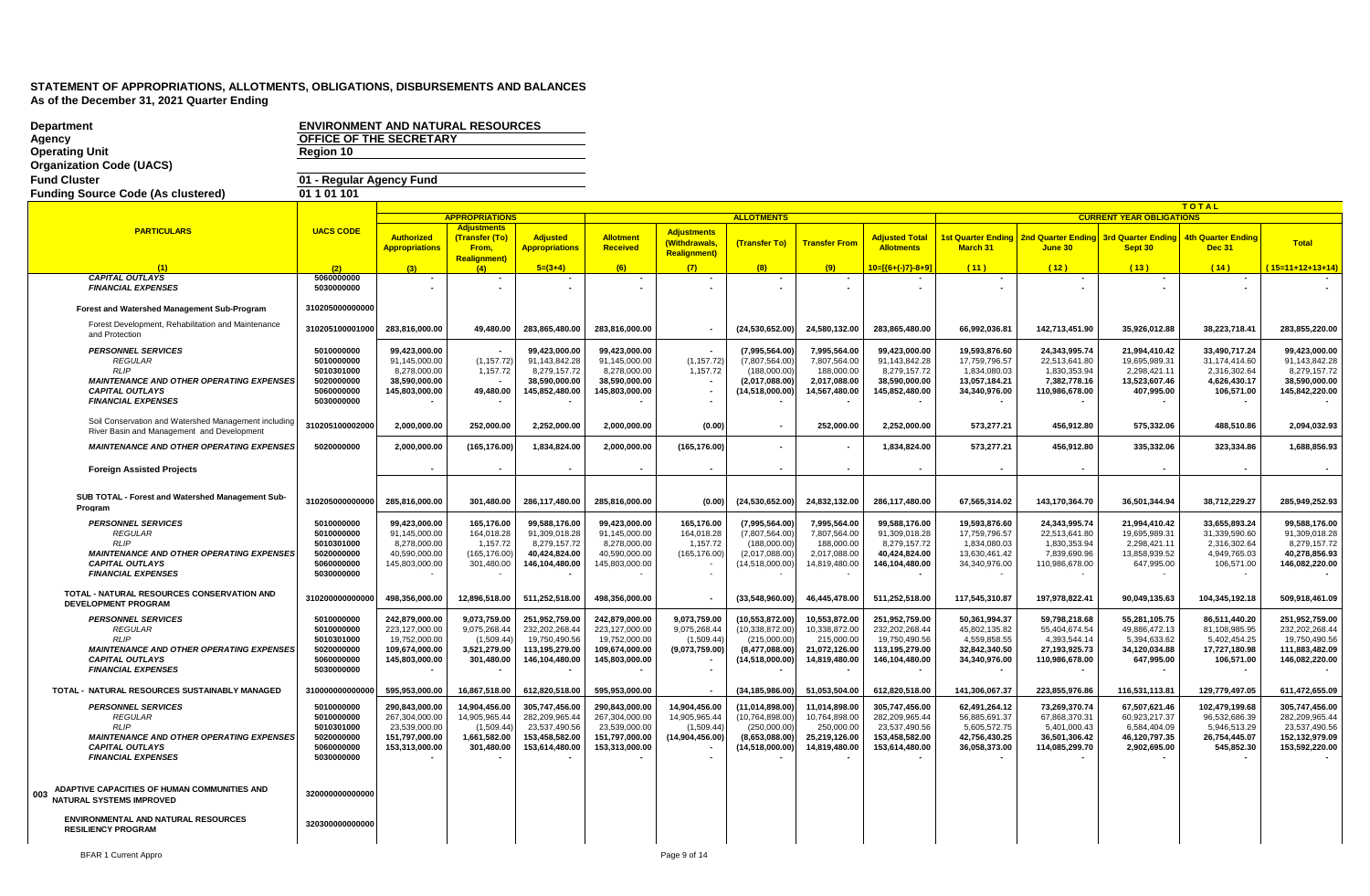| <b>Department</b><br>Agency                                                                        | <b>ENVIRONMENT AND NATURAL RESOURCES</b><br>OFFICE OF THE SECRETARY |                                  |                                      |                                  |                                  |                                       |                                        |                                |                                  |                                |                                       |                                 |                                 |                                  |
|----------------------------------------------------------------------------------------------------|---------------------------------------------------------------------|----------------------------------|--------------------------------------|----------------------------------|----------------------------------|---------------------------------------|----------------------------------------|--------------------------------|----------------------------------|--------------------------------|---------------------------------------|---------------------------------|---------------------------------|----------------------------------|
| <b>Operating Unit</b>                                                                              | Region 10                                                           |                                  |                                      |                                  |                                  |                                       |                                        |                                |                                  |                                |                                       |                                 |                                 |                                  |
| <b>Organization Code (UACS)</b><br><b>Fund Cluster</b>                                             |                                                                     |                                  |                                      |                                  |                                  |                                       |                                        |                                |                                  |                                |                                       |                                 |                                 |                                  |
| <b>Funding Source Code (As clustered)</b>                                                          | 01 - Regular Agency Fund<br>01 1 01 1 01                            |                                  |                                      |                                  |                                  |                                       |                                        |                                |                                  |                                |                                       |                                 |                                 |                                  |
|                                                                                                    |                                                                     |                                  |                                      |                                  |                                  |                                       |                                        |                                |                                  |                                |                                       |                                 | <b>TOTAL</b>                    |                                  |
|                                                                                                    |                                                                     |                                  | <b>APPROPRIATIONS</b>                |                                  |                                  |                                       | <b>ALLOTMENTS</b>                      |                                |                                  |                                |                                       | <b>CURRENT YEAR OBLIGATIONS</b> |                                 |                                  |
| <b>PARTICULARS</b>                                                                                 | <b>UACS CODE</b>                                                    | Authorized                       | <b>Adjustments</b><br>(Transfer (To) | <b>Adjusted</b>                  | <b>Allotment</b>                 | <b>Adjustments</b>                    |                                        |                                | <b>Adjusted Total</b>            | <b>1st Quarter Ending</b>      | 2nd Quarter Ending 3rd Quarter Ending |                                 | <b>4th Quarter Ending</b>       |                                  |
|                                                                                                    |                                                                     | <b>Appropriations</b>            | From,                                | <b>Appropriations</b>            | Received                         | (Withdrawals,<br><b>Realignment</b> ) | (Transfer To)                          | <b>Transfer From</b>           | <b>Allotments</b>                | March 31                       | June 30                               | Sept 30                         | <b>Dec 31</b>                   | <b>Total</b>                     |
|                                                                                                    | (2)                                                                 |                                  | <b>Realignment)</b><br>(4)           | $5=(3+4)$                        | (6)                              | (7)                                   | (8)                                    | (9)                            | 10=[{6+(-)7}-8+9]                | (11)                           | (12)                                  | (13)                            | (14)                            | $(15=11+12+13+14)$               |
| <b>CAPITAL OUTLAYS</b>                                                                             | 5060000000                                                          |                                  |                                      |                                  |                                  |                                       |                                        |                                |                                  |                                | $\blacksquare$                        |                                 |                                 |                                  |
| <b>FINANCIAL EXPENSES</b>                                                                          | 5030000000                                                          | $\sim$                           | $\sim$                               | $\sim$                           |                                  | $\overline{\phantom{a}}$              | $\sim$                                 | $\sim$                         |                                  |                                | $\overline{a}$                        |                                 |                                 |                                  |
| Forest and Watershed Management Sub-Program                                                        | 310205000000000                                                     |                                  |                                      |                                  |                                  |                                       |                                        |                                |                                  |                                |                                       |                                 |                                 |                                  |
| Forest Development, Rehabilitation and Maintenance<br>and Protection                               | 310205100001000                                                     | 283,816,000.00                   | 49,480.00                            | 283,865,480.00                   | 283,816,000.00                   | $\overline{\phantom{a}}$              | (24, 530, 652.00)                      | 24,580,132.00                  | 283,865,480.00                   | 66,992,036.81                  | 142,713,451.90                        | 35,926,012.88                   | 38,223,718.41                   | 283,855,220.00                   |
| <b>PERSONNEL SERVICES</b>                                                                          | 5010000000                                                          | 99.423.000.00                    |                                      | 99.423.000.00                    | 99.423.000.00                    |                                       | (7.995.564.00)                         | 7.995.564.00                   | 99.423.000.00                    | 19.593.876.60                  | 24.343.995.74                         | 21.994.410.42                   | 33.490.717.24                   | 99,423,000.00                    |
| <b>REGULAR</b><br>RLIP                                                                             | 5010000000<br>5010301000                                            | 91,145,000.00<br>8,278,000.00    | (1, 157.72)<br>1,157.72              | 91,143,842.28<br>8,279,157.72    | 91.145.000.00<br>8,278,000.00    | (1, 157.72)<br>1,157.72               | (7,807,564.00)<br>(188,000.00)         | 7,807,564.00<br>188,000.00     | 91.143.842.28<br>8,279,157.72    | 17,759,796.57<br>1,834,080.03  | 22,513,641.80<br>1,830,353.94         | 19,695,989.31<br>2,298,421.11   | 31,174,414.60<br>2,316,302.64   | 91,143,842.28<br>8,279,157.72    |
| <b>MAINTENANCE AND OTHER OPERATING EXPENSES</b>                                                    | 5020000000                                                          | 38,590,000.00                    |                                      | 38,590,000.00                    | 38,590,000.00                    |                                       | (2,017,088.00)                         | 2,017,088.00                   | 38,590,000.00                    | 13,057,184.21                  | 7,382,778.16                          | 13,523,607.46                   | 4,626,430.17                    | 38,590,000.00                    |
| <b>CAPITAL OUTLAYS</b><br><b>FINANCIAL EXPENSES</b>                                                | 5060000000<br>5030000000                                            | 145,803,000.00                   | 49,480.00                            | 145,852,480.00                   | 145,803,000.00                   |                                       | (14,518,000.00)                        | 14,567,480.00                  | 145,852,480.00                   | 34,340,976.00                  | 110,986,678.00                        | 407,995.00                      | 106,571.00                      | 145,842,220.00                   |
| Soil Conservation and Watershed Management including<br>River Basin and Management and Development | 310205100002000                                                     | 2.000.000.00                     | 252.000.00                           | 2.252.000.00                     | 2.000.000.00                     | (0.00)                                |                                        | 252.000.00                     | 2.252.000.00                     | 573.277.21                     | 456.912.80                            | 575.332.06                      | 488.510.86                      | 2.094.032.93                     |
| <b>MAINTENANCE AND OTHER OPERATING EXPENSES</b>                                                    | 5020000000                                                          | 2,000,000.00                     | (165, 176.00)                        | 1,834,824.00                     | 2,000,000.00                     | (165, 176.00)                         |                                        |                                | 1,834,824.00                     | 573,277.21                     | 456,912.80                            | 335,332.06                      | 323,334.86                      | 1,688,856.93                     |
| <b>Foreign Assisted Projects</b>                                                                   |                                                                     |                                  |                                      |                                  |                                  |                                       |                                        |                                |                                  |                                |                                       |                                 |                                 |                                  |
| SUB TOTAL - Forest and Watershed Management Sub-<br>Program                                        | 310205000000000                                                     | 285,816,000.00                   | 301,480.00                           | 286,117,480.00                   | 285,816,000.00                   | (0.00)                                | (24, 530, 652.00)                      | 24,832,132.00                  | 286,117,480.00                   | 67,565,314.02                  | 143,170,364.70                        | 36,501,344.94                   | 38,712,229.27                   | 285,949,252.93                   |
| <b>PERSONNEL SERVICES</b>                                                                          | 5010000000                                                          | 99.423.000.00                    | 165.176.00                           | 99.588.176.00                    | 99.423.000.00                    | 165.176.00                            | (7,995,564.00)                         | 7,995,564.00                   | 99.588.176.00                    | 19.593.876.60                  | 24,343,995.74                         | 21.994.410.42                   | 33,655,893.24                   | 99,588,176.00                    |
| <b>REGULAR</b><br><b>RLIP</b>                                                                      | 5010000000<br>5010301000                                            | 91,145,000.00<br>8,278,000.00    | 164,018.28<br>1,157.72               | 91,309,018.28<br>8,279,157.72    | 91,145,000.00<br>8,278,000.00    | 164,018.28<br>1,157.72                | (7,807,564.00)<br>(188,000.00)         | 7,807,564.00<br>188,000.00     | 91,309,018.28<br>8,279,157.72    | 17,759,796.57<br>1,834,080.03  | 22,513,641.80<br>1,830,353.94         | 19,695,989.31<br>2,298,421.11   | 31,339,590.60<br>2,316,302.64   | 91,309,018.28<br>8,279,157.72    |
| <b>MAINTENANCE AND OTHER OPERATING EXPENSES</b>                                                    | 5020000000                                                          | 40,590,000.00                    | (165, 176.00)                        | 40,424,824.00                    | 40,590,000.00                    | (165, 176.00)                         | (2,017,088.00)                         | 2,017,088.00                   | 40,424,824.00                    | 13,630,461.42                  | 7,839,690.96                          | 13,858,939.52                   | 4,949,765.03                    | 40,278,856.93                    |
| <b>CAPITAL OUTLAYS</b><br><b>FINANCIAL EXPENSES</b>                                                | 5060000000<br>5030000000                                            | 145,803,000.00                   | 301,480.00                           | 146,104,480.00                   | 145,803,000.00                   |                                       | (14,518,000.00)                        | 14,819,480.00                  | 146,104,480.00                   | 34,340,976.00                  | 110,986,678.00                        | 647,995.00                      | 106,571.00                      | 146,082,220.00                   |
| TOTAL - NATURAL RESOURCES CONSERVATION AND                                                         | 310200000000000                                                     | 498,356,000.00                   | 12,896,518.00                        | 511,252,518.00                   | 498,356,000.00                   |                                       | (33,548,960.00)                        | 46,445,478.00                  | 511,252,518.00                   | 117,545,310.87                 | 197,978,822.41                        | 90,049,135.63                   | 104,345,192.18                  | 509,918,461.09                   |
| <b>DEVELOPMENT PROGRAM</b>                                                                         |                                                                     |                                  |                                      |                                  |                                  |                                       |                                        |                                |                                  |                                |                                       |                                 |                                 |                                  |
| <b>PERSONNEL SERVICES</b><br><b>REGULAR</b>                                                        | 5010000000<br>5010000000                                            | 242,879,000.00<br>223,127,000.00 | 9,073,759.00<br>9,075,268.44         | 251,952,759.00<br>232,202,268.44 | 242,879,000.00<br>223,127,000.00 | 9,073,759.00<br>9,075,268.44          | (10, 553, 872.00)<br>(10, 338, 872.00) | 10,553,872.00<br>10,338,872.00 | 251,952,759.00<br>232,202,268.44 | 50,361,994.37<br>45,802,135.82 | 59,798,218.68<br>55,404,674.54        | 55,281,105.75<br>49,886,472.13  | 86,511,440.20<br>81,108,985.95  | 251,952,759.00<br>232,202,268.44 |
| RLIP                                                                                               | 5010301000                                                          | 19,752,000.00                    | (1,509.44)                           | 19,750,490.56                    | 19,752,000.00                    | (1,509.44)                            | (215,000.00)                           | 215,000.00                     | 19,750,490.56                    | 4,559,858.55                   | 4,393,544.14                          | 5,394,633.62                    | 5,402,454.25                    | 19,750,490.56                    |
| <b>MAINTENANCE AND OTHER OPERATING EXPENSES</b><br><b>CAPITAL OUTLAYS</b>                          | 5020000000<br>5060000000                                            | 109,674,000.00<br>145,803,000.00 | 3,521,279.00<br>301,480.00           | 113,195,279.00<br>146,104,480.00 | 109,674,000.00<br>145,803,000.00 | (9,073,759.00)                        | (8,477,088.00)<br>(14,518,000.00)      | 21,072,126.00<br>14,819,480.00 | 113,195,279.00<br>146,104,480.00 | 32,842,340.50<br>34,340,976.00 | 27, 193, 925. 73<br>110,986,678.00    | 34,120,034.88<br>647,995.00     | 17.727.180.98<br>106,571.00     | 111,883,482.09<br>146,082,220.00 |
| <b>FINANCIAL EXPENSES</b>                                                                          | 5030000000                                                          |                                  |                                      |                                  |                                  |                                       |                                        |                                |                                  |                                |                                       |                                 |                                 |                                  |
| TOTAL - NATURAL RESOURCES SUSTAINABLY MANAGED                                                      | 310000000000000                                                     | 595,953,000.00                   | 16,867,518.00                        | 612,820,518.00                   | 595,953,000.00                   |                                       | (34, 185, 986.00)                      | 51,053,504.00                  | 612,820,518.00                   | 141,306,067.37                 | 223,855,976.86                        | 116,531,113.81                  | 129,779,497.05                  | 611,472,655.09                   |
| <b>PERSONNEL SERVICES</b><br><b>REGULAR</b>                                                        | 5010000000<br>5010000000                                            | 290.843.000.00<br>267,304,000.00 | 14.904.456.00<br>14,905,965.44       | 305.747.456.00<br>282,209,965.44 | 290.843.000.00<br>267,304,000.00 | 14.904.456.00<br>14,905,965.44        | (11.014.898.00)<br>(10, 764, 898.00)   | 11.014.898.00<br>10,764,898.00 | 305.747.456.00<br>282,209,965.44 | 62.491.264.12<br>56,885,691.37 | 73.269.370.74<br>67,868,370.31        | 67.507.621.46<br>60,923,217.37  | 102.479.199.68<br>96,532,686.39 | 305.747.456.00<br>282,209,965.44 |
| <b>RLIP</b>                                                                                        | 5010301000                                                          | 23,539,000.00                    | (1,509.44)                           | 23,537,490.56                    | 23,539,000.00                    | (1,509.44)                            | (250,000.00)                           | 250,000.00                     | 23,537,490.56                    | 5,605,572.75                   | 5,401,000.43                          | 6,584,404.09                    | 5,946,513.29                    | 23,537,490.56                    |
| <b>MAINTENANCE AND OTHER OPERATING EXPENSES</b>                                                    | 5020000000<br>5060000000                                            | 151.797.000.00                   | 1,661,582.00<br>301,480.00           | 153,458,582.00<br>153,614,480.00 | 151,797,000.00                   | (14, 904, 456.00)                     | (8,653,088.00)                         | 25,219,126.00                  | 153.458.582.00                   | 42,756,430.25<br>36,058,373.00 | 36,501,306.42<br>114,085,299.70       | 46,120,797.35                   | 26,754,445.07<br>545,852.30     | 152,132,979.09                   |
| <b>CAPITAL OUTLAYS</b><br><b>FINANCIAL EXPENSES</b>                                                | 5030000000                                                          | 153,313,000.00                   |                                      |                                  | 153,313,000.00                   |                                       | (14,518,000.00)                        | 14,819,480.00                  | 153,614,480.00                   |                                |                                       | 2,902,695.00                    |                                 | 153,592,220.00                   |
|                                                                                                    |                                                                     |                                  |                                      |                                  |                                  |                                       |                                        |                                |                                  |                                |                                       |                                 |                                 |                                  |
| ADAPTIVE CAPACITIES OF HUMAN COMMUNITIES AND<br>003<br><b>NATURAL SYSTEMS IMPROVED</b>             | 320000000000000                                                     |                                  |                                      |                                  |                                  |                                       |                                        |                                |                                  |                                |                                       |                                 |                                 |                                  |
| <b>ENVIRONMENTAL AND NATURAL RESOURCES</b><br><b>RESILIENCY PROGRAM</b>                            | 320300000000000                                                     |                                  |                                      |                                  |                                  |                                       |                                        |                                |                                  |                                |                                       |                                 |                                 |                                  |
|                                                                                                    |                                                                     |                                  |                                      |                                  |                                  |                                       |                                        |                                |                                  |                                |                                       |                                 |                                 |                                  |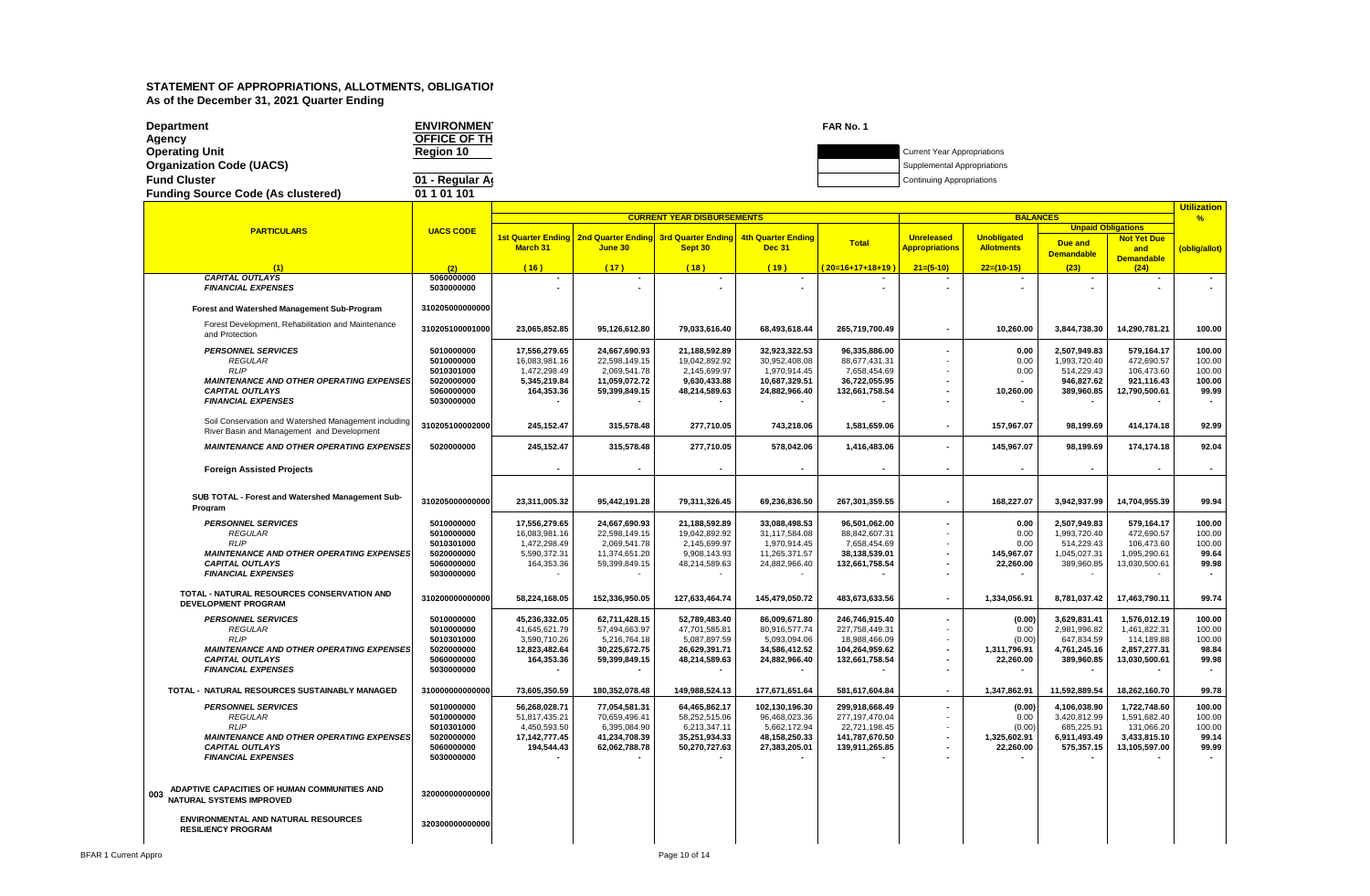| <b>Department</b>                         | <b>ENVIRONMEN</b> | FAR No. 1 |                                    |
|-------------------------------------------|-------------------|-----------|------------------------------------|
| Agency                                    | OFFICE OF TH      |           |                                    |
| <b>Operating Unit</b>                     | Region 10         |           | <b>Current Year Appropriations</b> |
| <b>Organization Code (UACS)</b>           |                   |           | Supplemental Appropriations        |
| <b>Fund Cluster</b>                       | 01 - Regular Ar   |           | <b>Continuing Appropriations</b>   |
| <b>Funding Source Code (As clustered)</b> | 01 1 01 101       |           |                                    |
|                                           |                   |           |                                    |

|                                                                                                    |                          |                             |                                                                         | <b>CURRENT YEAR DISBURSEMENTS</b> |                                            |                                  |                                            | <u>utilization</u><br>$\frac{9}{6}$     |                            |                               |                          |
|----------------------------------------------------------------------------------------------------|--------------------------|-----------------------------|-------------------------------------------------------------------------|-----------------------------------|--------------------------------------------|----------------------------------|--------------------------------------------|-----------------------------------------|----------------------------|-------------------------------|--------------------------|
| <b>PARTICULARS</b>                                                                                 | <b>UACS CODE</b>         |                             |                                                                         |                                   |                                            |                                  |                                            |                                         | <b>BALANCES</b>            | <b>Unpaid Obligations</b>     |                          |
|                                                                                                    |                          | March 31                    | 1st Quarter Ending   2nd Quarter Ending   3rd Quarter Ending<br>June 30 | Sept 30                           | <b>4th Quarter Ending</b><br><b>Dec 31</b> | <b>Total</b>                     | <b>Unreleased</b><br><b>Appropriations</b> | <b>Unobligated</b><br><b>Allotments</b> | Due and                    | <b>Not Yet Due</b>            |                          |
|                                                                                                    |                          |                             |                                                                         |                                   |                                            |                                  |                                            |                                         | <b>Demandable</b>          | and<br><b>Demandable</b>      | oblig/allot)             |
| (1)                                                                                                | (2)                      | (16)                        | (17)                                                                    | (18)                              | (19)                                       | 20=16+17+18+19                   | $21=(5-10)$                                | $22=(10-15)$                            | (23)                       | (24)                          |                          |
| <b>CAPITAL OUTLAYS</b>                                                                             | 5060000000               | $\blacksquare$              |                                                                         |                                   |                                            |                                  |                                            |                                         |                            |                               | $\sim$                   |
| <b>FINANCIAL EXPENSES</b>                                                                          | 5030000000               |                             |                                                                         |                                   |                                            |                                  |                                            |                                         |                            |                               |                          |
| Forest and Watershed Management Sub-Program                                                        | 310205000000000          |                             |                                                                         |                                   |                                            |                                  |                                            |                                         |                            |                               |                          |
| Forest Development, Rehabilitation and Maintenance<br>and Protection                               | 310205100001000          | 23,065,852.85               | 95,126,612.80                                                           | 79,033,616.40                     | 68,493,618.44                              | 265,719,700.49                   | $\blacksquare$                             | 10,260.00                               | 3,844,738.30               | 14,290,781.21                 | 100.00                   |
| <b>PERSONNEL SERVICES</b>                                                                          | 5010000000               | 17,556,279.65               | 24,667,690.93                                                           | 21,188,592.89                     | 32,923,322.53                              | 96,335,886.00                    |                                            | 0.00                                    | 2,507,949.83               | 579,164.17                    | 100.00                   |
| <b>REGULAR</b>                                                                                     | 5010000000               | 16,083,981.16               | 22,598,149.15                                                           | 19,042,892.92                     | 30,952,408.08                              | 88,677,431.31                    |                                            | 0.00                                    | 1,993,720.40               | 472,690.57                    | 100.00                   |
| <b>RLIP</b>                                                                                        | 5010301000               | 1,472,298.49                | 2,069,541.78                                                            | 2,145,699.97                      | 1,970,914.45                               | 7,658,454.69                     |                                            | 0.00                                    | 514,229.43                 | 106,473.60                    | 100.00                   |
| <b>MAINTENANCE AND OTHER OPERATING EXPENSES</b><br><b>CAPITAL OUTLAYS</b>                          | 5020000000<br>5060000000 | 5,345,219.84<br>164,353.36  | 11,059,072.72<br>59,399,849.15                                          | 9,630,433.88<br>48,214,589.63     | 10,687,329.51<br>24,882,966.40             | 36,722,055.95<br>132,661,758.54  |                                            | 10,260.00                               | 946,827.62<br>389,960.85   | 921,116.43<br>12,790,500.61   | 100.00<br>99.99          |
| <b>FINANCIAL EXPENSES</b>                                                                          | 5030000000               |                             |                                                                         |                                   |                                            |                                  |                                            |                                         |                            |                               |                          |
|                                                                                                    |                          |                             |                                                                         |                                   |                                            |                                  |                                            |                                         |                            |                               |                          |
| Soil Conservation and Watershed Management including<br>River Basin and Management and Development | 310205100002000          | 245,152.47                  | 315.578.48                                                              | 277,710.05                        | 743,218.06                                 | 1,581,659.06                     |                                            | 157,967.07                              | 98.199.69                  | 414,174.18                    | 92.99                    |
| <b>MAINTENANCE AND OTHER OPERATING EXPENSES</b>                                                    | 5020000000               | 245,152.47                  | 315,578.48                                                              | 277,710.05                        | 578,042.06                                 | 1,416,483.06                     |                                            | 145,967.07                              | 98,199.69                  | 174,174.18                    | 92.04                    |
| <b>Foreign Assisted Projects</b>                                                                   |                          |                             |                                                                         |                                   | $\blacksquare$                             |                                  | $\blacksquare$                             |                                         | $\sim$                     |                               | $\overline{\phantom{a}}$ |
|                                                                                                    |                          |                             |                                                                         |                                   |                                            |                                  |                                            |                                         |                            |                               |                          |
| SUB TOTAL - Forest and Watershed Management Sub-<br>Program                                        | 310205000000000          | 23,311,005.32               | 95,442,191.28                                                           | 79,311,326.45                     | 69,236,836.50                              | 267,301,359.55                   |                                            | 168,227.07                              | 3,942,937.99               | 14,704,955.39                 | 99.94                    |
| <b>PERSONNEL SERVICES</b>                                                                          | 5010000000               | 17,556,279.65               | 24,667,690.93                                                           | 21,188,592.89                     | 33,088,498.53                              | 96,501,062.00                    |                                            | 0.00                                    | 2,507,949.83               | 579,164.17                    | 100.00                   |
| <b>REGULAR</b>                                                                                     | 5010000000               | 16,083,981.16               | 22,598,149.15                                                           | 19,042,892.92                     | 31,117,584.08                              | 88,842,607.31                    |                                            | 0.00                                    | 1,993,720.40               | 472,690.57                    | 100.00                   |
| <b>RLIP</b>                                                                                        | 5010301000               | 1,472,298.49                | 2,069,541.78                                                            | 2,145,699.97                      | 1,970,914.45                               | 7,658,454.69                     |                                            | 0.00                                    | 514,229.43                 | 106,473.60                    | 100.00                   |
| <b>MAINTENANCE AND OTHER OPERATING EXPENSES</b>                                                    | 5020000000               | 5,590,372.31                | 11,374,651.20                                                           | 9,908,143.93                      | 11,265,371.57                              | 38,138,539.01                    |                                            | 145,967.07                              | 1,045,027.31               | 1,095,290.61                  | 99.64                    |
| <b>CAPITAL OUTLAYS</b><br><b>FINANCIAL EXPENSES</b>                                                | 5060000000<br>5030000000 | 164,353.36                  | 59,399,849.15                                                           | 48,214,589.63                     | 24,882,966.40                              | 132,661,758.54                   |                                            | 22,260.00                               | 389,960.85                 | 13,030,500.61                 | 99.98                    |
|                                                                                                    |                          |                             |                                                                         |                                   |                                            |                                  |                                            |                                         |                            |                               |                          |
| TOTAL - NATURAL RESOURCES CONSERVATION AND<br><b>DEVELOPMENT PROGRAM</b>                           | 310200000000000          | 58,224,168.05               | 152,336,950.05                                                          | 127,633,464.74                    | 145,479,050.72                             | 483,673,633.56                   | $\blacksquare$                             | 1,334,056.91                            | 8,781,037.42               | 17,463,790.11                 | 99.74                    |
| <b>PERSONNEL SERVICES</b>                                                                          | 5010000000               | 45,236,332.05               | 62,711,428.15                                                           | 52,789,483.40                     | 86,009,671.80                              | 246,746,915.40                   |                                            | (0.00)                                  | 3,629,831.41               | 1,576,012.19                  | 100.00                   |
| <b>REGULAR</b>                                                                                     | 5010000000               | 41,645,621.79               | 57,494,663.97                                                           | 47,701,585.81                     | 80,916,577.74                              | 227,758,449.31                   |                                            | 0.00                                    | 2,981,996.82               | 1,461,822.31                  | 100.00                   |
| <b>RLIP</b>                                                                                        | 5010301000               | 3,590,710.26                | 5,216,764.18                                                            | 5,087,897.59                      | 5,093,094.06                               | 18,988,466.09                    |                                            | (0.00)                                  | 647,834.59                 | 114,189.88                    | 100.00                   |
| <b>MAINTENANCE AND OTHER OPERATING EXPENSES</b><br><b>CAPITAL OUTLAYS</b>                          | 5020000000<br>5060000000 | 12.823.482.64<br>164,353.36 | 30,225,672.75<br>59,399,849.15                                          | 26,629,391.71<br>48,214,589.63    | 34.586.412.52<br>24,882,966.40             | 104,264,959.62<br>132,661,758.54 |                                            | 1,311,796.91<br>22,260.00               | 4.761.245.16<br>389,960.85 | 2,857,277.31<br>13,030,500.61 | 98.84<br>99.98           |
| <b>FINANCIAL EXPENSES</b>                                                                          | 5030000000               |                             |                                                                         |                                   |                                            |                                  |                                            |                                         |                            |                               |                          |
| TOTAL - NATURAL RESOURCES SUSTAINABLY MANAGED                                                      | 310000000000000          | 73,605,350.59               | 180,352,078.48                                                          | 149,988,524.13                    | 177,671,651.64                             | 581,617,604.84                   | $\overline{\phantom{a}}$                   | 1,347,862.91                            | 11,592,889.54              | 18,262,160.70                 | 99.78                    |
| <b>PERSONNEL SERVICES</b>                                                                          | 5010000000               | 56,268,028.71               | 77.054.581.31                                                           | 64,465,862.17                     | 102.130.196.30                             | 299.918.668.49                   |                                            | (0.00)                                  | 4.106.038.90               | 1.722.748.60                  | 100.00                   |
| <b>REGULAR</b>                                                                                     | 5010000000               | 51,817,435.21               | 70,659,496.41                                                           | 58,252,515.06                     | 96,468,023.36                              | 277, 197, 470.04                 |                                            | 0.00                                    | 3,420,812.99               | 1,591,682.40                  | 100.00                   |
| <b>RLIP</b>                                                                                        | 5010301000               | 4,450,593.50                | 6,395,084.90                                                            | 6,213,347.11                      | 5,662,172.94                               | 22,721,198.45                    |                                            | (0.00)                                  | 685,225.91                 | 131,066.20                    | 100.00                   |
| <b>MAINTENANCE AND OTHER OPERATING EXPENSES</b>                                                    | 5020000000               | 17, 142, 777. 45            | 41,234,708.39                                                           | 35,251,934.33                     | 48,158,250.33                              | 141,787,670.50                   |                                            | 1,325,602.91                            | 6,911,493.49               | 3,433,815.10                  | 99.14                    |
| <b>CAPITAL OUTLAYS</b><br><b>FINANCIAL EXPENSES</b>                                                | 5060000000<br>5030000000 | 194,544.43                  | 62,062,788.78                                                           | 50,270,727.63                     | 27,383,205.01                              | 139,911,265.85                   |                                            | 22,260.00                               | 575,357.15                 | 13,105,597.00                 | 99.99                    |
|                                                                                                    |                          |                             |                                                                         |                                   |                                            |                                  |                                            |                                         |                            |                               |                          |
|                                                                                                    |                          |                             |                                                                         |                                   |                                            |                                  |                                            |                                         |                            |                               |                          |
| ADAPTIVE CAPACITIES OF HUMAN COMMUNITIES AND<br>003<br>NATURAL SYSTEMS IMPROVED                    | 320000000000000          |                             |                                                                         |                                   |                                            |                                  |                                            |                                         |                            |                               |                          |
| <b>ENVIRONMENTAL AND NATURAL RESOURCES</b><br><b>RESILIENCY PROGRAM</b>                            | 320300000000000          |                             |                                                                         |                                   |                                            |                                  |                                            |                                         |                            |                               |                          |
|                                                                                                    |                          |                             |                                                                         |                                   |                                            |                                  |                                            |                                         |                            |                               |                          |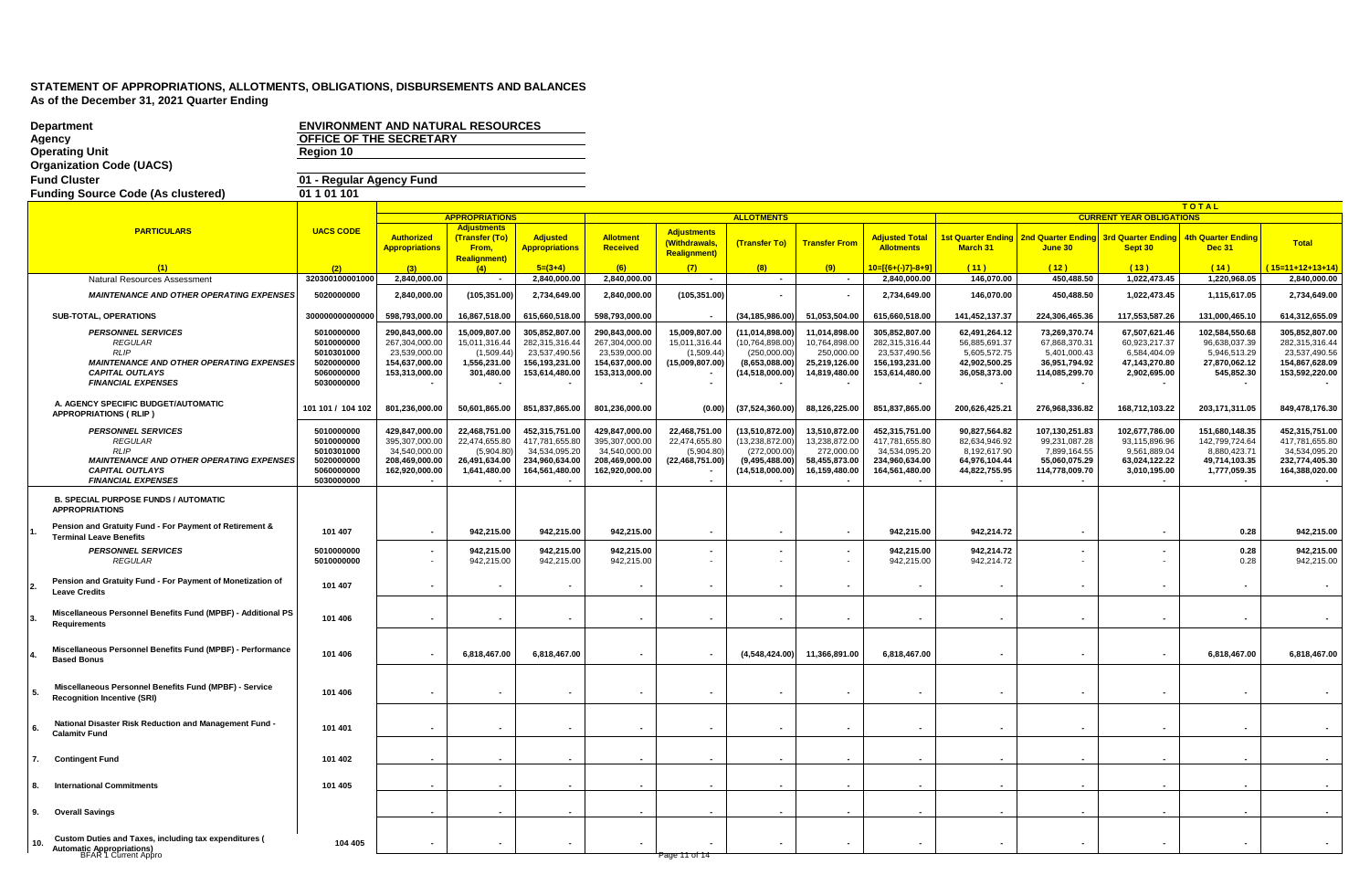|     | <b>Department</b><br>Agency                                                                                | <b>ENVIRONMENT AND NATURAL RESOURCES</b><br>OFFICE OF THE SECRETARY |                                 |                                             |                                 |                                 |                                     |                                   |                             |                                 |                               |                                       |                                 |                                |                                 |
|-----|------------------------------------------------------------------------------------------------------------|---------------------------------------------------------------------|---------------------------------|---------------------------------------------|---------------------------------|---------------------------------|-------------------------------------|-----------------------------------|-----------------------------|---------------------------------|-------------------------------|---------------------------------------|---------------------------------|--------------------------------|---------------------------------|
|     | <b>Operating Unit</b><br><b>Organization Code (UACS)</b>                                                   | Region 10                                                           |                                 |                                             |                                 |                                 |                                     |                                   |                             |                                 |                               |                                       |                                 |                                |                                 |
|     | <b>Fund Cluster</b>                                                                                        | 01 - Regular Agency Fund                                            |                                 |                                             |                                 |                                 |                                     |                                   |                             |                                 |                               |                                       |                                 |                                |                                 |
|     | <b>Funding Source Code (As clustered)</b>                                                                  | 01 1 01 1 01                                                        |                                 |                                             |                                 |                                 |                                     |                                   |                             |                                 |                               |                                       |                                 |                                |                                 |
|     |                                                                                                            |                                                                     |                                 |                                             |                                 |                                 |                                     |                                   |                             |                                 |                               |                                       |                                 | TOTAL                          |                                 |
|     |                                                                                                            |                                                                     |                                 | <b>APPROPRIATIONS</b><br><b>Adjustments</b> |                                 |                                 |                                     | <b>ALLOTMENTS</b>                 |                             |                                 |                               |                                       | <b>CURRENT YEAR OBLIGATIONS</b> |                                |                                 |
|     | <b>PARTICULARS</b>                                                                                         | <b>UACS CODE</b>                                                    | <b>Authorized</b>               | (Transfer (To)                              | <b>Adjusted</b>                 | <b>Allotment</b>                | <b>Adjustments</b><br>(Withdrawals, | (Transfer To)                     | <b>Transfer From</b>        | <b>Adjusted Total</b>           | 1st Quarter Ending            | 2nd Quarter Ending 3rd Quarter Ending |                                 | <b>4th Quarter Ending</b>      | <b>Total</b>                    |
|     |                                                                                                            |                                                                     | <b>Appropriations</b>           | From,<br><b>Realignment)</b>                | <mark>Appropriations</mark>     | <b>Received</b>                 | <b>Realignment)</b>                 |                                   |                             | <b>Allotments</b>               | March 31                      | June 30                               | Sept 30                         | <b>Dec 31</b>                  |                                 |
|     |                                                                                                            | (2)                                                                 |                                 | (4)                                         | $5=(3+4)$                       | (6)                             | (7)                                 | (8)                               | (9)                         | 10=[{6+(-)7}-8+9]               | (11)                          | (12)                                  | (13)                            | (14)                           | $15=11+12+13+14$                |
|     | Natural Resources Assessment                                                                               | 320300100001000                                                     | 2,840,000.00                    | $\sim$                                      | 2,840,000.00                    | 2,840,000.00                    | $\sim$                              | $\sim$                            | $\sim$                      | 2,840,000.00                    | 146,070.00                    | 450,488.50                            | 1,022,473.45                    | 1,220,968.05                   | 2,840,000.00                    |
|     | <b>MAINTENANCE AND OTHER OPERATING EXPENSES</b>                                                            | 5020000000                                                          | 2,840,000.00                    | (105, 351.00)                               | 2,734,649.00                    | 2,840,000.00                    | (105, 351.00)                       |                                   |                             | 2,734,649.00                    | 146,070.00                    | 450,488.50                            | 1,022,473.45                    | 1,115,617.05                   | 2,734,649.00                    |
|     | SUB-TOTAL, OPERATIONS                                                                                      | 300000000000000                                                     | 598,793,000.00                  | 16,867,518.00                               | 615,660,518.00                  | 598,793,000.00                  |                                     | (34, 185, 986.00)                 | 51,053,504.00               | 615,660,518.00                  | 141,452,137.37                | 224,306,465.36                        | 117,553,587.26                  | 131.000.465.10                 | 614,312,655.09                  |
|     | <b>PERSONNEL SERVICES</b>                                                                                  | 5010000000                                                          | 290,843,000.00                  | 15,009,807.00                               | 305,852,807.00                  | 290,843,000.00                  | 15,009,807.00                       | (11,014,898.00)                   | 11,014,898.00               | 305,852,807.00                  | 62,491,264.12                 | 73,269,370.74                         | 67,507,621.46                   | 102,584,550.68                 | 305,852,807.00                  |
|     | <b>REGULAR</b><br><b>RLIP</b>                                                                              | 5010000000<br>5010301000                                            | 267,304,000.00<br>23,539,000.00 | 15,011,316.44<br>(1,509.44)                 | 282,315,316.44<br>23,537,490.56 | 267,304,000.00<br>23,539,000.00 | 15,011,316.44<br>(1,509.44)         | (10, 764, 898.00)<br>(250,000.00) | 10,764,898.00<br>250,000.00 | 282,315,316.44<br>23,537,490.56 | 56,885,691.37<br>5,605,572.75 | 67,868,370.31<br>5,401,000.43         | 60,923,217.37<br>6,584,404.09   | 96,638,037.39<br>5,946,513.29  | 282,315,316.44<br>23,537,490.56 |
|     | <b>MAINTENANCE AND OTHER OPERATING EXPENSES</b>                                                            | 5020000000                                                          | 154.637.000.00                  | 1.556.231.00                                | 156,193,231.00                  | 154,637,000.00                  | (15,009,807.00)                     | (8.653.088.00)                    | 25.219.126.00               | 156.193.231.00                  | 42.902.500.25                 | 36.951.794.92                         | 47,143,270.80                   | 27.870.062.12                  | 154.867.628.09                  |
|     | <b>CAPITAL OUTLAYS</b><br><b>FINANCIAL EXPENSES</b>                                                        | 5060000000<br>5030000000                                            | 153,313,000.00                  | 301,480.00                                  | 153,614,480.00                  | 153,313,000.00                  |                                     | (14,518,000.00)                   | 14,819,480.00               | 153,614,480.00                  | 36,058,373.00                 | 114,085,299.70                        | 2,902,695.00                    | 545,852.30                     | 153,592,220.00                  |
|     | A. AGENCY SPECIFIC BUDGET/AUTOMATIC<br>APPROPRIATIONS (RLIP)                                               | 101 101 / 104 102                                                   | 801,236,000.00                  | 50,601,865.00                               | 851,837,865.00                  | 801,236,000.00                  | (0.00)                              | (37, 524, 360.00)                 | 88,126,225.00               | 851,837,865.00                  | 200,626,425.21                | 276,968,336.82                        | 168,712,103.22                  | 203, 171, 311.05               | 849,478,176.30                  |
|     | <b>PERSONNEL SERVICES</b>                                                                                  | 5010000000                                                          | 429,847,000.00                  | 22,468,751.00                               | 452,315,751.00                  | 429,847,000.00                  | 22,468,751.00                       | (13,510,872.00)                   | 13,510,872.00               | 452,315,751.00                  | 90,827,564.82                 | 107,130,251.83                        | 102,677,786.00                  | 151,680,148.35                 | 452,315,751.00                  |
|     | <b>REGULAR</b><br>RLIP                                                                                     | 5010000000<br>5010301000                                            | 395,307,000.00<br>34,540,000.00 | 22,474,655.80<br>(5,904.80)                 | 417,781,655.80<br>34,534,095.20 | 395,307,000.00<br>34,540,000.00 | 22,474,655.80<br>(5,904.80)         | (13, 238, 872.00)<br>(272,000.00) | 13,238,872.00<br>272,000.00 | 417,781,655.80<br>34,534,095.20 | 82,634,946.92<br>8,192,617.90 | 99,231,087.28<br>7,899,164.55         | 93,115,896.96<br>9,561,889.04   | 142,799,724.64<br>8,880,423.71 | 417,781,655.80<br>34,534,095.20 |
|     | <b>MAINTENANCE AND OTHER OPERATING EXPENSES</b>                                                            | 5020000000                                                          | 208,469,000.00                  | 26,491,634.00                               | 234,960,634.00                  | 208,469,000.00                  | (22, 468, 751.00)                   | (9,495,488.00)                    | 58,455,873.00               | 234,960,634.00                  | 64,976,104.44                 | 55,060,075.29                         | 63,024,122.22                   | 49,714,103.35                  | 232,774,405.30                  |
|     | <b>CAPITAL OUTLAYS</b><br><b>FINANCIAL EXPENSES</b>                                                        | 5060000000<br>5030000000                                            | 162,920,000.00                  | 1,641,480.00                                | 164,561,480.00                  | 162,920,000.00                  |                                     | (14,518,000.00)                   | 16,159,480.00               | 164,561,480.00                  | 44,822,755.95                 | 114,778,009.70                        | 3,010,195.00                    | 1,777,059.35                   | 164,388,020.00                  |
|     | <b>B. SPECIAL PURPOSE FUNDS / AUTOMATIC</b><br><b>APPROPRIATIONS</b>                                       |                                                                     |                                 |                                             |                                 |                                 |                                     |                                   |                             |                                 |                               |                                       |                                 |                                |                                 |
|     | Pension and Gratuity Fund - For Payment of Retirement &                                                    | 101 407                                                             |                                 | 942,215.00                                  | 942,215.00                      | 942,215.00                      | $\blacksquare$                      | $\overline{\phantom{a}}$          |                             | 942,215.00                      | 942,214.72                    | $\blacksquare$                        |                                 | 0.28                           | 942,215.00                      |
|     | <b>Terminal Leave Benefits</b><br><b>PERSONNEL SERVICES</b>                                                | 5010000000                                                          |                                 | 942,215.00                                  | 942,215.00                      | 942,215.00                      |                                     |                                   |                             | 942,215.00                      | 942,214.72                    |                                       |                                 | 0.28                           | 942,215.00                      |
|     | <b>REGULAR</b>                                                                                             | 5010000000                                                          |                                 | 942,215.00                                  | 942,215.00                      | 942,215.00                      |                                     |                                   |                             | 942,215.00                      | 942,214.72                    |                                       |                                 | 0.28                           | 942,215.00                      |
|     | Pension and Gratuity Fund - For Payment of Monetization of<br>Leave Credits                                | 101 407                                                             |                                 |                                             |                                 |                                 |                                     |                                   |                             |                                 |                               |                                       |                                 | $\blacksquare$                 |                                 |
|     | Miscellaneous Personnel Benefits Fund (MPBF) - Additional PS<br>Requirements                               | 101 406                                                             |                                 |                                             |                                 |                                 |                                     | $\overline{\phantom{a}}$          |                             |                                 |                               | $\blacksquare$                        |                                 | $\blacksquare$                 |                                 |
|     | Miscellaneous Personnel Benefits Fund (MPBF) - Performance<br><b>Based Bonus</b>                           | 101 406                                                             |                                 | 6,818,467.00                                | 6,818,467.00                    |                                 |                                     | (4,548,424.00)                    | 11,366,891.00               | 6,818,467.00                    |                               |                                       |                                 | 6,818,467.00                   | 6,818,467.00                    |
|     | Miscellaneous Personnel Benefits Fund (MPBF) - Service<br><b>Recognition Incentive (SRI)</b>               | 101 406                                                             |                                 |                                             |                                 |                                 |                                     |                                   |                             |                                 |                               | $\blacksquare$                        |                                 | $\blacksquare$                 |                                 |
|     | National Disaster Risk Reduction and Management Fund -<br><b>Calamity Fund</b>                             | 101 401                                                             |                                 |                                             | $\blacksquare$                  | $\sim$                          | $\sim$                              | $\sim$                            | $\sim$                      | $\overline{\phantom{a}}$        | $\sim$                        | $\sim$                                |                                 | $\sim$                         |                                 |
| 7.  | <b>Contingent Fund</b>                                                                                     | 101 402                                                             |                                 |                                             |                                 |                                 |                                     |                                   |                             |                                 |                               |                                       |                                 |                                |                                 |
|     | <b>International Commitments</b>                                                                           | 101 405                                                             |                                 |                                             |                                 |                                 |                                     |                                   |                             |                                 |                               |                                       |                                 |                                |                                 |
|     |                                                                                                            |                                                                     |                                 |                                             |                                 |                                 |                                     |                                   |                             |                                 |                               |                                       |                                 |                                |                                 |
| 9.  | <b>Overall Savings</b>                                                                                     |                                                                     |                                 |                                             |                                 |                                 |                                     |                                   |                             |                                 |                               |                                       |                                 |                                |                                 |
| 10. | Custom Duties and Taxes, including tax expenditures (<br>Automatic Appropriations)<br>BFAR 1 Current Appro | 104 405                                                             |                                 |                                             | $\sim$                          |                                 | Page 11 of 14                       |                                   |                             |                                 |                               |                                       |                                 |                                |                                 |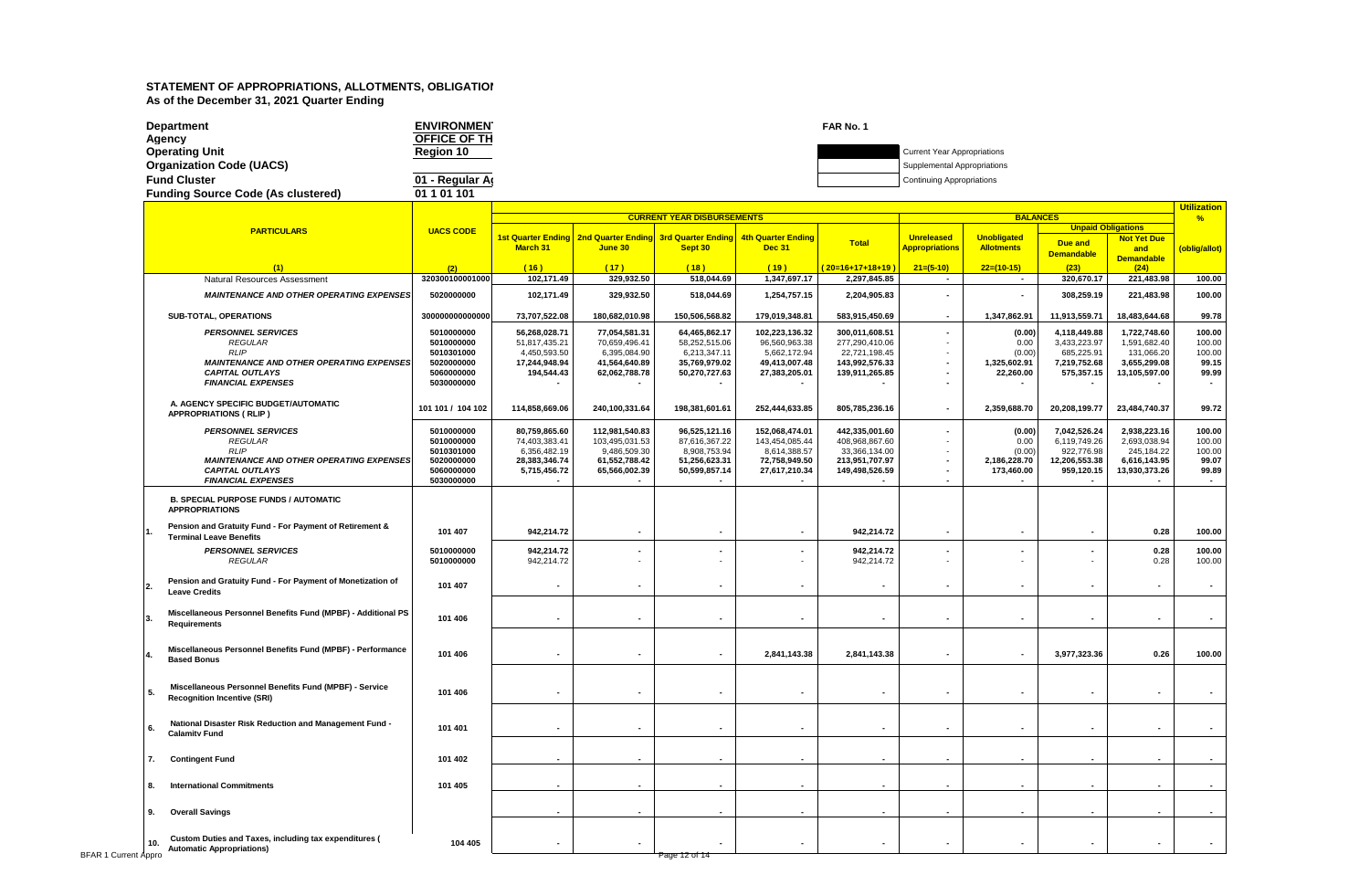| <b>Department</b>                         | <b>ENVIRONMEN</b> | FAR No. 1                          |
|-------------------------------------------|-------------------|------------------------------------|
| Agency                                    | OFFICE OF TH      |                                    |
| <b>Operating Unit</b>                     | Reaion 10         | <b>Current Year Appropriations</b> |
| <b>Organization Code (UACS)</b>           |                   | Supplemental Appropriations        |
| <b>Fund Cluster</b>                       | 01 - Regular Ar   | <b>Continuing Appropriations</b>   |
| <b>Funding Source Code (As clustered)</b> | 01 1 01 101       |                                    |

|                             |                                                                                                                                                                      |                                                                                  |                                                                                 |                                                                                    | <b>CURRENT YEAR DISBURSEMENTS</b>                                                |                                                                                    |                                                                                       |                                                                                                    | <b>BALANCES</b>                                        |                                                                           |                                                                             | <b>Utilization</b><br>$\frac{9}{6}$          |
|-----------------------------|----------------------------------------------------------------------------------------------------------------------------------------------------------------------|----------------------------------------------------------------------------------|---------------------------------------------------------------------------------|------------------------------------------------------------------------------------|----------------------------------------------------------------------------------|------------------------------------------------------------------------------------|---------------------------------------------------------------------------------------|----------------------------------------------------------------------------------------------------|--------------------------------------------------------|---------------------------------------------------------------------------|-----------------------------------------------------------------------------|----------------------------------------------|
|                             | <b>PARTICULARS</b>                                                                                                                                                   | <b>UACS CODE</b>                                                                 |                                                                                 |                                                                                    |                                                                                  |                                                                                    |                                                                                       |                                                                                                    |                                                        | <b>Unpaid Obligations</b>                                                 |                                                                             |                                              |
|                             |                                                                                                                                                                      |                                                                                  | March 31                                                                        | 1st Quarter Ending   2nd Quarter Ending   3rd Quarter Ending<br>June 30            | Sept 30                                                                          | <b>4th Quarter Ending</b><br><b>Dec 31</b>                                         | <b>Total</b>                                                                          | <b>Unreleased</b><br><b>Appropriations</b>                                                         | <b>Unobligated</b><br><b>Allotments</b>                | Due and<br><b>Demandable</b>                                              | <b>Not Yet Due</b><br>and<br><b>Demandable</b>                              | (oblig/allot)                                |
|                             | (1)                                                                                                                                                                  | (2)                                                                              | (16)                                                                            | (17)                                                                               | (18)                                                                             | (19)                                                                               | $(20=16+17+18+19)$                                                                    | $21=(5-10)$                                                                                        | $22=(10-15)$                                           | (23)                                                                      | (24)                                                                        |                                              |
|                             | Natural Resources Assessment                                                                                                                                         | 320300100001000                                                                  | 102,171.49                                                                      | 329,932.50                                                                         | 518,044.69                                                                       | 1,347,697.17                                                                       | 2,297,845.85                                                                          | $\overline{\phantom{a}}$                                                                           | $\sim$                                                 | 320,670.17                                                                | 221,483.98                                                                  | 100.00                                       |
|                             | <b>MAINTENANCE AND OTHER OPERATING EXPENSES</b>                                                                                                                      | 5020000000                                                                       | 102,171.49                                                                      | 329,932.50                                                                         | 518,044.69                                                                       | 1,254,757.15                                                                       | 2,204,905.83                                                                          | $\overline{\phantom{a}}$                                                                           | $\sim$                                                 | 308,259.19                                                                | 221,483.98                                                                  | 100.00                                       |
|                             | SUB-TOTAL, OPERATIONS                                                                                                                                                | 300000000000000                                                                  | 73,707,522.08                                                                   | 180,682,010.98                                                                     | 150,506,568.82                                                                   | 179,019,348.81                                                                     | 583,915,450.69                                                                        | $\overline{\phantom{a}}$                                                                           | 1,347,862.91                                           | 11,913,559.71                                                             | 18,483,644.68                                                               | 99.78                                        |
|                             | <b>PERSONNEL SERVICES</b><br><b>REGULAR</b><br><b>RLIP</b><br><b>MAINTENANCE AND OTHER OPERATING EXPENSES</b><br><b>CAPITAL OUTLAYS</b><br><b>FINANCIAL EXPENSES</b> | 5010000000<br>5010000000<br>5010301000<br>5020000000<br>5060000000<br>5030000000 | 56,268,028.71<br>51,817,435.21<br>4,450,593.50<br>17,244,948.94<br>194,544.43   | 77,054,581.31<br>70,659,496.41<br>6,395,084.90<br>41,564,640.89<br>62,062,788.78   | 64,465,862.17<br>58,252,515.06<br>6,213,347.11<br>35,769,979.02<br>50,270,727.63 | 102,223,136.32<br>96,560,963.38<br>5,662,172.94<br>49,413,007.48<br>27,383,205.01  | 300,011,608.51<br>277,290,410.06<br>22,721,198.45<br>143,992,576.33<br>139,911,265.85 | $\overline{\phantom{a}}$<br>$\overline{\phantom{a}}$<br>$\overline{\phantom{a}}$<br>$\blacksquare$ | (0.00)<br>0.00<br>(0.00)<br>1,325,602.91<br>22,260.00  | 4,118,449.88<br>3,433,223.97<br>685,225.91<br>7,219,752.68<br>575,357.15  | 1,722,748.60<br>1,591,682.40<br>131,066.20<br>3,655,299.08<br>13,105,597.00 | 100.00<br>100.00<br>100.00<br>99.15<br>99.99 |
|                             | A. AGENCY SPECIFIC BUDGET/AUTOMATIC<br><b>APPROPRIATIONS (RLIP)</b>                                                                                                  | 101 101 / 104 102                                                                | 114,858,669.06                                                                  | 240,100,331.64                                                                     | 198,381,601.61                                                                   | 252,444,633.85                                                                     | 805,785,236.16                                                                        | ÷,                                                                                                 | 2,359,688.70                                           | 20,208,199.77                                                             | 23,484,740.37                                                               | 99.72                                        |
|                             | <b>PERSONNEL SERVICES</b><br><b>REGULAR</b><br><b>RLIP</b><br><b>MAINTENANCE AND OTHER OPERATING EXPENSES</b><br><b>CAPITAL OUTLAYS</b><br><b>FINANCIAL EXPENSES</b> | 5010000000<br>5010000000<br>5010301000<br>5020000000<br>5060000000<br>5030000000 | 80.759.865.60<br>74,403,383.41<br>6,356,482.19<br>28,383,346.74<br>5,715,456.72 | 112,981,540.83<br>103,495,031.53<br>9,486,509.30<br>61,552,788.42<br>65,566,002.39 | 96,525,121.16<br>87,616,367.22<br>8,908,753.94<br>51,256,623.31<br>50,599,857.14 | 152,068,474.01<br>143,454,085.44<br>8,614,388.57<br>72,758,949.50<br>27,617,210.34 | 442.335.001.60<br>408,968,867.60<br>33,366,134.00<br>213,951,707.97<br>149,498,526.59 | $\overline{\phantom{a}}$<br>$\overline{\phantom{a}}$                                               | (0.00)<br>0.00<br>(0.00)<br>2,186,228.70<br>173,460.00 | 7,042,526.24<br>6,119,749.26<br>922,776.98<br>12,206,553.38<br>959,120.15 | 2,938,223.16<br>2,693,038.94<br>245,184.22<br>6,616,143.95<br>13,930,373.26 | 100.00<br>100.00<br>100.00<br>99.07<br>99.89 |
|                             | <b>B. SPECIAL PURPOSE FUNDS / AUTOMATIC</b><br><b>APPROPRIATIONS</b>                                                                                                 |                                                                                  |                                                                                 |                                                                                    |                                                                                  |                                                                                    |                                                                                       |                                                                                                    |                                                        |                                                                           |                                                                             |                                              |
|                             | Pension and Gratuity Fund - For Payment of Retirement &<br><b>Terminal Leave Benefits</b>                                                                            | 101 407                                                                          | 942,214.72                                                                      | $\sim$                                                                             | $\blacksquare$                                                                   |                                                                                    | 942,214.72                                                                            | $\overline{\phantom{a}}$                                                                           | $\blacksquare$                                         | $\overline{\phantom{a}}$                                                  | 0.28                                                                        | 100.00                                       |
|                             | <b>PERSONNEL SERVICES</b><br><b>REGULAR</b>                                                                                                                          | 5010000000<br>5010000000                                                         | 942,214.72<br>942,214.72                                                        | ٠<br>٠                                                                             |                                                                                  |                                                                                    | 942,214.72<br>942,214.72                                                              |                                                                                                    |                                                        |                                                                           | 0.28<br>0.28                                                                | 100.00<br>100.00                             |
|                             | Pension and Gratuity Fund - For Payment of Monetization of<br><b>Leave Credits</b>                                                                                   | 101 407                                                                          |                                                                                 | $\sim$                                                                             |                                                                                  |                                                                                    | $\blacksquare$                                                                        |                                                                                                    | $\blacksquare$                                         | ٠                                                                         | $\blacksquare$                                                              |                                              |
|                             | Miscellaneous Personnel Benefits Fund (MPBF) - Additional PS<br>Requirements                                                                                         | 101 406                                                                          |                                                                                 | $\blacksquare$                                                                     |                                                                                  |                                                                                    | $\sim$                                                                                | $\overline{\phantom{a}}$                                                                           | $\blacksquare$                                         | $\overline{\phantom{a}}$                                                  | $\sim$                                                                      | $\sim$                                       |
|                             | Miscellaneous Personnel Benefits Fund (MPBF) - Performance<br><b>Based Bonus</b>                                                                                     | 101 406                                                                          |                                                                                 | $\sim$                                                                             |                                                                                  | 2,841,143.38                                                                       | 2,841,143.38                                                                          | $\blacksquare$                                                                                     | $\sim$                                                 | 3,977,323.36                                                              | 0.26                                                                        | 100.00                                       |
|                             | Miscellaneous Personnel Benefits Fund (MPBF) - Service<br>5.<br><b>Recognition Incentive (SRI)</b>                                                                   | 101 406                                                                          |                                                                                 | $\blacksquare$                                                                     |                                                                                  |                                                                                    | $\blacksquare$                                                                        | $\overline{\phantom{a}}$                                                                           | $\blacksquare$                                         | $\overline{\phantom{a}}$                                                  | $\blacksquare$                                                              |                                              |
|                             | National Disaster Risk Reduction and Management Fund -<br>6.<br><b>Calamity Fund</b>                                                                                 | 101 401                                                                          |                                                                                 | $\sim$                                                                             |                                                                                  |                                                                                    | $\blacksquare$                                                                        |                                                                                                    | $\blacksquare$                                         | ٠                                                                         |                                                                             |                                              |
|                             | <b>Contingent Fund</b>                                                                                                                                               | 101 402                                                                          |                                                                                 |                                                                                    |                                                                                  |                                                                                    |                                                                                       |                                                                                                    |                                                        |                                                                           |                                                                             |                                              |
|                             | <b>International Commitments</b><br>8.                                                                                                                               | 101 405                                                                          |                                                                                 |                                                                                    |                                                                                  |                                                                                    |                                                                                       |                                                                                                    |                                                        |                                                                           |                                                                             |                                              |
|                             | <b>Overall Savings</b><br>9.                                                                                                                                         |                                                                                  |                                                                                 | $\sim$                                                                             |                                                                                  |                                                                                    | $\sim$                                                                                | $\overline{\phantom{a}}$                                                                           |                                                        |                                                                           | $\sim$                                                                      |                                              |
| <b>BFAR 1 Current Appro</b> | Custom Duties and Taxes, including tax expenditures (<br>10.<br><b>Automatic Appropriations)</b>                                                                     | 104 405                                                                          |                                                                                 | $\sim$                                                                             | Page 12 of 14                                                                    |                                                                                    | $\blacksquare$                                                                        |                                                                                                    | $\blacksquare$                                         | $\overline{\phantom{a}}$                                                  | $\blacksquare$                                                              |                                              |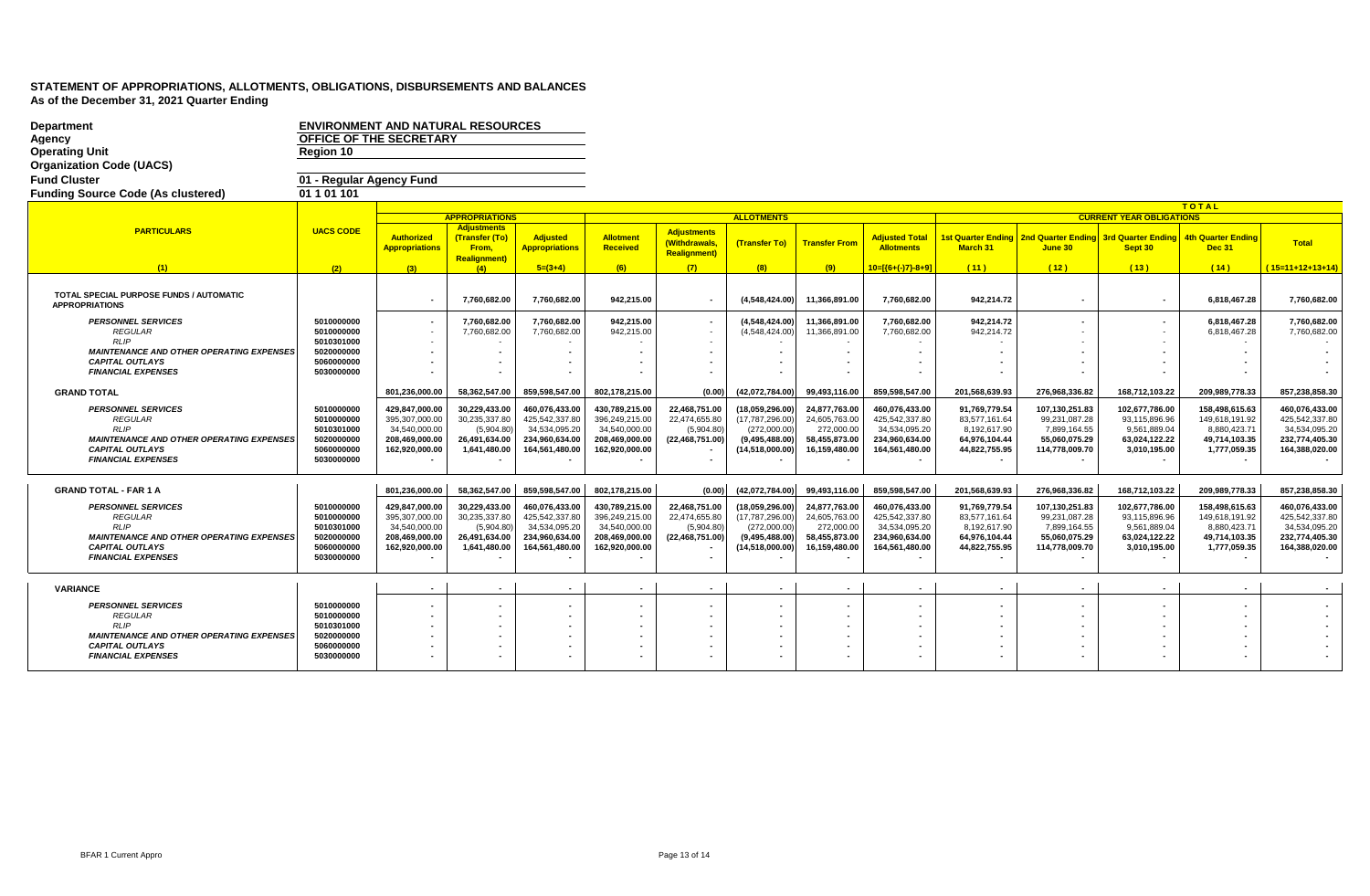| <b>Department</b><br>Agency<br><b>Operating Unit</b><br><b>Organization Code (UACS)</b> | <b>ENVIRONMENT AND NATURAL RESOURCES</b><br>OFFICE OF THE SECRETARY<br>Region 10 |                                            |                                                               |                                          |                                 |                                                            |                                 |                                    |                                            |                                |                                                  |                                 |                                            |                                 |
|-----------------------------------------------------------------------------------------|----------------------------------------------------------------------------------|--------------------------------------------|---------------------------------------------------------------|------------------------------------------|---------------------------------|------------------------------------------------------------|---------------------------------|------------------------------------|--------------------------------------------|--------------------------------|--------------------------------------------------|---------------------------------|--------------------------------------------|---------------------------------|
| <b>Fund Cluster</b>                                                                     | 01 - Regular Agency Fund                                                         |                                            |                                                               |                                          |                                 |                                                            |                                 |                                    |                                            |                                |                                                  |                                 |                                            |                                 |
| <b>Funding Source Code (As clustered)</b>                                               | 01 1 01 1 01                                                                     |                                            |                                                               |                                          |                                 |                                                            |                                 |                                    |                                            |                                |                                                  |                                 |                                            |                                 |
|                                                                                         |                                                                                  |                                            |                                                               |                                          |                                 |                                                            |                                 |                                    |                                            |                                |                                                  |                                 | <b>TOTAL</b>                               |                                 |
|                                                                                         |                                                                                  |                                            | <b>APPROPRIATIONS</b>                                         |                                          |                                 |                                                            | <b>ALLOTMENTS</b>               |                                    |                                            |                                |                                                  | <b>CURRENT YEAR OBLIGATIONS</b> |                                            |                                 |
| <b>PARTICULARS</b>                                                                      | <b>UACS CODE</b>                                                                 | <b>Authorized</b><br><b>Appropriations</b> | <b>Adjustments</b><br>(Transfer (To)<br>From,<br>Realignment) | <b>Adjusted</b><br><b>Appropriations</b> | Allotment<br>Received           | <b>Adjustments</b><br>(Withdrawals,<br><b>Realignment)</b> | (Transfer To)                   | <b>Transfer From</b>               | <b>Adjusted Total</b><br><b>Allotments</b> | 1st Quarter Ending<br>March 31 | 2nd Quarter Ending 3rd Quarter Ending<br>June 30 | Sept 30                         | <b>4th Quarter Ending</b><br><b>Dec 31</b> | Total                           |
|                                                                                         | (2)                                                                              | (3)                                        | (4)                                                           | $5=(3+4)$                                | (6)                             | (7)                                                        | (8)                             | (9)                                | 10=[{6+(-)7}-8+9]                          | (11)                           | (12)                                             | (13)                            | (14)                                       | (15=11+12+13+14)                |
| <b>TOTAL SPECIAL PURPOSE FUNDS / AUTOMATIC</b><br><b>APPROPRIATIONS</b>                 |                                                                                  |                                            | 7,760,682.00                                                  | 7,760,682.00                             | 942,215.00                      |                                                            | (4,548,424.00)                  | 11,366,891.00                      | 7,760,682.00                               | 942,214.72                     |                                                  |                                 | 6,818,467.28                               | 7,760,682.00                    |
| <b>PERSONNEL SERVICES</b>                                                               | 5010000000                                                                       |                                            | 7,760,682.00                                                  | 7,760,682.00                             | 942,215.00                      |                                                            | (4,548,424.00)                  | 11,366,891.00                      | 7,760,682.00                               | 942,214.72                     |                                                  |                                 | 6,818,467.28                               | 7,760,682.00                    |
| <b>REGULAR</b><br><b>RLIP</b>                                                           | 5010000000<br>5010301000                                                         |                                            | 7,760,682.00                                                  | 7,760,682.00                             | 942,215.00                      |                                                            | (4,548,424.00)                  | 11,366,891.00                      | 7,760,682.00                               | 942,214.72                     |                                                  |                                 | 6,818,467.28                               | 7,760,682.00                    |
| <b>MAINTENANCE AND OTHER OPERATING EXPENSES</b>                                         | 5020000000                                                                       |                                            |                                                               |                                          |                                 |                                                            |                                 |                                    |                                            |                                |                                                  |                                 |                                            |                                 |
| <b>CAPITAL OUTLAYS</b>                                                                  | 5060000000                                                                       |                                            |                                                               |                                          |                                 |                                                            |                                 | ۰.                                 |                                            |                                |                                                  |                                 |                                            |                                 |
| <b>FINANCIAL EXPENSES</b>                                                               | 5030000000                                                                       |                                            |                                                               |                                          |                                 |                                                            |                                 |                                    |                                            |                                |                                                  |                                 |                                            |                                 |
| <b>GRAND TOTAL</b>                                                                      |                                                                                  | 801,236,000.00                             | 58,362,547.00                                                 | 859,598,547.00                           | 802,178,215.00                  | (0.00)                                                     | (42,072,784.00)                 | 99,493,116.00                      | 859,598,547.00                             | 201,568,639.93                 | 276,968,336.82                                   | 168,712,103.22                  | 209,989,778.33                             | 857,238,858.30                  |
| <b>PERSONNEL SERVICES</b>                                                               | 5010000000                                                                       | 429,847,000.00                             | 30,229,433.00                                                 | 460,076,433.00                           | 430,789,215.00                  | 22,468,751.00                                              | (18,059,296.00)                 | 24,877,763.00                      | 460,076,433.00                             | 91,769,779.54                  | 107,130,251.83                                   | 102,677,786.00                  | 158,498,615.63                             | 460,076,433.00                  |
| <b>REGULAR</b><br>RLIP                                                                  | 5010000000<br>5010301000                                                         | 395,307,000.00<br>34,540,000.00            | 30,235,337.80<br>(5,904.80)                                   | 425,542,337.80<br>34,534,095.20          | 396,249,215.00<br>34,540,000.00 | 22,474,655.80<br>(5,904.80)                                | (17,787,296.00)<br>(272,000.00) | 24,605,763.00<br>272,000.00        | 425,542,337.80<br>34,534,095.20            | 83,577,161.64<br>8,192,617.90  | 99,231,087.28<br>7,899,164.55                    | 93,115,896.96<br>9,561,889.04   | 149,618,191.92<br>8,880,423.71             | 425,542,337.80<br>34,534,095.20 |
| <b>MAINTENANCE AND OTHER OPERATING EXPENSES</b>                                         | 5020000000                                                                       | 208,469,000.00                             | 26,491,634.00                                                 | 234,960,634.00                           | 208,469,000.00                  | (22, 468, 751.00)                                          | (9,495,488.00)                  | 58,455,873.00                      | 234,960,634.00                             | 64,976,104.44                  | 55,060,075.29                                    | 63,024,122.22                   | 49,714,103.35                              | 232,774,405.30                  |
| <b>CAPITAL OUTLAYS</b><br><b>FINANCIAL EXPENSES</b>                                     | 5060000000<br>5030000000                                                         | 162,920,000.00                             | 1,641,480.00                                                  | 164,561,480.00                           | 162,920,000.00                  |                                                            | (14,518,000.00)                 | 16,159,480.00                      | 164,561,480.00                             | 44,822,755.95                  | 114,778,009.70                                   | 3,010,195.00                    | 1,777,059.35                               | 164,388,020.00                  |
|                                                                                         |                                                                                  |                                            |                                                               |                                          |                                 |                                                            |                                 |                                    |                                            |                                |                                                  |                                 |                                            |                                 |
| <b>GRAND TOTAL - FAR 1 A</b>                                                            |                                                                                  | 801,236,000.00                             | 58,362,547.00                                                 | 859,598,547.00                           | 802,178,215.00                  | (0.00)                                                     | (42,072,784.00)                 | 99,493,116.00                      | 859,598,547.00                             | 201,568,639.93                 | 276,968,336.82                                   | 168,712,103.22                  | 209,989,778.33                             | 857,238,858.30                  |
| <b>PERSONNEL SERVICES</b>                                                               | 5010000000                                                                       | 429,847,000.00                             | 30,229,433.00                                                 | 460,076,433.00                           | 430,789,215.00                  | 22,468,751.00                                              | (18,059,296.00)                 | 24,877,763.00                      | 460,076,433.00                             | 91,769,779.54                  | 107,130,251.83                                   | 102,677,786.00                  | 158,498,615.63                             | 460,076,433.00                  |
| <b>REGULAR</b><br><b>RLIP</b>                                                           | 5010000000<br>5010301000                                                         | 395,307,000.00<br>34,540,000.00            | 30,235,337.80<br>(5,904.80)                                   | 425,542,337.80<br>34,534,095.20          | 396,249,215.00<br>34,540,000.00 | 22,474,655.80<br>(5,904.80)                                | (17,787,296.00)<br>(272,000.00) | 24,605,763.00<br>272,000.00        | 425,542,337.80<br>34,534,095.20            | 83,577,161.64<br>8,192,617.90  | 99,231,087.28<br>7,899,164.55                    | 93,115,896.96<br>9,561,889.04   | 149,618,191.92<br>8,880,423.71             | 425.542.337.80<br>34,534,095.20 |
| <b>MAINTENANCE AND OTHER OPERATING EXPENSES</b>                                         | 5020000000                                                                       | 208,469,000.00                             | 26,491,634.00                                                 | 234,960,634.00                           | 208,469,000.00                  | (22, 468, 751.00)                                          | (9,495,488.00)                  | 58,455,873.00                      | 234,960,634.00                             | 64,976,104.44                  | 55,060,075.29                                    | 63,024,122.22                   | 49,714,103.35                              | 232.774.405.30                  |
| <b>CAPITAL OUTLAYS</b>                                                                  | 5060000000                                                                       | 162,920,000.00                             | 1,641,480.00                                                  | 164,561,480.00                           | 162,920,000.00                  |                                                            | (14,518,000.00)                 | 16,159,480.00                      | 164,561,480.00                             | 44,822,755.95                  | 114,778,009.70                                   | 3,010,195.00                    | 1,777,059.35                               | 164,388,020.00                  |
| <b>FINANCIAL EXPENSES</b>                                                               | 5030000000                                                                       |                                            |                                                               |                                          |                                 |                                                            |                                 |                                    |                                            |                                |                                                  |                                 |                                            |                                 |
|                                                                                         |                                                                                  |                                            |                                                               |                                          |                                 |                                                            |                                 |                                    |                                            |                                |                                                  |                                 |                                            |                                 |
| <b>VARIANCE</b>                                                                         |                                                                                  | $\sim$                                     |                                                               |                                          |                                 |                                                            |                                 |                                    |                                            |                                | $\sim$                                           |                                 | $\overline{\phantom{a}}$                   |                                 |
| <b>PERSONNEL SERVICES</b>                                                               | 5010000000                                                                       |                                            |                                                               |                                          |                                 |                                                            |                                 | $\blacksquare$                     |                                            |                                |                                                  |                                 |                                            |                                 |
| <b>REGULAR</b><br>RLIP                                                                  | 5010000000<br>5010301000                                                         |                                            |                                                               |                                          |                                 |                                                            |                                 | $\overline{\phantom{0}}$<br>$\sim$ |                                            |                                |                                                  |                                 |                                            |                                 |
| <b>MAINTENANCE AND OTHER OPERATING EXPENSES</b>                                         | 5020000000                                                                       |                                            |                                                               |                                          |                                 |                                                            |                                 |                                    |                                            |                                |                                                  |                                 |                                            |                                 |
| <b>CAPITAL OUTLAYS</b>                                                                  | 5060000000                                                                       |                                            |                                                               |                                          |                                 |                                                            |                                 |                                    |                                            |                                |                                                  |                                 |                                            |                                 |
| <b>FINANCIAL EXPENSES</b>                                                               | 5030000000                                                                       |                                            |                                                               |                                          |                                 |                                                            |                                 |                                    |                                            |                                |                                                  |                                 |                                            |                                 |